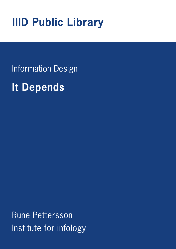## **IIID Public Library**

Information Design

**It Depends**

Rune Pettersson Institute for infology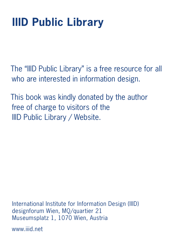# **IIID Public Library**

The "IIID Public Library" is a free resource for all who are interested in information design.

This book was kindly donated by the author free of charge to visitors of the IIID Public Library / Website.

International Institute for Information Design (IIID) designforum Wien, MQ/quartier 21 Museumsplatz 1, 1070 Wien, Austria

www.iiid.net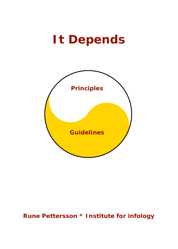## **It Depends**



#### **Rune Pettersson \* Institute for infology**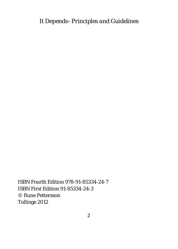*It Depends–Principles and Guidelines*

ISBN Fourth Edition 978-91-85334-24-7 ISBN First Edition 91-85334-24-3 © Rune Pettersson Tullinge 2012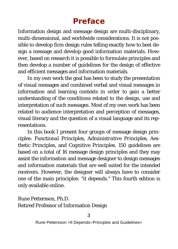### **Preface**

Information design and message design are multi-disciplinary, multi-dimensional, and worldwide considerations. It is not possible to develop firm design rules telling exactly how to best design a message and develop good information materials. However, based on research it is possible to formulate principles and then develop a number of guidelines for the design of effective and efficient messages and information materials.

In my own work the goal has been to study the presentation of visual messages and combined verbal and visual messages in information and learning contexts in order to gain a better understanding of the conditions related to the design, use and interpretation of such messages. Most of my own work has been related to audience interpretation and perception of messages, visual literacy and the question of a visual language and its representations.

In this book I present four groups of message design principles: *Functional Principles, Administrative Principles, Aesthetic Principles,* and *Cognitive Principles.* 150 guidelines are based on a total of 16 message design principles and they may assist the information and message designer to design messages and information materials that are well suited for the intended receivers. However, the designer will always have to consider one of the main principles: "it depends." This fourth edition is only available online.

Rune Pettersson, Ph.D. Retired Professor of Information Design

3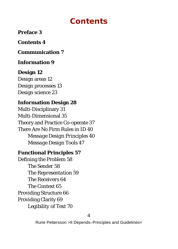### **Contents**

**Preface 3**

**Contents 4**

**Communication 7**

**Information 9**

**Design 12** Design areas 12 Design processes 13 Design science 23

**Information Design 28** Multi-Disciplinary 31 Multi-Dimensional 35 Theory and Practice Co-operate 37 There Are No Firm Rules in ID 40 *Message Design Principles 40 Message Design Tools 47*

**Functional Principles 57** Defining the Problem 58 *The Sender 58 The Representation 59 The Receivers 64 The Context 65* Providing Structure 66 Providing Clarity 69 *Legibility of Text 70*

4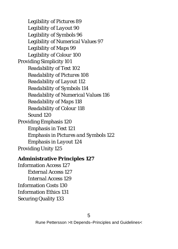*Legibility of Pictures 89 Legibility of Layout 90 Legibility of Symbols 96 Legibility of Numerical Values 97 Legibility of Maps 99 Legibility of Colour 100* Providing Simplicity 101 *Readability of Text 102 Readability of Pictures 108 Readability of Layout 112 Readability of Symbols 114 Readability of Numerical Values 116 Readability of Maps 118 Readability of Colour 118 Sound 120* Providing Emphasis 120 *Emphasis in Text 121 Emphasis in Pictures and Symbols 122 Emphasis in Layout 124* Providing Unity 125

**Administrative Principles 127** Information Access 127 *External Access 127 Internal Access 129* Information Costs 130 Information Ethics 131 Securing Quality 133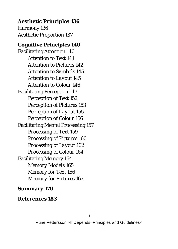**Aesthetic Principles 136** Harmony 136 Aesthetic Proportion 137 **Cognitive Principles 140** Facilitating Attention 140 *Attention to Text 141 Attention to Pictures 142 Attention to Symbols 145 Attention to Layout 145 Attention to Colour 146* Facilitating Perception 147 *Perception of Text 152 Perception of Pictures 153 Perception of Layout 155 Perception of Colour 156* Facilitating Mental Processing 157 *Processing of Text 159 Processing of Pictures 160 Processing of Layout 162 Processing of Colour 164* Facilitating Memory 164 *Memory Models 165 Memory for Text 166 Memory for Pictures 167*

**Summary 170**

**References 183**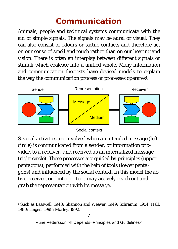## **Communication**

Animals, people and technical systems communicate with the aid of simple signals. The signals may be aural or visual. They can also consist of odours or tactile contacts and therefore act on our sense of smell and touch rather than on our hearing and vision. There is often an interplay between different signals or stimuli which coalesce into a unified whole. Many information and communication theorists have devised models to explain the way the communication process or processes operates<sup>1</sup>.



#### Social context

*Several activities are involved when an intended message (left circle) is communicated from a sender, or information provider, to a receiver, and received as an internalized message (right circle). These processes are guided by principles (upper pentagons), performed with the help of tools (lower pentagons) and influenced by the social context. In this model the active receiver, or " interpreter", may actively reach out and grab the representation with its message.*

 <sup>1</sup> Such as Lasswell, 1948; Shannon and Weaver, 1949; Schramm, 1954; Hall, 1980; Hagen, 1998; Morley, 1992.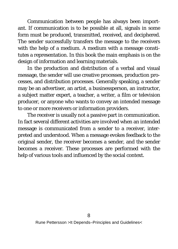Communication between people has always been important. If communication is to be possible at all, signals in some form must be produced, transmitted, received, and deciphered. The sender successfully transfers the message to the receivers with the help of a medium. A medium with a message constitutes a representation. In this book the main emphasis is on the design of information and learning materials.

In the production and distribution of a verbal and visual message, the sender will use creative processes, production processes, and distribution processes. Generally speaking, a sender may be an advertiser, an artist, a businessperson, an instructor, a subject matter expert, a teacher, a writer, a film or television producer, or anyone who wants to convey an intended message to one or more receivers or information providers.

The receiver is usually not a passive part in communication. In fact several different activities are involved when an intended message is communicated from a sender to a receiver, interpreted and understood. When a message evokes feedback to the original sender, the receiver becomes a sender, and the sender becomes a receiver. These processes are performed with the help of various tools and influenced by the social context.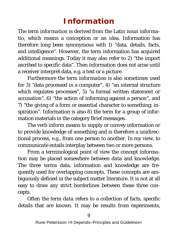## **Information**

The term *information* is derived from the Latin noun *informatio,* which means a conception or an idea. Information has therefore long been synonymous with 1) "data, details, facts, and intelligence". However, the term information has acquired additional meanings. Today it may also refer to 2) "the import ascribed to specific data". Then information does not arise until a receiver interpret data, e.g. a text or a picture.

Furthermore the term *information* is also sometimes used for 3) "data processed in a computer", 4) "an internal structure which regulates processes", 5) "a formal written statement or accusation", 6) "the action of informing against a person", and 7) "the giving of a form or essential character to something; inspiration". Information is also 8) the term for a group of information materials in the category *Brief messages.* 

The verb *inform* means to supply or convey information or to provide knowledge of something and is therefore a unidirectional process, e.g., from one person to another. In my view, to *communicate* entails interplay between two or more persons.

From a terminological point of view the concept *information* may be placed somewhere between *data* and *knowledge*. The three terms data, information and knowledge are frequently used for overlapping concepts. These concepts are ambiguously defined in the subject matter literature. It is not at all easy to draw any strict borderlines between these three concepts.

Often the term *data* refers to a collection of facts, specific details that are known. It may be results from experiments,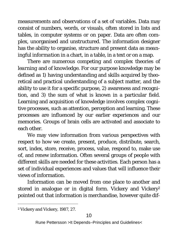measurements and observations of a set of variables. Data may consist of numbers, words, or visuals, often stored in lists and tables, in computer systems or on paper. Data are often complex, unorganised and unstructured. The information designer has the ability to organise, structure and present data as *meaningful information* in a chart, in a table, in a text or on a map.

There are numerous competing and complex theories of *learning* and of *knowledge*. For our purpose knowledge may be defined as 1) having understanding and skills acquired by theoretical and practical understanding of a subject matter, and the ability to use it for a specific purpose, 2) awareness and recognition, and 3) the sum of what is known in a particular field. Learning and acquisition of knowledge involves complex cognitive processes, such as attention, perception and learning. These processes are influenced by our earlier experiences and our memories. Groups of brain cells are activated and associate to each other.

We may view information from various perspectives with respect to how we create, present, produce, distribute, search, sort, index, store, receive, process, value, respond to, make use of, and renew information. Often several groups of people with different skills are needed for these activities. Each person has a set of individual experiences and values that will influence their views of information.

Information can be moved from one place to another and stored in analogue or in digital form. Vickery and Vickery<sup>2</sup> pointed out that information is merchandise, however quite dif-

 <sup>2</sup> Vickery and Vickery, 1987, 27.

Rune Pettersson >It Depends–Principles and Guidelines<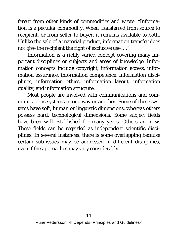ferent from other kinds of commodities and wrote: "Information is a peculiar commodity. When transferred from source to recipient, or from seller to buyer, it remains available to both. Unlike the sale of a material product, information transfer does not give the recipient the right of exclusive use, ..."

Information is a richly varied concept covering many important disciplines or subjects and areas of knowledge. Information concepts include copyright, information access, information assurance, information competence, information disciplines, information ethics, information layout, information quality, and information structure.

Most people are involved with communications and communications systems in one way or another. Some of these systems have soft, human or linguistic dimensions, whereas others possess hard, technological dimensions. Some subject fields have been well established for many years. Others are new. These fields can be regarded as independent scientific disciplines. In several instances, there is some overlapping because certain sub-issues may be addressed in different disciplines, even if the approaches may vary considerably.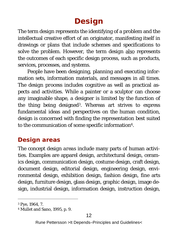## **Design**

The term *design* represents the identifying of a problem and the intellectual creative effort of an originator, manifesting itself in drawings or plans that include schemes and specifications to solve the problem. However, the term *design* also represents the outcomes of each specific design process, such as products, services, processes, and systems.

People have been designing, planning and executing information sets, information materials, and messages in all times. The *design process* includes cognitive as well as practical aspects and activities. While a painter or a sculptor can choose any imaginable shape, a designer is limited by the function of the thing being designed3. Whereas art strives to express fundamental ideas and perspectives on the human condition, design is concerned with finding the representation best suited to the communication of some specific information4.

#### **Design areas**

The concept *design areas* include many parts of human activities. Examples are apparel design, architectural design, ceramics design, communication design, costume design, craft design, document design, editorial design, engineering design, environmental design, exhibition design, fashion design, fine arts design, furniture design, glass design, graphic design, image design, industrial design, information design, instruction design,

 <sup>3</sup> Pye, 1964, 7.

<sup>4</sup> Mullet and Sano, 1995, p. 9.

Rune Pettersson >It Depends–Principles and Guidelines<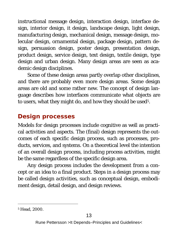instructional message design, interaction design, interface design, interior design, it design, landscape design, light design, manufacturing design, mechanical design, message design, molecular design, ornamental design, package design, pattern design, persuasion design, poster design, presentation design, product design, service design, text design, textile design, type design and urban design. Many design areas are seen as academic design disciplines.

Some of these design areas partly overlap other disciplines, and there are probably even more design areas. Some design areas are old and some rather new. The concept of design language describes how interfaces communicate what objects are to users, what they might do, and how they should be used<sup>5</sup>.

#### **Design processes**

Models for design processes include cognitive as well as practical activities and aspects. The (final) design represents the outcomes of each specific design process, such as processes, products, services, and systems. On a theoretical level the intention of an overall design process, including process activities, might be the same regardless of the specific design area.

Any design process includes the development from a concept or an idea to a final product. Steps in a design process may be called *design activities*, such as conceptual design, embodiment design, detail design, and design reviews.

 <sup>5</sup> Head, 2000.

Rune Pettersson >It Depends–Principles and Guidelines<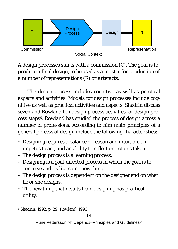

*A design processes starts with a commission (C). The goal is to produce a final design, to be used as a master for production of a number of representations (R) or artefacts.*

The design process includes cognitive as well as practical aspects and activities. Models for design processes include cognitive as well as practical activities and aspects. Shadrin discuss seven and Rowland ten design process activities, or design process steps<sup>6</sup>. Rowland has studied the process of design across a number of professions. According to him main principles of a *general process of design* include the following characteristics:

- Designing requires a balance of reason and intuition, an impetus to act, and an ability to reflect on actions taken.
- The design process is a learning process.
- Designing is a goal-directed process in which the goal is to conceive and realize some new thing.
- The design process is dependent on the designer and on what he or she designs.
- The new thing that results from designing has practical utility.

 <sup>6</sup> Shadrin, 1992, p. 29; Rowland, 1993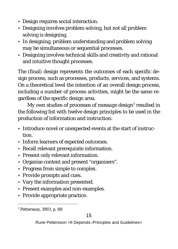- Design requires social interaction.
- Designing involves problem solving, but not all problem solving is designing.
- In designing, problem understanding and problem solving may be simultaneous or sequential processes.
- Designing involves technical skills and creativity and rational and intuitive thought processes.

The (final) design represents the outcomes of each specific design process, such as processes, products, services, and systems. On a theoretical level the intention of an overall design process, including a number of process activities, might be the same regardless of the specific design area.

My own studies of processes of *message design*7 resulted in the following list with twelve design principles to be used in the production of information and instruction:

- Introduce novel or unexpected events at the start of instruction.
- Inform learners of expected outcomes.
- Recall relevant prerequisite information.
- Present only relevant information.
- Organise content and present "organisers".
- Progress from simple to complex.
- Provide prompts and cues.
- Vary the information presented.
- Present examples and non-examples.
- Provide appropriate practice.

 <sup>7</sup> Pettersson, 1993, p. 88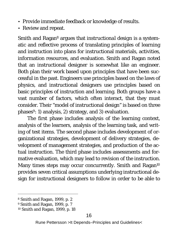- Provide immediate feedback or knowledge of results.
- Review and repeat.

Smith and Ragan8 argues that *instructional design* is a systematic and reflective process of translating principles of learning and instruction into plans for instructional materials, activities, information resources, and evaluation. Smith and Ragan noted that an instructional designer is somewhat like an engineer. Both plan their work based upon principles that have been successful in the past. Engineers use principles based on the laws of physics, and instructional designers use principles based on basic principles of instruction and learning. Both groups have a vast number of factors, which often interact, that they must consider. Their "model of instructional design" is based on three phases<sup>9</sup>: 1) analysis, 2) strategy, and 3) evaluation.

The first phase includes analysis of the learning context, analysis of the learners, analysis of the learning task, and writing of test items. The second phase includes development of organizational strategies, development of delivery strategies, development of management strategies, and production of the actual instruction. The third phase includes assessments and formative evaluation, which may lead to revision of the instruction. Many times steps may occur concurrently. Smith and Ragan<sup>10</sup> provides seven critical assumptions underlying instructional design for instructional designers to follow in order to be able to

 <sup>8</sup> Smith and Ragan, 1999, p. 2

<sup>9</sup> Smith and Ragan, 1999, p. 7

<sup>10</sup> Smith and Ragan, 1999, p. 18

Rune Pettersson >It Depends–Principles and Guidelines<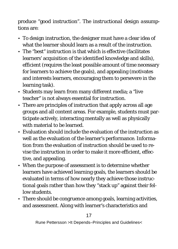produce "good instruction". The *instructional design assumptions* are:

- To design instruction, the designer must have a clear idea of what the learner should learn as a result of the instruction.
- The "best" instruction is that which is effective (facilitates learners' acquisition of the identified knowledge and skills), efficient (requires the least possible amount of time necessary for learners to achieve the goals), and appealing (motivates and interests learners, encouraging them to persevere in the learning task).
- Students may learn from many different media; a "live teacher" is not always essential for instruction.
- There are principles of instruction that apply across all age groups and all content areas. For example, students must participate actively, interacting mentally as well as physically with material to be learned.
- Evaluation should include the evaluation of the instruction as well as the evaluation of the learner's performance. Information from the evaluation of instruction should be used to revise the instruction in order to make it more efficient, effective, and appealing.
- When the purpose of assessment is to determine whether learners have achieved learning goals, the learners should be evaluated in terms of how nearly they achieve those instructional goals rather than how they "stack up" against their fellow students.
- There should be congruence among goals, learning activities, and assessment. Along with learner's characteristics and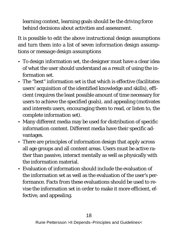learning context, learning goals should be the driving force behind decisions about activities and assessment.

It is possible to edit the above instructional design assumptions and turn them into a list of seven *information design assumptions* or *message design assumptions*

- To design information set, the designer must have a clear idea of what the user should understand as a result of using the information set.
- The "best" information set is that which is effective (facilitates users' acquisition of the identified knowledge and skills), efficient (requires the least possible amount of time necessary for users to achieve the specified goals), and appealing (motivates and interests users, encouraging them to read, or listen to, the complete information set).
- Many different media may be used for distribution of specific information content. Different media have their specific advantages.
- There are principles of information design that apply across all age groups and all content areas. Users must be active rather than passive, interact mentally as well as physically with the information material.
- Evaluation of information should include the evaluation of the information set as well as the evaluation of the user's performance. Facts from these evaluations should be used to revise the information set in order to make it more efficient, effective, and appealing.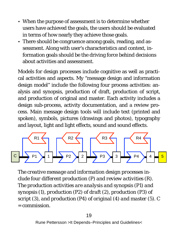- When the purpose of assessment is to determine whether users have achieved the goals, the users should be evaluated in terms of how nearly they achieve those goals.
- There should be congruence among goals, reading, and assessment. Along with user's characteristics and context, information goals should be the driving force behind decisions about activities and assessment.

Models for design processes include cognitive as well as practical activities and aspects. My "message design and information design model" include the following four process activities: analysis and synopsis, production of draft, production of script, and production of original and master. Each activity includes a design sub-process, activity documentation, and a review process. Main message design tools will include text (printed and spoken), symbols, pictures (drawings and photos), typography and layout, light and light effects, sound and sound effects.



*The creative message and information design processes include four different production (P) and review activities (R). The production activities are analysis and synopsis (P1) and synopsis (1), production (P2) of draft (2), production (P3) of script (3), and production (P4) of original (4) and master (5). C = commission.*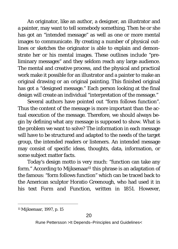An originator, like an author, a designer, an illustrator and a painter, may want to tell somebody something. Then he or she has got an "intended message" as well as one or more mental images to communicate. By creating a number of physical outlines or sketches the originator is able to explain and demonstrate her or his mental images. These outlines include "preliminary messages" and they seldom reach any large audience. The mental and creative process, and the physical and practical work make it possible for an illustrator and a painter to make an original drawing or an original painting. This finished original has got a "designed message." Each person looking at the final design will create an individual "interpretation of the message."

Several authors have pointed out "form follows function". Thus the content of the message is more important than the actual execution of the message. Therefore, we should always begin by defining what any message is supposed to show. What is the problem we want to solve? The information in each message will have to be structured and adapted to the needs of the target group, the intended readers or listeners. An intended message may consist of specific ideas, thoughts, data, information, or some subject matter facts.

Today's design motto is very much: "function can take any form." According to Mijksenaar<sup>11</sup> this phrase is an adaptation of the famous: "form follows function" which can be traced back to the American sculptor Horatio Greenough, who had used it in his text *Form and Function*, written in 1851. However,

 <sup>11</sup> Mijksenaar, 1997, p. 15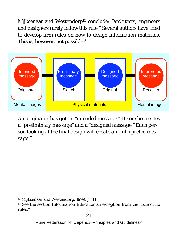Mijksenaar and Westendorp<sup>12</sup> conclude: "architects, engineers and designers rarely follow this rule." Several authors have tried to develop firm rules on how to design information materials. This is, however, not possible<sup>13</sup>.



*An originator has got an "intended message." He or she creates a "preliminary message" and a "designed message." Each person looking at the final design will create an "interpreted message."*

 <sup>12</sup> Mijksenaar and Westendorp, 1999, p. 34

<sup>13</sup> See the section *Information Ethics* for an exception from the "rule of no rules."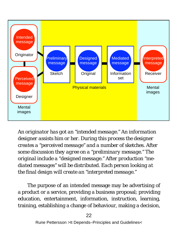

*An originator has got an "intended message." An information designer assists him or her. During this process the designer creates a "perceived message" and a number of sketches. After some discussion they agree on a "preliminary message." The original include a "designed message." After production "mediated messages" will be distributed. Each person looking at the final design will create an "interpreted message."*

The purpose of an intended message may be advertising of a product or a service, providing a business proposal; providing education, entertainment, information, instruction, learning, training, establishing a change of behaviour, making a decision,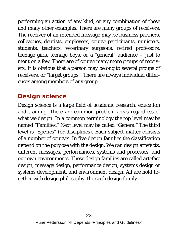performing an action of any kind, or any combination of these and many other examples. There are many groups of receivers. The receiver of an intended message may be business partners, colleagues, dentists, employees, course participants, ministers, students, teachers, veterinary surgeons, retired professors, teenage girls, teenage boys, or a "general" audience – just to mention a few. There are of course many more groups of receivers. It is obvious that a person may belong to several groups of receivers, or "target groups". There are always individual differences among members of any group.

#### **Design science**

Design science is a large field of academic research, education and training. There are common problem areas regardless of what we design. In a common terminology the top level may be named "Families." Next level may be called "Genera." The third level is "Species" (or disciplines). Each subject matter consists of a number of courses. In five design families the classification depend on the purpose with the design. We can design artefacts, different messages, performances, systems and processes, and our own environments. These design families are called artefact design, message design, performance design, systems design or systems development, and environment design. All are hold together with design philosophy, the sixth design family.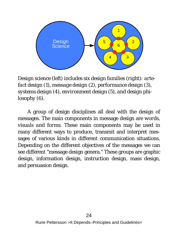

*Design science (left) includes six design families (right): artefact design (1), message design (2), performance design (3), systems design (4), environment design (5), and design philosophy (6).* 

A group of design disciplines all deal with the design of messages. The main components in message design are *words, visuals and forms*. These main components may be used in many different ways to produce, transmit and interpret messages of various kinds in different communication situations. Depending on the different objectives of the messages we can see different "message design genera." These groups are graphic design, information design, instruction design, mass design, and persuasion design.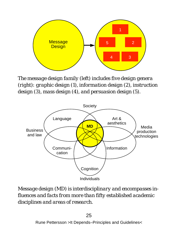

*The message design family (left) includes five design genera (right): graphic design (1), information design (2), instruction design (3), mass design (4), and persuasion design (5).* 



*Message design (MD) is interdisciplinary and encompasses influences and facts from more than fifty established academic disciplines and areas of research.*

25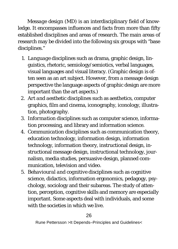*Message design* (MD) is an interdisciplinary field of knowledge. It encompasses influences and facts from more than fifty established disciplines and areas of research. The main areas of research may be divided into the following six groups with "base disciplines."

- 1. *Language disciplines* such as drama, graphic design, linguistics, rhetoric, semiology/semiotics, verbal languages, visual languages and visual literacy. (Graphic design is often seen as an art subject. However, from a message design perspective the language aspects of graphic design are more important than the art aspects.)
- 2. *Art and aesthetic disciplines* such as aesthetics, computer graphics, film and cinema, iconography, iconology, illustration, photography.
- 3. *Information disciplines* such as computer science, information processing, and library and information science.
- 4. *Communication disciplines* such as communication theory, education technology, information design, information technology, information theory, instructional design, instructional message design, instructional technology, journalism, media studies, persuasive design, planned communication, television and video.
- 5. *Behavioural and cognitive disciplines* such as cognitive science, didactics, information ergonomics, pedagogy, psychology, sociology and their subareas. The study of attention, perception, cognitive skills and memory are especially important. Some aspects deal with individuals, and some with the societies in which we live.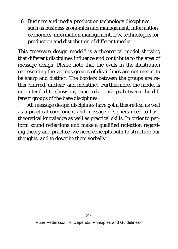6. *Business and media production technology disciplines* such as business economics and management, information economics, information management, law, technologies for production and distribution of different media.

This "message design model" is a theoretical model showing that different disciplines influence and contribute to the area of message design. Please note that the ovals in the illustration representing the various groups of disciplines are not meant to be sharp and distinct. The borders between the groups are rather blurred, unclear, and indistinct. Furthermore, the model is not intended to show any exact relationships between the different groups of the base disciplines.

All message design disciplines have got a theoretical as well as a practical component and message designers need to have theoretical knowledge as well as practical skills. In order to perform sound reflections and make a qualified reflection regarding theory and practice, we need concepts both to structure our thoughts, and to describe them verbally.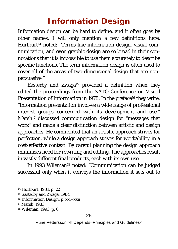### **Information Design**

Information design can be hard to define, and it often goes by other names. I will only mention a few definitions here. Hurlburt<sup>14</sup> noted: "Terms like information design, visual communication, and even graphic design are so broad in their connotations that it is impossible to use them accurately to describe specific functions. The term information design is often used to cover all of the areas of two-dimensional design that are nonpersuasive."

Easterby and Zwaga<sup>15</sup> provided a definition when they edited the proceedings from the *NATO Conference on Visual Presentation of Information* in 1978. In the preface*16* they write: "information presentation involves a wide range of professional interest groups concerned with its development and use." Marsh17 discussed *communication design* for "messages that work" and made a clear distinction between artistic and design approaches. He commented that an artistic approach strives for *perfection*, while a design approach strives for *workability* in a cost-effective context. By careful planning the design approach minimizes need for rewriting and editing. The approaches result in vastly different final products, each with its own use.

In 1993 Wileman18 noted: "Communication can be judged successful only when it conveys the information it sets out to

 <sup>14</sup> Hurlburt, 1981, p. 22

<sup>15</sup> Easterby and Zwaga, 1984

<sup>16</sup> *Information Design*, p. xxi–xxii

<sup>17</sup> Marsh, 1983

<sup>18</sup> Wileman, 1993, p. 6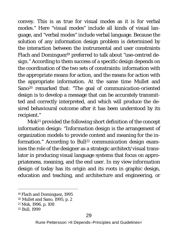convey. This is as true for visual modes as it is for verbal modes." Here "visual modes" include all kinds of visual language, and "verbal modes" include verbal language. Because the solution of any information design problem is determined by the interaction between the instrumental and user constraints Flach and Dominguez19 preferred to talk about *"use-centred design."* According to them success of a specific design depends on the coordination of the two sets of constraints: information with the appropriate means for action, and the means for action with the appropriate information. At the same time Mullet and Sano20 remarked that: "The goal of *communication-oriented design* is to develop a message that can be accurately transmitted and correctly interpreted, and which will produce the desired behavioural outcome after it has been understood by its recipient."

Mok21 provided the following short definition of the concept information design: "*Information design* is the arrangement of organization models to provide context and meaning for the information." According to Bull22 *communication design* examines the role of the designer as a strategic architect/visual translator in producing visual language systems that focus on appropriateness, meaning, and the end user. In my view *information design* of today has its origin and its roots in graphic design, education and teaching, and architecture and engineering, or

 <sup>19</sup> Flach and Dominguez, 1995

<sup>20</sup> Mullet and Sano, 1995, p. 2

<sup>21</sup> Mok, 1996, p. 108

<sup>22</sup> Bull, 1999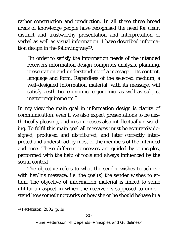rather construction and production. In all these three broad areas of knowledge people have recognised the need for clear, distinct and trustworthy presentation and interpretation of verbal as well as visual information. I have described information design in the following way23:

"In order to satisfy the information needs of the intended receivers information design comprises analysis, planning, presentation and understanding of a message – its content, language and form. Regardless of the selected medium, a well-designed information material, with its message, will satisfy aesthetic, economic, ergonomic, as well as subject matter requirements."

In my view the main goal in information design is *clarity of communication*, even if we also expect presentations to be aesthetically pleasing, and in some cases also intellectually rewarding. To fulfil this main goal all messages must be accurately designed, produced and distributed, and later correctly interpreted and understood by most of the members of the intended audience. These different processes are guided by *principles*, performed with the help of *tools* and always influenced by the *social context*.

The *objective* refers to what the sender wishes to achieve with her/his message, i.e. the goal(s) the sender wishes to attain. The objective of information material is linked to some utilitarian aspect in which the receiver is supposed to understand how something works or how she or he should behave in a

 <sup>23</sup> Pettersson, 2002, p. 19

Rune Pettersson >It Depends–Principles and Guidelines<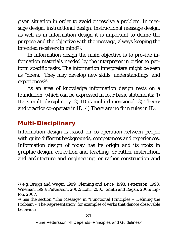given situation in order to avoid or resolve a problem. In message design, instructional design, instructional message design, as well as in information design it is important to define the purpose and the objective with the message, always keeping the intended receivers in mind24.

In information design the main objective is to provide information materials needed by the interpreter in order to perform specific tasks. The information interpreters might be seen as "doers." They may develop new skills, understandings, and experiences<sup>25</sup>.

As an area of knowledge information design rests on a foundation, which can be expressed in four basic statements: 1) ID is multi-disciplinary. 2) ID is multi-dimensional. 3) Theory and practice co-operate in ID. 4) There are no firm rules in ID.

#### **Multi-Disciplinary**

Information design is based on co-operation between people with quite different backgrounds, competences and experiences. Information design of today has its origin and its roots in *graphic design*, *education* and teaching, or rather *instruction,*  and architecture and engineering, or rather *construction and* 

 <sup>24</sup> e.g. Briggs and Wager, 1989; Fleming and Levie, 1993; Pettersson, 1993; Wileman, 1993; Pettersson, 2002; Lohr, 2003; Smith and Ragan, 2005; Lipton, 2007.

<sup>25</sup> See the section "The Message" in "Functional Principles – Defining the Problem – The Representation" for examples of verbs that denote observable behaviour.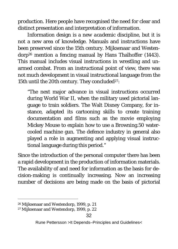*production*. Here people have recognised the need for clear and distinct presentation and interpretation of information.

Information design is a *new academic discipline,* but it is not a new area of knowledge. Manuals and instructions have been preserved since the 15th century. Mijksenaar and Westendorp26 mention a fencing manual by Hans Thalhoffer (1443). This manual includes visual instructions in wrestling and unarmed combat. From an instructional point of view, there was not much development in visual instructional language from the 15th until the 20th century. They concluded<sup>27</sup>:

"The next major advance in visual instructions occurred during World War II, when the military used pictorial language to train soldiers. The Walt Disney Company, for instance, adapted its cartooning skills to create training documentation and films such as the movie employing Mickey Mouse to explain how to use a Browning.50 watercooled machine gun. The defence industry in general also played a role in augmenting and applying visual instructional language during this period."

Since the introduction of the personal computer there has been a rapid development in the production of information materials. The availability of and need for information as the basis for decision-making is continually increasing. Now an increasing number of decisions are being made on the basis of pictorial

 <sup>26</sup> Mijksenaar and Westendorp, 1999, p. 21

<sup>27</sup> Mijksenaar and Westendorp, 1999, p. 22

Rune Pettersson >It Depends–Principles and Guidelines<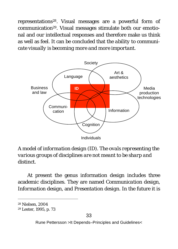representations28. Visual messages are a powerful form of communication29. Visual messages stimulate both our emotional and our intellectual responses and therefore make us think as well as feel. It can be concluded that *the ability to communicate visually is becoming more and more important.* 



*A model of information design (ID). The ovals representing the various groups of disciplines are not meant to be sharp and distinct.* 

At present the genus information design includes three academic disciplines. They are named *Communication design, Information design,* and *Presentation design*. In the future it is

 <sup>28</sup> Nielsen, 2004

<sup>29</sup> Lester, 1995, p. 73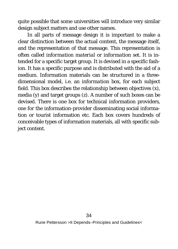quite possible that some universities will introduce very similar design subject matters and use other names.

In all parts of message design it is important to make a clear distinction between the actual content, the message itself, and the representation of that message. This representation is often called *information material* or *information set*. It is intended for a specific target group. It is devised in a specific fashion. It has a specific purpose and is distributed with the aid of a medium. Information materials can be structured in a threedimensional model, i.e. an *information box*, for each subject field. This box describes the relationship between objectives (x), media (y) and target groups (z). A number of such boxes can be devised. There is one box for technical information providers, one for the information-provider disseminating social information or tourist information etc. Each box covers hundreds of conceivable types of information materials, all with specific subject content.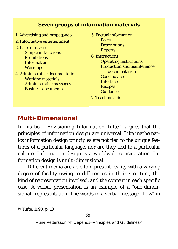#### *Seven groups of information materials*

- 1. Advertising and propaganda
- 2. Informative entertainment
- 3. Brief messages Simple instructions **Prohibitions** Information **Warnings**
- 4. Administrative documentation Working materials Administrative messages Business documents
- 5. Factual information Facts **Descriptions Reports**
- 6. Instructions Operating instructions Production and maintenance documentation Good advice **Interfaces Recipes** Guidance 7. Teaching aids

# **Multi-Dimensional**

In his book *Envisioning Information* Tufte30 argues that the principles of information design are universal. Like mathematics information design principles are not tied to the unique features of a particular language, nor are they tied to a particular culture. Information design is a worldwide consideration. Information design is multi-dimensional.

Different media are able to represent reality with a varying degree of facility owing to differences in their structure, the kind of representation involved, and the content in each specific case. A verbal presentation is an example of a "one-dimensional" representation. The words in a verbal message "flow" in

 <sup>30</sup> Tufte, 1990, p. 10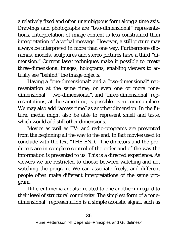a relatively fixed and often unambiguous form along a time axis. Drawings and photographs are "two-dimensional" representations. Interpretation of image content is less constrained than interpretation of a verbal message. However, a still picture may always be interpreted in more than one way. Furthermore dioramas, models, sculptures and stereo pictures have a third "dimension." Current laser techniques make it possible to create three-dimensional images, holograms, enabling viewers to actually see "behind" the image objects.

Having a "one-dimensional" and a "two-dimensional" representation at the same time, or even one or more "onedimensional", "two-dimensional", and "three-dimensional" representations, at the same time, is possible, even commonplace. We may also add "access time" as another dimension. In the future, media might also be able to represent smell and taste, which would add still other dimensions.

Movies as well as TV- and radio-programs are presented from the beginning all the way to the end. In fact movies used to conclude with the text "THE END." The directors and the producers are in complete control of the order and of the way the information is presented to us. This is a directed experience. As viewers we are restricted to choose between watching and not watching the program. We can associate freely, and different people often make different interpretations of the same program.

Different media are also related to one another in regard to their level of structural complexity. The simplest form of a "onedimensional" representation is a simple acoustic signal, such as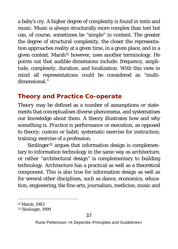a baby's cry. A higher degree of complexity is found in texts and music. Music is always structurally more complex than text but can, of course, sometimes be "simple" in content. The greater the degree of structural complexity, the closer the representation approaches reality at a given time, in a given place, and in a given context. Marsh<sup>31</sup> however, uses another terminology. He points out that audible dimensions include: frequency, amplitude, complexity, duration, and localization. With this view in mind all representations could be considered as "multidimensional."

# **Theory and Practice Co-operate**

*Theory* may be defined as a number of assumptions or statements that conceptualises diverse phenomena, and systematises our knowledge about them. A theory illustrates how and why something is. *Practice* is performance or execution, as opposed to theory; custom or habit; systematic exercise for instruction; training; exercise of a profession.

Simlinger<sup>32</sup> argues that information design is complementary to information technology in the same way as architecture, or rather "architectural design" is complementary to building technology. Architecture has a practical as well as a theoretical component. This is also true for information design as well as for several other disciplines, such as dance, economics, education, engineering, the fine arts, journalism, medicine, music and

 <sup>31</sup> Marsh, 1983

<sup>32</sup> Simlinger, 1999

Rune Pettersson >It Depends–Principles and Guidelines<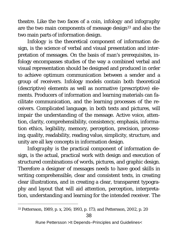theatre. Like the two faces of a coin, *infology* and *infography* are the two main components of message design<sup>33</sup> and also the two main parts of information design.

*Infology* is the theoretical component of information design, is the science of verbal and visual presentation and interpretation of messages. On the basis of man's prerequisites, infology encompasses studies of the way a combined verbal and visual representation should be designed and produced in order to achieve optimum communication between a sender and a group of receivers. Infology models contain both theoretical (descriptive) elements as well as normative (prescriptive) elements. Producers of information and learning materials can facilitate communication, and the learning processes of the receivers. Complicated language, in both texts and pictures, will impair the understanding of the message. Active voice, attention, clarity, comprehensibility, consistency, emphasis, information ethics, legibility, memory, perception, precision, processing, quality, readability, reading value, simplicity, structure, and unity are all key concepts in information design.

*Infography* is the practical component of information design, is the actual, practical work with design and execution of structured combinations of words, pictures, and graphic design. Therefore a designer of messages needs to have good skills in writing comprehensible, clear and consistent texts, in creating clear illustrations, and in creating a clear, transparent typography and layout that will aid attention, perception, interpretation, understanding and learning for the intended receiver. The

 <sup>33</sup> Pettersson, 1989, p. x, 206; 1993, p. 173; and Pettersson, 2002, p. 20

Rune Pettersson >It Depends–Principles and Guidelines<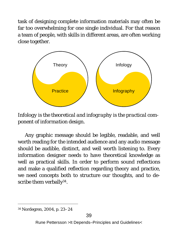task of designing complete information materials may often be far too overwhelming for one single individual. For that reason a team of people, with skills in different areas, are often working close together.



*Infology is the theoretical and infography is the practical component of information design.*

Any graphic message should be legible, readable, and well worth reading for the intended audience and any audio message should be audible, distinct, and well worth listening to. Every information designer needs to have theoretical knowledge as well as practical skills. In order to perform sound reflections and make a qualified reflection regarding theory and practice, we need concepts both to structure our thoughts, and to describe them verbally<sup>34</sup>.

 <sup>34</sup> Nordegren, 2004, p. 23–24

Rune Pettersson >It Depends–Principles and Guidelines<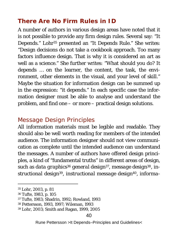### **There Are No Firm Rules in ID**

A number of authors in various design areas have noted that it is not possible to provide any firm design rules. Several say: "It Depends." Lohr35 presented an "It Depends Rule." She writes: "Design decisions do not take a cookbook approach. Too many factors influence design. That is why it is considered an art as well as a science." She further writes: "What should you do? It depends … on the learner, the content, the task, the environment, other elements in the visual, and your level of skill." Maybe the situation for information design can be summed up in the expression: "it depends." In each specific case the information designer must be able to analyse and understand the problem, and find one – or more – practical design solutions.

# *Message Design Principles*

All information materials must be legible and readable. They should also be well worth reading for members of the intended audience. The information designer should not view communication as complete until the intended audience can understand the messages. A number of authors have offered design principles, a kind of "fundamental truths" in different areas of design, such as *data graphics*<sup>36</sup> *general design37*, *message design38*, *instructional design39*, *instructional message design40*, *informa-*

 <sup>35</sup> Lohr, 2003, p. 81

<sup>36</sup> Tufte, 1983, p. 105

<sup>37</sup> Tufte, 1983; Shadrin, 1992; Rowland, 1993

<sup>38</sup> Pettersson, 1993, 1997; Wileman, 1993

<sup>39</sup> Lohr, 2003; Smith and Ragan, 1999, 2005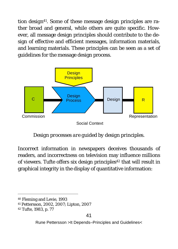*tion design41*. Some of these message design principles are rather broad and general, while others are quite specific. However, all message design principles should contribute to the design of effective and efficient messages, information materials, and learning materials. These principles can be seen as a set of guidelines for the message design process.



*Design processes are guided by design principles.*

Incorrect information in newspapers deceives thousands of readers, and incorrectness on television may influence millions of viewers. Tufte offers six design principles<sup>42</sup> that will result in graphical integrity in the display of quantitative information:

41 Pettersson, 2002, 2007; Lipton, 2007

 <sup>40</sup> Fleming and Levie, 1993

<sup>42</sup> Tufte, 1983, p. 77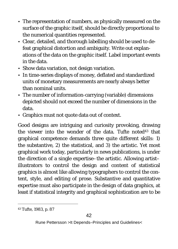- The representation of numbers, as physically measured on the surface of the graphic itself, should be directly proportional to the numerical quantities represented.
- Clear, detailed, and thorough labelling should be used to defeat graphical distortion and ambiguity. Write out explanations of the data on the graphic itself. Label important events in the data.
- Show data variation, not design variation.
- In time-series displays of money, deflated and standardized units of monetary measurements are nearly always better than nominal units.
- The number of information-carrying (variable) dimensions depicted should not exceed the number of dimensions in the data.
- Graphics must not quote data out of context.

Good designs are intriguing and curiosity provoking, drawing the viewer into the wonder of the data. Tufte noted<sup>43</sup> that graphical competence demands three quite different skills: 1) the substantive, 2) the statistical, and 3) the artistic. Yet most graphical work today, particularly in news publications, is under the direction of a single expertise–the artistic. Allowing artist– illustrators to control the design and content of statistical graphics is almost like allowing typographers to control the content, style, and editing of prose. Substantive and quantitative expertise must also participate in the design of data graphics, at least if statistical integrity and graphical sophistication are to be

 <sup>43</sup> Tufte, 1983, p. 87

Rune Pettersson >It Depends–Principles and Guidelines<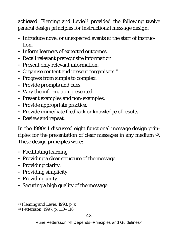achieved. Fleming and Levie<sup>44</sup> provided the following twelve general design principles for *instructional message design*:

- Introduce novel or unexpected events at the start of instruction.
- Inform learners of expected outcomes.
- Recall relevant prerequisite information.
- Present only relevant information.
- Organise content and present "organisers."
- Progress from simple to complex.
- Provide prompts and cues.
- Vary the information presented.
- Present examples and non-examples.
- Provide appropriate practice.
- Provide immediate feedback or knowledge of results.
- Review and repeat.

In the 1990s I discussed eight *functional message design principles* for the presentation of clear messages in any medium 45. These design principles were:

- Facilitating learning.
- Providing a clear structure of the message.
- Providing clarity.
- Providing simplicity.
- Providing unity.
- Securing a high quality of the message.

 <sup>44</sup> Fleming and Levie, 1993, p. x

<sup>45</sup> Pettersson, 1997, p. 110–118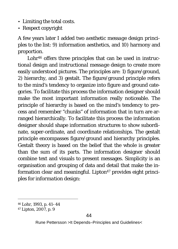- Limiting the total costs.
- Respect copyright

A few years later I added two *aesthetic message design principles* to the list: 9) information aesthetics, and 10) harmony and proportion.

Lohr46 offers three principles that can be used in *instructional design* and *instructional message design* to create more easily understood pictures. The principles are: 1) figure/ground, 2) hierarchy, and 3) gestalt. The figure/ground principle refers to the mind's tendency to organize into figure and ground categories. To facilitate this process the information designer should make the most important information really noticeable. The principle of hierarchy is based on the mind's tendency to process and remember "chunks" of information that in turn are arranged hierarchically. To facilitate this process the information designer should shape information structures to show subordinate, super-ordinate, and coordinate relationships. The gestalt principle encompasses figure/ground and hierarchy principles. Gestalt theory is based on the belief that the whole is greater than the sum of its parts. The information designer should combine text and visuals to present messages. Simplicity is an organisation and grouping of data and detail that make the information clear and meaningful. Lipton<sup>47</sup> provides eight principles for *information design*:

 <sup>46</sup> Lohr, 1993, p. 41–44

<sup>47</sup> Lipton, 2007, p. 9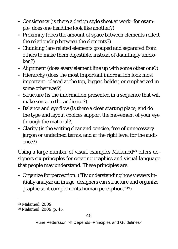- Consistency (is there a design style sheet at work–for example, does one headline look like another?)
- Proximity (does the amount of space between elements reflect the relationship between the elements?)
- Chunking (are related elements grouped and separated from others to make them digestible, instead of dauntingly unbroken?)
- Alignment (does every element line up with some other one?)
- Hierarchy (does the most important information look most important–placed at the top, bigger, bolder, or emphasized in some other way?)
- Structure (is the information presented in a sequence that will make sense to the audience?)
- Balance and eye flow (is there a clear starting place, and do the type and layout choices support the movement of your eye through the material?)
- Clarity (is the writing clear and concise, free of unnecessary jargon or undefined terms, and at the right level for the audience?)

Using a large number of visual examples Malamed48 offers designers six principles for creating graphics and *visual language* that people may understand. These principles are:

• Organize for perception. ("By understanding how viewers initially analyze an image, designers can structure and organize graphic so it complements human perception."49)

 <sup>48</sup> Malamed, 2009.

<sup>49</sup> Malamed, 2009, p. 45.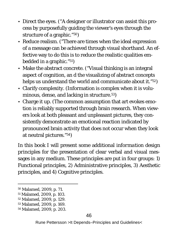- Direct the eyes. ("A designer or illustrator can assist this process by purposefully guiding the viewer's eyes through the structure of a graphic."50)
- Reduce realism. ("There are times when the ideal expression of a message can be achieved through visual shorthand. An effective way to do this is to reduce the realistic qualities embedded in a graphic."51)
- Make the abstract concrete. ("Visual thinking is an integral aspect of cognition, an d the visualizing of abstract concepts helps us understand the world and communicate about it."52)
- Clarify complexity. (Information is complex when it is voluminous, dense, and lacking in structure.53)
- Charge it up. (The common assumption that art evokes emotion is reliably supported through brain research. When viewers look at both pleasant and unpleasant pictures, they consistently demonstrate an emotional reaction indicated by pronounced brain activity that does not occur when they look at neutral pictures."54)

In this book I will present some additional *information design principles* for the presentation of clear verbal and visual messages in any medium. These principles are put in four groups: 1) Functional principles, 2) Administrative principles, 3) Aesthetic principles, and 4) Cognitive principles.

 <sup>50</sup> Malamed, 2009, p. 71.

<sup>51</sup> Malamed, 2009, p. 103.

<sup>52</sup> Malamed, 2009, p. 129.

<sup>53</sup> Malamed, 2009, p. 169.

<sup>54</sup> Malamed, 2009, p. 203.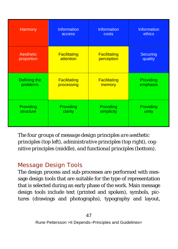| Harmony      | Information         | Information         | <b>Information</b> |
|--------------|---------------------|---------------------|--------------------|
|              | access              | costs               | ethics             |
| Aesthetic    | <b>Facilitating</b> | <b>Facilitating</b> | <b>Securing</b>    |
| proportion   | attention           | perception          | quality            |
| Defining the | <b>Facilitating</b> | <b>Facilitating</b> | Providing          |
| problems     | processing          | memory              | emphasis           |
| Providing    | Providing           | Providing           | Providing          |
| structure    | clarity             | simplicity          | unity              |

*The four groups of message design principles are aesthetic principles (top left), administrative principles (top right), cognitive principles (middle), and functional principles (bottom).*

# *Message Design Tools*

The design process and sub-processes are performed with message design tools that are suitable for the type of representation that is selected during an early phase of the work. Main message design tools include text (printed and spoken), symbols, pictures (drawings and photographs), typography and layout,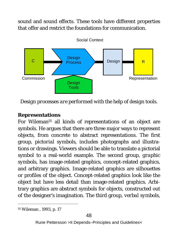sound and sound effects. These tools have different properties that offer and restrict the foundations for communication.



*Design processes are performed with the help of design tools.*

#### **Representations**

For Wileman55 all kinds of representations of an object are symbols. He argues that there are three major ways to represent objects, from concrete to abstract representations. The first group, *pictorial symbols*, includes photographs and illustrations or drawings. Viewers should be able to translate a pictorial symbol to a real-world example. The second group, *graphic symbols*, has image-related graphics, concept-related graphics, and arbitrary graphics. Image-related graphics are silhouettes or profiles of the object. Concept-related graphics look like the object but have less detail than image-related graphics. Arbitrary graphics are abstract symbols for objects, constructed out of the designer's imagination. The third group, *verbal symbols*,

 <sup>55</sup> Wileman , 1993, p. 17

Rune Pettersson >It Depends–Principles and Guidelines<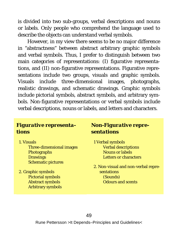is divided into two sub-groups, verbal descriptions and nouns or labels. Only people who comprehend the language used to describe the objects can understand verbal symbols.

However, in my view there seems to be no major difference in "abstractness" between abstract arbitrary graphic symbols and verbal symbols. Thus, I prefer to distinguish between two main categories of representations: (I) figurative representations, and (II) non-figurative representations. Figurative representations include two groups, visuals and graphic symbols. Visuals include three-dimensional images, photographs, realistic drawings, and schematic drawings. Graphic symbols include pictorial symbols, abstract symbols, and arbitrary symbols. Non-figurative representations or verbal symbols include verbal descriptions, nouns or labels, and letters and characters.

#### *Figurative representations*

1. Visuals

Three-dimensional images **Photographs Drawings** Schematic pictures

2. Graphic symbols Pictorial symbols Abstract symbols Arbitrary symbols

#### *Non-Figurative representations*

- 1 Verbal symbols Verbal descriptions Nouns or labels Letters or characters
- 2. Non-visual and non-verbal representations (Sounds) Odours and scents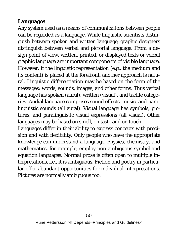#### **Languages**

Any system used as a means of communications between people can be regarded as a language. While linguistic scientists distinguish between spoken and written language, graphic designers distinguish between verbal and pictorial language. From a design point of view, written, printed, or displayed texts or verbal graphic language are important components of visible language. However, if the linguistic representation (e.g., the medium and its content) is placed at the forefront, another approach is natural. Linguistic differentiation may be based on the form of the messages: words, sounds, images, and other forms. Thus verbal language has spoken (aural), written (visual), and tactile categories. Audial language comprises sound effects, music, and paralinguistic sounds (all aural). Visual language has symbols, pictures, and paralinguistic visual expressions (all visual). Other languages may be based on smell, on taste and on touch.

Languages differ in their ability to express concepts with precision and with flexibility. Only people who have the appropriate knowledge can understand a language. Physics, chemistry, and mathematics, for example, employ non-ambiguous symbol and equation languages. Normal prose is often open to multiple interpretations, i.e., it is ambiguous. Fiction and poetry in particular offer abundant opportunities for individual interpretations. Pictures are normally ambiguous too.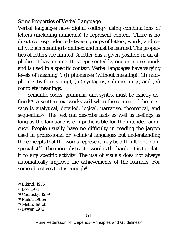#### *Some Properties of Verbal Language*

Verbal languages have digital coding<sup>56</sup> using combinations of letters (including numerals) to represent content. There is no direct correspondence between groups of letters, words, and reality. Each meaning is defined and must be learned. The properties of letters are limited. A letter has a given position in an alphabet. It has a name. It is represented by one or more sounds and is used in a specific context. Verbal languages have varying levels of meaning57: (i) phonemes (without meaning), (ii) morphemes (with meaning), (iii) syntagms, sub-meanings, and (iv) complete meanings.

Semantic codes, grammar, and syntax must be exactly defined58. A written text works well when the content of the message is analytical, detailed, logical, narrative, theoretical, and sequential<sup>59</sup>. The text can describe facts as well as feelings as long as the language is comprehensible for the intended audience. People usually have no difficulty in reading the jargon used in professional or technical languages but understanding the concepts that the words represent may be difficult for a nonspecialist<sup>60</sup>. The more abstract a word is the harder it is to relate it to any specific activity. The use of visuals does not always automatically improve the achievements of the learners. For some objectives text is enough<sup>61</sup>.

- 56 Elkind, 1975
- 57 Eco, 1971
- 58 Chomsky, 1959
- 59 Melin, 1986a
- 60 Melin, 1986b
- <sup>61</sup> Dwyer, 1972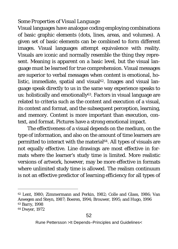#### *Some Properties of Visual Language*

Visual languages have analogue coding employing combinations of basic graphic elements (dots, lines, areas, and volumes). A given set of basic elements can be combined to form different images. Visual languages attempt equivalence with reality. Visuals are iconic and normally resemble the thing they represent. Meaning is apparent on a basic level, but the visual language must be learned for true comprehension. Visual messages are superior to verbal messages when content is emotional, holistic, immediate, spatial and visual<sup>62</sup>. Images and visual language speak directly to us in the same way experience speaks to us: holistically and emotionally<sup>63</sup>. Factors in visual language are related to criteria such as the content and execution of a visual, its context and format, and the subsequent perception, learning, and memory. Content is more important than execution, context, and format. Pictures have a strong emotional impact.

The effectiveness of a visual depends on the medium, on the type of information, and also on the amount of time learners are permitted to interact with the material<sup>64</sup>. All types of visuals are not equally effective. Line drawings are most effective in formats where the learner's study time is limited. More realistic versions of artwork, however, may be more effective in formats where unlimited study time is allowed. The realism continuum is not an effective predictor of learning efficiency for all types of

 <sup>62</sup> Lent, 1980; Zimmermann and Perkin, 1982; Colle and Glass, 1986; Van Aswegen and Steyn, 1987; Boeren, 1994; Brouwer, 1995; and Hugo, 1996 <sup>63</sup> Barry, 1998

<sup>64</sup> Dwyer, 1972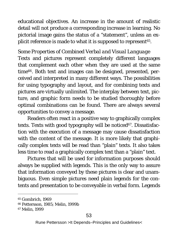educational objectives. An increase in the amount of realistic detail will not produce a corresponding increase in learning. No pictorial image gains the status of a "statement", unless an explicit reference is made to what it is supposed to represent<sup>65</sup>.

#### *Some Properties of Combined Verbal and Visual Language*

Texts and pictures represent completely different languages that complement each other when they are used at the same time66. Both text and images can be designed, presented, perceived and interpreted in many different ways. The possibilities for using typography and layout, and for combining texts and pictures are virtually unlimited. The interplay between text, picture, and graphic form needs to be studied thoroughly before optimal combinations can be found. There are always several opportunities to convey a message.

Readers often react in a positive way to graphically complex texts. Texts with good typography will be noticed<sup>67</sup>. Dissatisfaction with the execution of a message may cause dissatisfaction with the content of the message. It is more likely that graphically complex texts will be read than "plain" texts. It also takes less time to read a graphically complex text than a "plain" text.

Pictures that will be used for information purposes should always be supplied with legends. This is the only way to assure that information conveyed by these pictures is clear and unambiguous. Even simple pictures need plain legends for the contents and presentation to be conveyable in verbal form. Legends

 <sup>65</sup> Gombrich, 1969

<sup>66</sup> Pettersson, 1985; Melin, 1999b

<sup>67</sup> Melin, 1999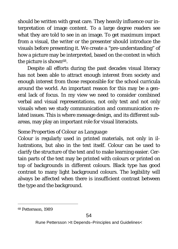should be written with great care. They heavily influence our interpretation of image content. To a large degree readers see what they are told to see in an image. To get maximum impact from a visual, the writer or the presenter should introduce the visuals before presenting it. We create a "pre-understanding" of how a picture may be interpreted, based on the context in which the picture is shown<sup>68</sup>.

Despite all efforts during the past decades visual literacy has not been able to attract enough interest from society and enough interest from those responsible for the school curricula around the world. An important reason for this may be a general lack of focus. In my view we need to consider combined verbal and visual representations, not only text and not only visuals when we study communication and communication related issues. This is where message design, and its different subareas, may play an important role for visual literacists.

#### *Some Properties of Colour as Language*

Colour is regularly used in printed materials, not only in illustrations, but also in the text itself. Colour can be used to clarify the structure of the text and to make learning easier. Certain parts of the text may be printed with colours or printed on top of backgrounds in different colours. Black type has good contrast to many light background colours. The legibility will always be affected when there is insufficient contrast between the type and the background.

68 Pettersson, 1989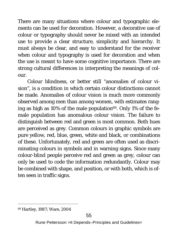There are many situations where colour and typographic elements can be used for decoration. However, a decorative use of colour or typography should never be mixed with an intended use to provide a clear structure, simplicity and hierarchy. It must always be clear, and easy to understand for the receiver when colour and typography is used for decoration and when the use is meant to have some cognitive importance. There are strong cultural differences in interpreting the meanings of colour.

*Colour blindness*, or better still "anomalies of colour vision", is a condition in which certain colour distinctions cannot be made. Anomalies of colour vision is much more commonly observed among men than among women, with estimates ranging as high as 10% of the male population $69$ . Only 1% of the female population has anomalous colour vision. The failure to distinguish between red and green is most common. Both hues are perceived as grey. Common colours in graphic symbols are pure yellow, red, blue, green, white and black, or combinations of these. Unfortunately, red and green are often used as discriminating colours in symbols and in warning signs. Since many colour-blind people perceive red and green as grey, colour can only be used to code the information redundantly. Colour may be combined with shape, and position, or with both, which is often seen in traffic signs.

 <sup>69</sup> Hartley, 1987; Ware, 2004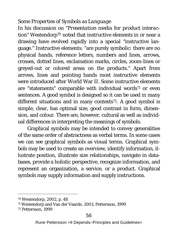#### *Some Properties of Symbols as Language*

In his discussion on "*Presentation media for product interaction"* Westendorp70 noted that *instructive elements* in or near a drawing have evolved rapidly into a special "instructive language." Instructive elements: "are purely symbolic: there are no physical hands, reference letters, numbers and lines, arrows, crosses, dotted lines, exclamation marks, circles, zoom-lines or greyed-out or colored areas on the products." Apart from arrows, lines and pointing hands most instructive elements were introduced after World War II. Some instructive elements are "statements" comparable with individual words<sup>71</sup> or even sentences. A good symbol is designed so it can be used in many different situations and in many contexts<sup>72</sup>. A good symbol is simple, clear, has optimal size, good contrast in form, dimension, and colour. There are, however, cultural as well as individual differences in interpreting the meanings of symbols.

Graphical symbols may be intended to convey generalities of the same order of abstractness as verbal terms. In some cases we can see graphical symbols as visual terms. Graphical symbols may be used to create an overview, identify information, illustrate position, illustrate size relationships, navigate in databases, provide a holistic perspective, recognize information, and represent an organization, a service, or a product. Graphical symbols may supply information and supply instructions.

56

 <sup>70</sup> Westendorp, 2002, p. 48

<sup>71</sup> Westendorp and Van der Vaarde, 2001; Pettersson, 1999

<sup>72</sup> Pettersson, 1999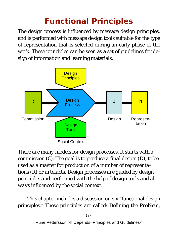# **Functional Principles**

The design process is influenced by message design principles, and is performed with message design tools suitable for the type of representation that is selected during an early phase of the work. These principles can be seen as a set of guidelines for design of information and learning materials.



*There are many models for design processes. It starts with a commission (C). The goal is to produce a final design (D), to be used as a master for production of a number of representations (R) or artefacts. Design processes are guided by design principles and performed with the help of design tools and always influenced by the social context.* 

This chapter includes a discussion on six "functional design principles." These principles are called: *Defining the Problem,*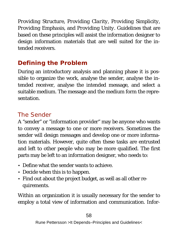*Providing Structure, Providing Clarity, Providing Simplicity, Providing Emphasis,* and *Providing Unity*. Guidelines that are based on these principles will assist the information designer to design information materials that are well suited for the intended receivers.

# **Defining the Problem**

During an introductory analysis and planning phase it is possible to organize the work, analyse the sender, analyse the intended receiver, analyse the intended message, and select a suitable medium. The message and the medium form the representation.

# *The Sender*

A "sender" or "information provider" may be anyone who wants to convey a message to one or more receivers. Sometimes the sender will design messages and develop one or more information materials. However, quite often these tasks are entrusted and left to other people who may be more qualified. The first parts may be left to an information designer, who needs to:

- Define what the sender wants to achieve.
- Decide when this is to happen.
- Find out about the project budget, as well as all other requirements.

Within an organization it is usually necessary for the sender to employ a total view of information and communication. Infor-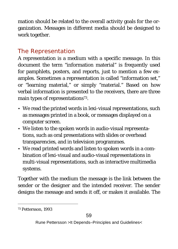mation should be related to the overall activity goals for the organization. Messages in different media should be designed to work together.

# *The Representation*

A representation is a *medium* with a specific *message*. In this document the term "information material" is frequently used for pamphlets, posters, and reports, just to mention a few examples. Sometimes a representation is called "information set," or "learning material," or simply "material." Based on how verbal information is presented to the receivers, there are three main types of representations<sup>73</sup>.

- We read the printed words in lexi-visual representations, such as messages printed in a book, or messages displayed on a computer screen.
- We listen to the spoken words in audio-visual representations, such as oral presentations with slides or overhead transparencies, and in television programmes.
- We read printed words and listen to spoken words in a combination of lexi-visual and audio-visual representations in multi-visual representations, such as interactive multimedia systems.

Together with the medium the message is the link between the sender or the designer and the intended receiver. The sender designs the message and sends it off, or makes it available. The

 <sup>73</sup> Pettersson, 1993

Rune Pettersson >It Depends–Principles and Guidelines<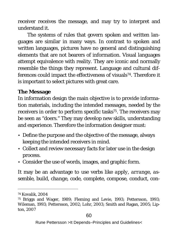receiver receives the message, and may try to interpret and understand it.

The systems of rules that govern spoken and written languages are similar in many ways. In contrast to spoken and written languages, pictures have no general and distinguishing elements that are not bearers of information. Visual languages attempt equivalence with reality. They are iconic and normally resemble the things they represent. Language and cultural differences could impact the effectiveness of visuals<sup>74</sup>. Therefore it is important to select pictures with great care.

#### **The Message**

In information design the main objective is to provide information materials, including the intended messages, needed by the receivers in order to perform specific tasks<sup>75</sup>. The receivers may be seen as "doers." They may develop new skills, understanding and experience. Therefore the information designer must:

- Define the purpose and the objective of the message, always keeping the intended receivers in mind.
- Collect and review necessary facts for later use in the design process.
- Consider the use of words, images, and graphic form.

It may be an advantage to use verbs like *apply, arrange, assemble, build, change, code, complete, compose, conduct, con-*

 <sup>74</sup> Kovalik, 2004

<sup>75</sup> Briggs and Wager, 1989; Fleming and Levie, 1993; Pettersson, 1993; Wileman, 1993; Pettersson, 2002; Lohr, 2003; Smith and Ragan, 2005; Lipton, 2007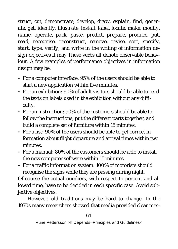*struct, cut, demonstrate, develop, draw, explain, find, generate, get, identify, illustrate, install, label, locate, make, modify, name, operate, pack, paste, predict, prepare, produce, put, read, recognise, reconstruct, remove, revise, sort, specify, start, type, verify,* and *write* in the writing of information design objectives it may These verbs all denote observable behaviour. A few examples of performance objectives in information design may be:

- For a computer interface: 95% of the users should be able to start a new application within five minutes.
- For an exhibition: 90% of adult visitors should be able to read the texts on labels used in the exhibition without any difficulty.
- For an instruction: 90% of the customers should be able to follow the instructions, put the different parts together, and build a complete set of furniture within 15 minutes.
- For a list: 90% of the users should be able to get correct information about flight departure and arrival times within two minutes.
- For a manual: 80% of the customers should be able to install the new computer software within 15 minutes.
- For a traffic information system: 100% of motorists should recognise the signs while they are passing during night.

Of course the actual numbers, with respect to percent and allowed time, have to be decided in each specific case. Avoid subjective objectives.

However, old traditions may be hard to change. In the 1970s many researchers showed that media provided clear mes-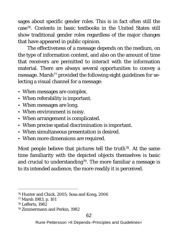sages about specific gender roles. This is in fact often still the case76. Contents in basic textbooks in the United States still show traditional gender roles regardless of the major changes that have appeared in public opinion.

The effectiveness of a message depends on the medium, on the type of information content, and also on the amount of time that receivers are permitted to interact with the information material. There are always several opportunities to convey a message. Marsh<sup>77</sup> provided the following eight guidelines for selecting a visual channel for a message:

- When messages are complex.
- When referability is important.
- When messages are long.
- When environment is noisy.
- When arrangement is complicated.
- When precise spatial discrimination is important.
- When simultaneous presentation is desired.
- When more dimensions are required.

Most people believe that pictures tell the truth<sup>78</sup>. At the same time familiarity with the depicted objects themselves is basic and crucial to understanding<sup>79</sup>. The more familiar a message is to its intended audience, the more readily it is perceived.

 <sup>76</sup> Hunter and Chick, 2005; Sosa and Kong, 2006

<sup>77</sup> Marsh 1983, p. 101

<sup>78</sup> Lefferts, 1982

<sup>79</sup> Zimmermann and Perkin, 1982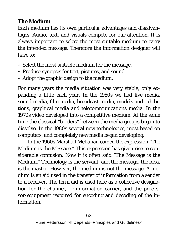#### **The Medium**

Each medium has its own particular advantages and disadvantages. Audio, text, and visuals compete for our attention. It is always important to select the most suitable medium to carry the intended message. Therefore the information designer will have to:

- Select the most suitable medium for the message.
- Produce synopsis for text, pictures, and sound.
- Adopt the graphic design to the medium.

For many years the media situation was very stable, only expanding a little each year. In the 1950s we had live media, sound media, film media, broadcast media, models and exhibitions, graphical media and telecommunications media. In the 1970s video developed into a competitive medium. At the same time the classical "borders" between the media groups began to dissolve. In the 1980s several new technologies, most based on computers, and completely new media began developing.

In the 1960s Marshall McLuhan coined the expression "The Medium is the Message." This expression has given rise to considerable confusion. Now it is often said "The Message is the Medium." Technology is the servant, and the message, the idea, is the master. However, the medium is not the message. A medium is an aid used in the transfer of information from a sender to a receiver. The term aid is used here as a collective designation for the channel, or information carrier, and the processor/equipment required for encoding and decoding of the information.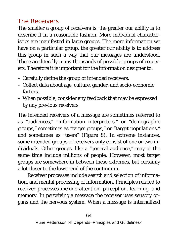# *The Receivers*

The smaller a group of receivers is, the greater our ability is to describe it in a reasonable fashion. More individual characteristics are manifested in large groups. The more information we have on a particular group, the greater our ability is to address this group in such a way that our messages are understood. There are literally many thousands of possible groups of receivers. Therefore it is important for the information designer to:

- Carefully define the group of intended receivers.
- Collect data about age, culture, gender, and socio-economic factors.
- When possible, consider any feedback that may be expressed by any previous receivers.

The intended receivers of a message are sometimes referred to as "audiences," "information interpreters," or "demographic groups," sometimes as "target groups," or "target populations," and sometimes as "users" (Figure 8). In extreme instances, some intended groups of receivers only consist of one or two individuals. Other groups, like a "general audience," may at the same time include millions of people. However, most target groups are somewhere in between these extremes, but certainly a lot closer to the lower end of the continuum.

Receiver processes include search and selection of information, and mental processing of information. Principles related to receiver processes include attention, perception, learning, and memory. In perceiving a message the receiver uses sensory organs and the nervous system. When a message is internalized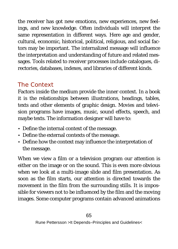the receiver has got new emotions, new experiences, new feelings, and new knowledge. Often individuals will interpret the same representation in different ways. Here age and gender, cultural, economic, historical, political, religious, and social factors may be important. The internalized message will influence the interpretation and understanding of future and related messages. Tools related to receiver processes include catalogues, directories, databases, indexes, and libraries of different kinds.

# *The Context*

Factors inside the medium provide the inner context. In a book it is the relationships between illustrations, headings, tables, texts and other elements of graphic design. Movies and television programs have images, music, sound effects, speech, and maybe texts. The information designer will have to:

- Define the internal context of the message.
- Define the external contexts of the message.
- Define how the context may influence the interpretation of the message.

When we view a film or a television program our attention is either on the image or on the sound. This is even more obvious when we look at a multi-image slide and film presentation. As soon as the film starts, our attention is directed towards the movement in the film from the surrounding stills. It is impossible for viewers not to be influenced by the film and the moving images. Some computer programs contain advanced animations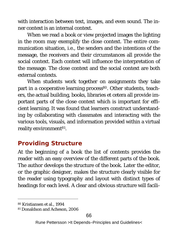with interaction between text, images, and even sound. The inner context is an internal context.

When we read a book or view projected images the lighting in the room may exemplify the close context. The entire communication situation, i.e., the senders and the intentions of the message, the receivers and their circumstances all provide the social context. Each context will influence the interpretation of the message. The close context and the social context are both external contexts.

When students work together on assignments they take part in a cooperative learning process<sup>80</sup>. Other students, teachers, the actual building, books, libraries et cetera all provide important parts of the close context which is important for efficient learning. It was found that learners construct understanding by collaborating with classmates and interacting with the various tools, visuals, and information provided within a virtual reality environment<sup>81</sup>.

# **Providing Structure**

At the beginning of a book the list of contents provides the reader with an easy overview of the different parts of the book. The author develops the structure of the book. Later the editor, or the graphic designer, makes the structure clearly visible for the reader using typography and layout with distinct types of headings for each level. A clear and obvious structure will facili-

 <sup>80</sup> Kristiansen et al., 1994

<sup>81</sup> Donaldson and Acheson, 2006

Rune Pettersson >It Depends–Principles and Guidelines<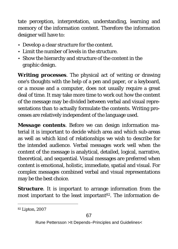tate perception, interpretation, understanding, learning and memory of the information content. Therefore the information designer will have to:

- Develop a clear structure for the content.
- Limit the number of levels in the structure.
- Show the hierarchy and structure of the content in the graphic design.

*Writing processes.* The physical act of writing or drawing one's thoughts with the help of a pen and paper, or a keyboard, or a mouse and a computer, does not usually require a great deal of time. It may take more time to work out how the content of the message may be divided between verbal and visual representations than to actually formulate the contents. Writing processes are relatively independent of the language used.

*Message contents*. Before we can design information material it is important to decide which area and which sub-areas as well as which kind of relationships we wish to describe for the intended audience. Verbal messages work well when the content of the message is analytical, detailed, logical, narrative, theoretical, and sequential. Visual messages are preferred when content is emotional, holistic, immediate, spatial and visual. For complex messages combined verbal and visual representations may be the best choice.

*Structure*. It is important to arrange information from the most important to the least important<sup>82</sup>. The information de-

 <sup>82</sup> Lipton, 2007

Rune Pettersson >It Depends–Principles and Guidelines<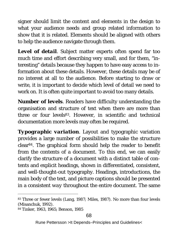signer should limit the content and elements in the design to what your audience needs and group related information to show that it is related. Elements should be aligned with others to help the audience navigate through them.

*Level of detail*. Subject matter experts often spend far too much time and effort describing very small, and for them, "interesting" details because they happen to have easy access to information about these details. However, these details may be of no interest at all to the audience. Before starting to draw or write, it is important to decide which level of detail we need to work on. It is often quite important to avoid too many details.

*Number of levels*. Readers have difficulty understanding the organisation and structure of text when there are more than three or four levels<sup>83</sup>. However, in scientific and technical documentation more levels may often be required.

*Typographic variation*. Layout and typographic variation provides a large number of possibilities to make the structure clear84. The graphical form should help the reader to benefit from the contents of a document. To this end, we can easily clarify the structure of a document with a distinct table of contents and explicit headings, shown in differentiated, consistent, and well-thought-out typography. Headings, introductions, the main body of the text, and picture captions should be presented in a *consistent way* throughout the entire document. The same

<sup>83</sup> Three or fewer levels (Lang, 1987; Miles, 1987). No more than four levels (Misanchuk, 1992).

<sup>84</sup> Tinker, 1963, 1965; Benson, 1985

Rune Pettersson >It Depends–Principles and Guidelines<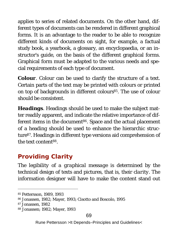applies to series of related documents. On the other hand, different types of documents can be rendered in different graphical forms. It is an advantage to the reader to be able to recognize different kinds of documents on sight, for example, a factual study book, a yearbook, a glossary, an encyclopaedia, or an instructor's guide, on the basis of the different graphical forms. Graphical form must be adapted to the various needs and special requirements of each type of document.

*Colour.* Colour can be used to clarify the structure of a text. Certain parts of the text may be printed with colours or printed on top of backgrounds in different colours<sup>85</sup>. The use of colour should be *consistent*.

*Headings*. Headings should be used to make the subject matter readily apparent, and indicate the relative importance of different items in the document<sup>86</sup>. Space and the actual placement of a heading should be used to enhance the hierarchic structure87. Headings in different type versions aid comprehension of the text content88.

# **Providing Clarity**

The *legibility of a graphical message* is determined by the technical design of texts and pictures, that is, their *clarity*. The information designer will have to make the content stand out

 <sup>85</sup> Pettersson, 1989, 1993

<sup>86</sup> Jonassen, 1982; Mayer, 1993; Cisotto and Boscolo, 1995

<sup>87</sup> Jonassen, 1982

<sup>88</sup> Jonassen; 1982; Mayer, 1993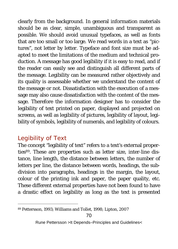clearly from the background. In general information materials should be as clear, simple, unambiguous and transparent as possible. We should avoid unusual typefaces, as well as fonts that are too small or too large. We read words in a text as "pictures", not letter by letter. Typeface and font size must be adapted to meet the limitations of the medium and technical production. A message has good legibility if it is easy to read, and if the reader can easily see and distinguish all different parts of the message. Legibility can be measured rather objectively and its quality is assessable whether we understand the content of the message or not. Dissatisfaction with the execution of a message may also cause dissatisfaction with the content of the message. Therefore the information designer has to consider the legibility of text printed on paper, displayed and projected on screens, as well as legibility of pictures, legibility of layout, legibility of symbols, legibility of numerals, and legibility of colours.

# *Legibility of Text*

The concept "legibility of text" refers to a text's external properties<sup>89</sup>. These are properties such as letter size, inter-line distance, line length, the distance between letters, the number of letters per line, the distance between words, headings, the subdivision into paragraphs, headings in the margin, the layout, colour of the printing ink and paper, the paper quality, etc. These different external properties have not been found to have a drastic effect on legibility as long as the text is presented

 <sup>89</sup> Pettersson, 1993; Williams and Tollet, 1998; Lipton, 2007

Rune Pettersson >It Depends–Principles and Guidelines<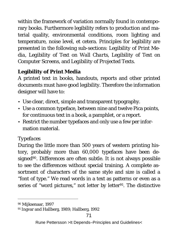within the framework of variation normally found in contemporary books. Furthermore legibility refers to production and material quality, environmental conditions, room lighting and temperature, noise level, et cetera. Principles for legibility are presented in the following sub-sections: *Legibility of Print Media, Legibility of Text on Wall Charts, Legibility of Text on Computer Screens,* and *Legibility of Projected Texts.* 

#### **Legibility of Print Media**

A printed text in books, handouts, reports and other printed documents must have good legibility. Therefore the information designer will have to:

- Use clear, direct, simple and transparent typography.
- Use a common typeface, between nine and twelve Pica points, for continuous text in a book, a pamphlet, or a report.
- Restrict the number typefaces and only use a few per information material.

#### *Typefaces*

During the little more than 500 years of western printing history, probably more than 60,000 typefaces have been designed<sup>90</sup>. Differences are often subtle. It is not always possible to see the differences without special training. A complete assortment of characters of the same style and size is called a "font of type." We read words in a text as patterns or even as a series of "word pictures," not letter by letter<sup>91</sup>. The distinctive

 <sup>90</sup> Mijksenaar, 1997

<sup>91</sup> Ingvar and Hallberg, 1989; Hallberg, 1992

Rune Pettersson >It Depends–Principles and Guidelines<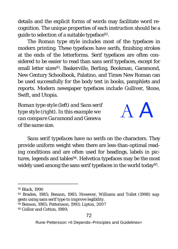details and the explicit forms of words may facilitate word recognition. The unique properties of each instruction should be a guide to selection of a suitable typeface92.

The *Roman type style* includes most of the typefaces in modern printing. These typefaces have serifs, finishing strokes at the ends of the letterforms. Serif typefaces are often considered to be easier to read than sans serif typefaces, except for small letter sizes<sup>93</sup>. Baskerville, Berling, Bookman, Garamond, New Century Schoolbook, Palatino, and Times New Roman can be used successfully for the body text in books, pamphlets and reports. Modern newspaper typefaces include Gulliver, Stone, Swift, and Utopia.

*Roman type style (left) and Sans serif type style (right). In this example we can compare Garamond and Geneva of the same size.*



*Sans serif typefaces* have no serifs on the characters. They provide uniform weight when there are less-than-optimal reading conditions and are often used for headings, labels in pictures, legends and tables<sup>94</sup>. Helvetica typefaces may be the most widely used among the sans serif typefaces in the world today<sup>95</sup>.

95 Collier and Cotton, 1989;

 <sup>92</sup> Black, 1990

<sup>93</sup> Braden, 1985; Benson, 1985. However, Williams and Tollet (1998) suggests using sans serif type to improve legibility.

<sup>94</sup> Benson, 1985; Pettersson, 1993; Lipton, 2007

Rune Pettersson >It Depends–Principles and Guidelines<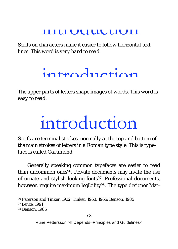# introduction

*Serifs on characters make it easier to follow horizontal text lines. This word is very hard to read.*

# introduction

*The upper parts of letters shape images of words. This word is easy to read.* 

# introduction

*Serifs are terminal strokes, normally at the top and bottom of the main strokes of letters in a Roman type style. This is typeface is called Garamond.*

Generally speaking *common typefaces* are easier to read than uncommon ones<sup>96</sup>. Private documents may invite the use of ornate and stylish looking fonts<sup>97</sup>. Professional documents, however, require maximum legibility<sup>98</sup>. The type designer Mat-

 <sup>96</sup> Paterson and Tinker, 1932; Tinker, 1963, 1965; Benson, 1985

<sup>97</sup> Lenze, 1991

<sup>98</sup> Benson, 1985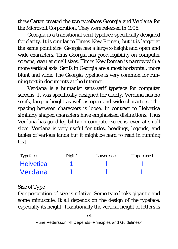thew Carter created the two typefaces *Georgia* and *Verdana* for the Microsoft Corporation. They were released in 1996.

*Georgia* is a transitional serif typeface specifically designed for clarity. It is similar to Times New Roman, but it is larger at the same point size. Georgia has a large x-height and open and wide characters. Thus Georgia has good legibility on computer screens, even at small sizes. Times New Roman is narrow with a more vertical axis. Serifs in Georgia are almost horizontal, more blunt and wide. The Georgia typeface is very common for running text in documents at the Internet.

*Verdana* is a humanist sans-serif typeface for computer screens. It was specifically designed for clarity. Verdana has no serifs, large x-height as well as open and wide characters. The spacing between characters is loose. In contrast to Helvetica similarly shaped characters have emphasized distinctions. Thus Verdana has good legibility on computer screens, even at small sizes. Verdana is very useful for titles, headings, legends, and tables of various kinds but it might be hard to read in running text.

| Typeface         | Digit 1 | Lowercase I | Uppercase I |
|------------------|---------|-------------|-------------|
| <b>Helvetica</b> |         |             |             |
| Verdana          |         |             |             |

#### *Size of Type*

Our perception of size is relative. Some type looks gigantic and some minuscule. It all depends on the design of the typeface, especially its height. Traditionally the vertical height of letters is

74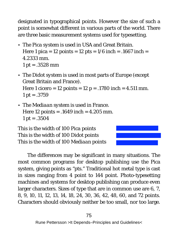designated in typographical *points*. However the size of such a point is somewhat different in various parts of the world. There are three basic measurement systems used for typesetting.

- The *Pica system* is used in USA and Great Britain. Here 1 pica = 12 points = 12 pts =  $1/6$  inch =  $.1667$  inch = 4.2333 mm. 1 pt =  $.3528$  mm
- The *Didot system* is used in most parts of Europe (except Great Britain and France). Here 1 cicero = 12 points = 12 p = .1780 inch =  $4.511$  mm. 1 pt =  $.3759$
- The *Mediaan system* is used in France. Here 12 points = .1649 inch = 4.205 mm. 1 pt =  $.3504$

This is the width of 100 *Pica* points This is the width of 100 *Didot* points This is the width of 100 *Mediaan* points

The differences may be significant in many situations. The most common programs for desktop publishing use the Pica system, giving points as "pts." Traditional hot metal type is cast in sizes ranging from 4 point to 144 point. Photo-typesetting machines and systems for desktop publishing can produce even larger characters. Sizes of type that are in common use are 6, 7, 8, 9, 10, 11, 12, 13, 14, 18, 24, 30, 36, 42, 48, 60, and 72 points. Characters should obviously neither be too small, nor too large.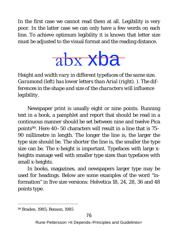In the first case we cannot read them at all. Legibility is very poor. In the latter case we can only have a few words on each line. To achieve optimum legibility it is known that letter size must be adjusted to the visual format and the reading distance.



*Height and width vary in different typefaces of the same size. Garamond (left) has lower letters than Arial (right). ). The differences in the shape and size of the characters will influence legibility.*

Newspaper print is usually eight or nine points. Running text in a book, a pamphlet and report that should be read in a continuous manner should be set between nine and twelve Pica points99. Here 40–50 characters will result in a line that is 75– 90 millimetre in length. The longer the line is, the larger the type size should be. The shorter the line is, the smaller the type size can be. The x-height is important. Typefaces with large xheights manage well with smaller type sizes than typefaces with small x-heights.

In books, magazines, and newspapers larger type may be used for headings. Below are some examples of the word "information" in five size versions: Helvetica 18, 24, 28, 36 and 48 points type.

 <sup>99</sup> Braden, 1985; Benson, 1985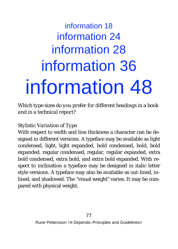# information 18 information 24 information 28 information 36 information 48

*Which type sizes do you prefer for different headings in a book and in a technical report?*

#### *Stylistic Variation of Type*

With respect to width and line thickness a character can be designed in different versions. A typeface may be available as light condensed, light, light expanded, bold condensed, bold, bold expanded, regular condensed, regular, regular expanded, extra bold condensed, extra bold, and extra bold expanded. With respect to inclination a typeface may be designed in italic letter style versions. A typeface may also be available as out-lined, inlined, and shadowed. The "visual weight" varies. It may be compared with physical weight.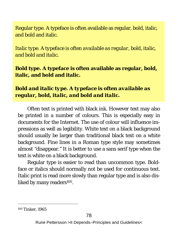Regular type. A typeface is often available as regular, bold, italic, and bold and italic.

*Italic type. A typeface is often available as regular, bold, italic, and bold and italic.*

**Bold type. A typeface is often available as regular, bold, italic, and bold and italic.**

*Bold and italic type. A typeface is often available as regular, bold, italic, and bold and italic.*

Often text is printed with black ink. However text may also be printed in a number of colours. This is especially easy in documents for the Internet. The use of colour will influence impressions as well as legibility. White text on a black background should usually be larger than traditional black text on a white background. Fine lines in a Roman type style may sometimes almost "disappear." It is better to use a sans serif type when the text is white on a black background.

Regular type is easier to read than uncommon type. Boldface or italics should normally not be used for continuous text. Italic print is read more slowly than regular type and is also disliked by many readers<sup>100</sup>.

 <sup>100</sup> Tinker, 1965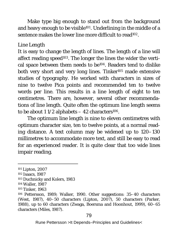Make type big enough to stand out from the background and heavy enough to be visible<sup>101</sup>. Underlining in the middle of a sentence makes the lower line more difficult to read<sup>102</sup>.

#### *Line Length*

It is easy to change the *length of lines*. The length of a line will affect reading speed<sup>103</sup>. The longer the lines the wider the vertical space between them needs to be104. Readers tend to dislike both very short and very long lines. Tinker<sup>105</sup> made extensive studies of typography. He worked with characters in sizes of nine to twelve Pica points and recommended ten to twelve words per line. This results in a line length of eight to ten centimetres. There are, however, several other recommendations of line length. Quite often the optimum line length seems to be about 11/2 alphabets  $-42$  characters<sup>106</sup>.

The optimum line length is nine to eleven centimetres with optimum character size, ten to twelve points, at a normal reading distance. A text column may be widened up to 120–130 millimetres to accommodate more text, and still be easy to read for an experienced reader. It is quite clear that too wide lines impair reading.

 <sup>101</sup> Lipton, 2007 102 Isaacs, 1987 103 Duchnicky and Kolers, 1983 104 Waller, 1987 105 Tinker, 1963 106 Pettersson, 1989; Walker, 1990. Other suggestions: 35–40 characters (West, 1987), 40–50 characters (Lipton, 2007), 50 characters (Parker, 1988), up to 60 characters (Zwaga, Boersma and Hoonhout, 1999), 60–65 characters (Miles, 1987).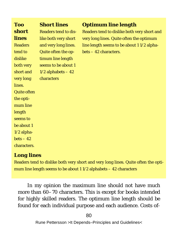| Too            | <b>Short lines</b>    | Optimum line length                         |
|----------------|-----------------------|---------------------------------------------|
| short          | Readers tend to dis-  | Readers tend to dislike both very short and |
| lines          | like both very short  | very long lines. Quite often the optimum    |
| <b>Readers</b> | and very long lines.  | line length seems to be about 11/2 alpha-   |
| tend to        | Quite often the op-   | $bets - 42$ characters.                     |
| dislike        | timum line length     |                                             |
| both very      | seems to be about 1   |                                             |
| short and      | $1/2$ alphabets $-42$ |                                             |
| very long      | characters            |                                             |
| lines.         |                       |                                             |
| Quite often    |                       |                                             |
| the opti-      |                       |                                             |
| mum line       |                       |                                             |
| length         |                       |                                             |
| seems to       |                       |                                             |
| be about 1     |                       |                                             |
| 1/2 alpha-     |                       |                                             |
| $bets - 42$    |                       |                                             |
| characters.    |                       |                                             |

#### *Long lines*

Readers tend to dislike both very short and very long lines. Quite often the optimum line length seems to be about 1 1/2 alphabets – 42 characters

In my opinion the maximum line should not have much more than 60–70 characters. This is except for books intended for highly skilled readers. The optimum line length should be found for each individual purpose and each audience. Costs of-

80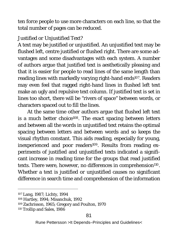ten force people to use more characters on each line, so that the total number of pages can be reduced.

#### *Justified or Unjustified Text?*

A text may be justified or unjustified. An unjustified text may be flushed left, centre justified or flushed right*.* There are some advantages and some disadvantages with each system. A number of authors argue that *justified text* is aesthetically pleasing and that it is easier for people to read lines of the same length than reading lines with markedly varying right-hand ends<sup>107</sup>. Readers may even feel that ragged right-hand lines in flushed left text make an ugly and repulsive text column. If justified text is set in lines too short, there will be "rivers of space" between words, or characters spaced out to fill the lines.

At the same time other authors argue that *flushed left text* is a much better choice<sup>108</sup>. The exact spacing between letters and between all the words in unjustified text retains the optimal spacing between letters and between words and so keeps the visual rhythm constant. This aids reading, especially for young, inexperienced and poor readers<sup>109</sup>. Results from reading experiments of justified and unjustified texts indicated a significant increase in reading time for the groups that read justified texts. There were, however, no differences in comprehension<sup>110</sup>. Whether a text is justified or unjustified causes no significant difference in search time and comprehension of the information

 <sup>107</sup> Lang, 1987; Lichty, 1994

<sup>108</sup> Hartley, 1994; Misanchuk, 1992

<sup>109</sup> Zachrisson, 1965; Gregory and Poulton, 1970

<sup>110</sup> Trollip and Sales, 1986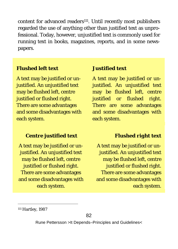content for advanced readers<sup>111</sup>. Until recently most publishers regarded the use of anything other than justified text as unprofessional. Today, however, unjustified text is commonly used for running text in books, magazines, reports, and in some newspapers.

#### *Flushed left text*

A text may be justified or unjustified. An unjustified text may be flushed left, centre justified or flushed right*.*  There are some advantages and some disadvantages with each system.

#### *Centre justified text*

A text may be justified or unjustified. An unjustified text may be flushed left, centre justified or flushed right*.*  There are some advantages and some disadvantages with each system.

#### *Justified text*

A text may be justified or unjustified. An unjustified text may be flushed left, centre justified or flushed right*.*  There are some advantages and some disadvantages with each system.

#### *Flushed right text*

A text may be justified or unjustified. An unjustified text may be flushed left, centre justified or flushed right. There are some advantages and some disadvantages with each system.

111 Hartley, 1987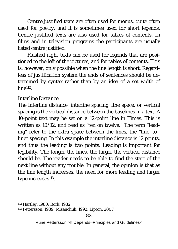*Centre justified texts* are often used for menus, quite often used for poetry, and it is sometimes used for short legends. Centre justified texts are also used for tables of contents. In films and in television programs the participants are usually listed centre justified.

*Flushed right texts* can be used for legends that are positioned to the left of the pictures, and for tables of contents. This is, however, only possible when the line length is short. Regardless of justification system the ends of sentences should be determined by syntax rather than by an idea of a set width of line112.

#### *Interline Distance*

The interline distance, interline spacing, line space, or vertical spacing is the vertical distance between the baselines in a text. A 10-point text may be set on a 12-point line in Times. This is written as 10/12, and read as "ten on twelve." The term "leading" refer to the extra space between the lines, the "line–to– line" spacing. In this example the interline distance is 12 points, and thus the leading is two points. Leading is important for legibility. The longer the lines, the larger the vertical distance should be. The reader needs to be able to find the start of the next line without any trouble. In general, the opinion is that as the line length increases, the need for more leading and larger type increases<sup>113</sup>.

 <sup>112</sup> Hartley, 1980; Bork, 1982

<sup>113</sup> Pettersson, 1989; Misanchuk, 1992; Lipton, 2007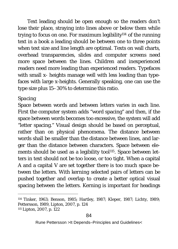Text leading should be open enough so the readers don't lose their place, straying into lines above or below them while trying to focus on one. For maximum legibility114 of the running text in a book a leading should be between one to three points when text size and line length are optimal. Texts on wall charts, overhead transparencies, slides and computer screens need more space between the lines. Children and inexperienced readers need more leading than experienced readers. Typefaces with small x- heights manage well with less leading than typefaces with large x-heights. Generally speaking, one can use the type size plus 15–30% to determine this ratio.

#### *Spacing*

Space between words and between letters varies in each line. First the computer system adds "word spacing" and then, if the space between words becomes too excessive, the system will add "letter spacing." Visual design should be based on perceptual, rather than on physical phenomena. The distance between words shall be smaller than the distance between lines, and larger than the distance between characters. Space between elements should be used as a legibility tool<sup>115</sup>. Space between letters in text should not be too loose, or too tight. When a capital A and a capital V are set together there is too much space between the letters. With *kerning* selected pairs of letters can be pushed together and overlap to create a better optical visual spacing between the letters. Kerning is important for headings

 <sup>114</sup> Tinker, 1963; Benson, 1985; Hartley, 1987; Kleper, 1987; Lichty, 1989; Pettersson, 1989, Lipton, 2007, p. 124 115 Lipton, 2007, p. 122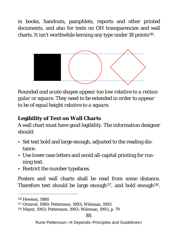in books, handouts, pamphlets, reports and other printed documents, and also for texts on OH transparencies and wall charts. It isn't worthwhile kerning any type under 18 points<sup>116</sup>.



*Rounded and acute shapes appear too low relative to a rectangular or square. They need to be extended in order to appear to be of equal height relative to a square.* 

**Legibility of Text on Wall Charts**

A wall chart must have good legibility. The information designer should:

- Set text bold and large enough, adjusted to the reading distance.
- Use lower case letters and avoid all-capital printing for running text.
- Restrict the number typefaces.

Posters and wall charts shall be read from some distance. Therefore text should be large enough<sup>117</sup>, and bold enough<sup>118</sup>.

85

 <sup>116</sup> Hewson, 1988

<sup>117</sup> Ormrod, 1989; Pettersson, 1993; Wileman, 1993

<sup>118</sup> Mayer, 1993; Pettersson, 1993; Wileman, 1993, p. 79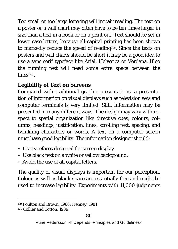Too small or too large lettering will impair reading. The text on a poster or a wall chart may often have to be ten times larger in size than a text in a book or on a print out. Text should be set in lower case letters, because all-capital printing has been shown to markedly reduce the speed of reading<sup>119</sup>. Since the texts on posters and wall charts should be short it may be a good idea to use a sans serif typeface like Arial, Helvetica or Verdana. If so the running text will need some extra space between the lines120.

#### **Legibility of Text on Screens**

Compared with traditional graphic presentations, a presentation of information on visual displays such as television sets and computer terminals is very limited. Still, information may be presented in many different ways. The design may vary with respect to spatial organization like directive cues, colours, columns, headings, justification, lines, scrolling text, spacing, and twinkling characters or words. A text on a computer screen must have good legibility. The information designer should:

- Use typefaces designed for screen display.
- Use black text on a white or yellow background.
- Avoid the use of all capital letters.

The quality of visual displays is important for our perception. Colour as well as blank space are essentially free and might be used to increase legibility. Experiments with 11,000 judgments

 <sup>119</sup> Poulton and Brown, 1968; Henney, 1981 120 Collier and Cotton, 1989

Rune Pettersson >It Depends–Principles and Guidelines<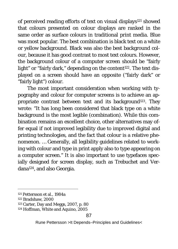of perceived reading efforts of text on visual displays<sup>121</sup> showed that colours presented on colour displays are ranked in the same order as surface colours in traditional print media. Blue was most popular. The best combination is black text on a white or yellow background. Black was also the best background colour, because it has good contrast to most text colours. However, the background colour of a computer screen should be "fairly light" or "fairly dark," depending on the content<sup>122</sup>. The text displayed on a screen should have an opposite ("fairly dark" or "fairly light") colour.

The most important consideration when working with typography and colour for computer screens is to achieve an appropriate contrast between text and its background<sup>123</sup>. They wrote: "It has long been considered that black type on a white background is the most legible (combination). While this combination remains an excellent choice, other alternatives may offer equal if not improved legibility due to improved digital and printing technologies, and the fact that colour is a relative phenomenon. … Generally, all legibility guidelines related to working with colour and type in print apply also to type appearing on a computer screen." It is also important to use typefaces specially designed for screen display, such as Trebuchet and Verdana124, and also Georgia.

 <sup>121</sup> Pettersson et al., 1984a

<sup>122</sup> Bradshaw, 2000

<sup>123</sup> Carter, Day and Meggs, 2007, p. 80

<sup>124</sup> Hoffman, White and Aquino, 2005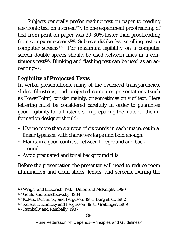Subjects generally prefer reading text on paper to reading electronic text on a screen<sup>125</sup>. In one experiment proofreading of text from print on paper was 20-30% faster than proofreading from computer screens<sup>126</sup>. Subjects dislike fast scrolling text on computer screens127. For maximum legibility on a computer screen double spaces should be used between lines in a continuous text<sup>128</sup>. Blinking and flashing text can be used as an accenting129.

### **Legibility of Projected Texts**

In verbal presentations, many of the overhead transparencies, slides, filmstrips, and projected computer presentations (such as PowerPoint) consist mainly, or sometimes only of text. Here lettering must be considered carefully in order to guarantee good legibility for all listeners. In preparing the material the information designer should:

- Use no more than six rows of six words in each image, set in a linear typeface, with characters large and bold enough.
- Maintain a good contrast between foreground and background.
- Avoid graduated and tonal background fills.

Before the presentation the presenter will need to reduce room illumination and clean slides, lenses, and screens. During the

 <sup>125</sup> Wright and Lickorish, 1983; Dillon and McKnight, 1990

<sup>126</sup> Gould and Grischkowsky, 1984

<sup>127</sup> Kolers, Duchnicky and Ferguson, 1981; Burg et al., 1982

<sup>128</sup> Kolers, Duchnicky and Fergusson, 1981; Grabinger, 1989 <sup>129</sup> Rambally and Rambally, 1987

Rune Pettersson >It Depends–Principles and Guidelines<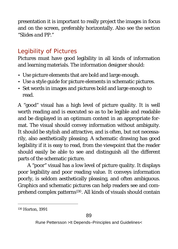presentation it is important to really project the images in focus and on the screen, preferably horizontally. Also see the section "*Slides and PP*."

## *Legibility of Pictures*

Pictures must have good legibility in all kinds of information and learning materials. The information designer should:

- Use picture elements that are bold and large enough.
- Use a style guide for picture elements in schematic pictures.
- Set words in images and pictures bold and large enough to read.

A "good" visual has a high level of picture quality. It is well worth reading and is executed so as to be legible and readable and be displayed in an optimum context in an appropriate format. The visual should convey information without ambiguity. It should be stylish and attractive, and is often, but not necessarily, also aesthetically pleasing. A schematic drawing has good legibility if it is easy to read, from the viewpoint that the reader should easily be able to see and distinguish all the different parts of the schematic picture.

A "poor" visual has a low level of picture quality. It displays poor legibility and poor reading value. It conveys information poorly, is seldom aesthetically pleasing, and often ambiguous. Graphics and schematic pictures can help readers see and comprehend complex patterns130. All kinds of visuals should contain

 <sup>130</sup> Horton, 1991

Rune Pettersson >It Depends–Principles and Guidelines<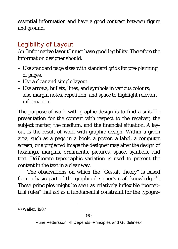essential information and have a good contrast between figure and ground.

# *Legibility of Layout*

An "informative layout" must have good legibility. Therefore the information designer should:

- Use standard page sizes with standard grids for pre-planning of pages.
- Use a clear and simple layout.
- Use arrows, bullets, lines, and symbols in various colours; also margin notes, repetition, and space to highlight relevant information.

The purpose of work with graphic design is to find a suitable presentation for the content with respect to the receiver, the subject matter, the medium, and the financial situation. A layout is the result of work with graphic design. Within a given area, such as a page in a book, a poster, a label, a computer screen, or a projected image the designer may alter the design of headings, margins, ornaments, pictures, space, symbols, and text. Deliberate typographic variation is used to present the content in the text in a clear way.

The observations on which the "Gestalt theory" is based form a basic part of the graphic designer's craft knowledge<sup>131</sup>. These principles might be seen as relatively inflexible "perceptual rules" that act as a fundamental constraint for the typogra-

 <sup>131</sup> Waller, 1987

Rune Pettersson >It Depends–Principles and Guidelines<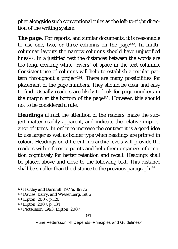pher alongside such conventional rules as the left-to-right direction of the writing system.

*The page*. For reports, and similar documents, it is reasonable to use one, two, or three columns on the page132. In multicolumnar layouts the narrow columns should have unjustified lines133. In a justified text the distances between the words are too long, creating white "rivers" of space in the text columns. Consistent use of columns will help to establish a regular pattern throughout a project<sup>134</sup>. There are many possibilities for placement of the page numbers. They should be clear and easy to find. Usually readers are likely to look for page numbers in the margin at the bottom of the page135. However, this should not to be considered a rule.

*Headings* attract the attention of the readers, make the subject matter readily apparent, and indicate the relative importance of items. In order to increase the contrast it is a good idea to use larger as well as bolder type when headings are printed in colour. Headings on different hierarchic levels will provide the readers with reference points and help them organize information cognitively for better retention and recall. Headings shall be placed above and close to the following text. This distance shall be smaller than the distance to the previous paragraph<sup>136</sup>.

 <sup>132</sup> Hartley and Burnhill, 1977a, 1977b

<sup>133</sup> Davies, Barry, and Wiesenberg, 1986

<sup>134</sup> Lipton, 2007, p.120

<sup>135</sup> Lipton, 2007, p. 134

<sup>136</sup> Pettersson, 1993; Lipton, 2007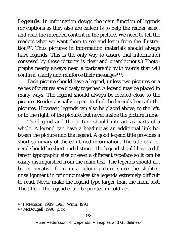*Legends*. In information design the main function of legends (or captions as they also are called) is to help the reader select and read the intended content in the picture. We need to tell the readers what we want them to see and learn from the illustration<sup>137</sup>. Thus pictures in information materials should always have legends. This is the only way to assure that information conveyed by these pictures is clear and unambiguous.) Photographs nearly always need a partnership with words that will confirm, clarify and reinforce their messages<sup>138</sup>.

Each picture should have a legend, unless two pictures or a series of pictures are closely together. A legend may be placed in many ways. The legend should always be located close to the picture. Readers usually expect to find the legends beneath the pictures. However, legends can also be placed above, to the left, or to the right, of the picture, but never inside the picture frame.

The legend and the picture should interact as parts of a whole. A legend can have a heading as an additional link between the picture and the legend. A good *legend title* provides a short summary of the combined information. The title of a legend should be short and distinct. The legend should have a different typographic size or even a different typeface so it can be easily distinguished from the main text. The legends should not be in negative form in a colour picture since the slightest misalignment in printing makes the legends extremely difficult to read. Never make the legend type larger than the main text. The title of the legend could be printed in boldface.

 <sup>137</sup> Pettersson, 1989, 1993; Winn, 1993

<sup>138</sup> McDougall, 1990, p. ix

Rune Pettersson >It Depends–Principles and Guidelines<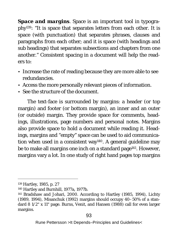*Space and margins*. Space is an important tool in typography139: "It is space that separates letters from each other. It is space (with punctuation) that separates phrases, clauses and paragraphs from each other; and it is space (with headings and sub headings) that separates subsections and chapters from one another." Consistent spacing in a document will help the readers to:

- Increase the rate of reading because they are more able to see redundancies.
- Access the more personally relevant pieces of information.
- See the structure of the document.

The text-face is surrounded by margins: a header (or top margin) and footer (or bottom margin), an inner and an outer (or outside) margin. They provide space for comments, headings, illustrations, page numbers and personal notes. Margins also provide space to hold a document while reading it. Headings, margins and "empty" space can be used to aid communication when used in a consistent way<sup>140</sup>. A general guideline may be to make all margins one inch on a standard page<sup>141</sup>. However, margins vary a lot. In one study of right hand pages top margins

 <sup>139</sup> Hartley, 1985, p. 27

<sup>140</sup> Hartley and Burnhill, 1977a, 1977b.

<sup>141</sup> Bradshaw and Johari, 2000. According to Hartley (1985, 1994), Lichty (1989, 1994), Misanchuk (1992) margins should occupy 40–50% of a standard 8 1/2" x 11" page. Burns, Venit, and Hansen (1988) call for even larger margins.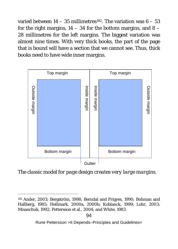varied between  $14 - 35$  millimetres<sup>142</sup>. The variation was  $6 - 53$ for the right margins,  $14 - 34$  for the bottom margins, and  $8 - 1$ 28 millimetres for the left margins. The biggest variation was almost nine times. With very thick books, the part of the page that is bound will have a section that we cannot see. Thus, thick books need to have wide inner margins.



*The classic model for page design creates very large margins.*

 <sup>142</sup> Ander, 2003; Bergström, 1998; Berndal and Frigyes, 1990; Bohman and Hallberg, 1985; Hellmark, 2000a, 2000b; Koblanck, 1999; Lohr, 2003; Misanchuk, 1992; Pettersson et al., 2004; and White, 1983.

Rune Pettersson >It Depends–Principles and Guidelines<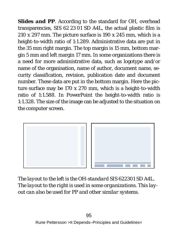*Slides and PP*. According to the standard for OH, overhead transparencies, SIS 62 23 01 SD A4L, the actual plastic film is 210 x 297 mm. The picture surface is 190 x 245 mm, which is a height-to-width ratio of 1:1.289. Administrative data are put in the 35 mm right margin. The top margin is 15 mm, bottom margin 5 mm and left margin 17 mm. In some organizations there is a need for more administrative data, such as logotype and/or name of the organisation, name of author, document name, security classification, revision, publication date and document number. These data are put in the bottom margin. Here the picture surface may be 170 x 270 mm, which is a height-to-width ratio of 1:1.588. In PowerPoint the height-to-width ratio is 1:1.328. The size of the image can be adjusted to the situation on the computer screen.



*The layout to the left is the OH-standard SIS 622301 SD A4L. The layout to the right is used in some organizations. This layout can also be used for PP and other similar systems.*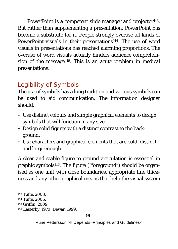PowerPoint is a competent slide manager and projector<sup>143</sup>. But rather than supplementing a presentation, PowerPoint has become a substitute for it. People strongly overuse all kinds of PowerPoint-visuals in their presentations<sup>144</sup>. The use of word visuals in presentations has reached alarming proportions. The overuse of word visuals actually hinders audience comprehension of the message<sup>145</sup>. This is an acute problem in medical presentations.

# *Legibility of Symbols*

The use of symbols has a long tradition and various symbols can be used to aid communication. The information designer should:

- Use distinct colours and simple graphical elements to design symbols that will function in any size.
- Design solid figures with a distinct contrast to the background.
- Use characters and graphical elements that are bold, distinct and large enough.

A clear and stable figure to ground articulation is essential in graphic symbols146. The figure ("foreground") should be organised as one unit with close boundaries, appropriate line thickness and any other graphical means that help the visual system

 <sup>143</sup> Tufte, 2003.

<sup>144</sup> Tufte, 2006.

<sup>145</sup> Griffin, 2009.

<sup>146</sup> Easterby, 1970; Dewar, 1999.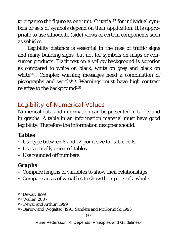to organise the figure as one unit. Criteria147 for individual symbols or sets of symbols depend on their application. It is appropriate to use silhouette (side) views of certain components such as vehicles.

Legibility distance is essential in the case of traffic signs and many building signs, but not for symbols on maps or consumer products. Black text on a yellow background is superior as compared to white on black, white on grey and black on white<sup>148</sup>. Complex warning messages need a combination of pictographs and words<sup>149</sup>. Warnings must have high contrast relative to the background<sup>150</sup>.

# *Legibility of Numerical Values*

Numerical data and information can be presented in tables and in graphs*.* A table in an information material must have good legibility. Therefore the information designer should:

#### *Tables*

- Use type between 8 and 12-point size for table cells.
- Use vertically oriented tables.
- Use rounded off numbers.

#### *Graphs*

- Compare lengths of variables to show their relationships.
- Compare areas of variables to show their parts of a whole.

 <sup>147</sup> Dewar, 1999

<sup>148</sup> Waller, 2007

<sup>149</sup> Dewar and Arthur, 1999

<sup>150</sup> Barlow and Wogalter, 1991; Sanders and McGormick, 1993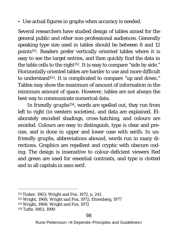• Use actual figures in graphs when accuracy is needed.

Several researchers have studied design of tables aimed for the general public and other non-professional audiences. Generally speaking type size used in tables should be between 8 and 12 points<sup>151</sup>. Readers prefer vertically oriented tables where it is easy to see the target entries, and then quickly find the data in the table cells to the right<sup>152</sup>. It is easy to compare "side by side." Horizontally oriented tables are harder to use and more difficult to understand153. It is complicated to compare "up and down." Tables may show the maximum of amount of information in the minimum amount of space. However, tables are not always the best way to communicate numerical data.

In *friendly graphs154*, words are spelled out, they run from left to right (in western societies), and data are explained. Elaborately encoded shadings, cross-hatching, and colours are avoided. Colours are easy to distinguish, type is clear and precise, and is done in upper and lower case with serifs. In *unfriendly graphs*, abbreviations abound, words run in many directions. Graphics are repellent and cryptic with obscure coding. The design is insensitive to colour-deficient viewers Red and green are used for essential contrasts, and type is clotted and in all capitals in sans serif.

 <sup>151</sup> Tinker, 1963; Wright and Fox, 1972, p. 241.

<sup>152</sup> Wright, 1968; Wright and Fox, 1972; Ehrenberg, 1977

<sup>153</sup> Wright, 1968; Wright and Fox, 1972

<sup>154</sup> Tufte, 1983; 1990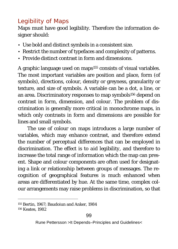# *Legibility of Maps*

Maps must have good legibility. Therefore the information designer should:

- Use bold and distinct symbols in a consistent size.
- Restrict the number of typefaces and complexity of patterns.
- Provide distinct contrast in form and dimensions.

A graphic language used on maps<sup>155</sup> consists of visual variables. The most important variables are position and place, form (of symbols), directions, colour, density or greyness, granularity or texture, and size of symbols. A variable can be a dot, a line, or an area. Discriminatory responses to map symbols<sup>156</sup> depend on contrast in *form, dimension,* and *colour*. The problem of discrimination is generally more critical in monochrome maps, in which only contrasts in form and dimensions are possible for lines and small symbols.

The use of colour on maps introduces a large number of variables, which may enhance contrast, and therefore extend the number of perceptual differences that can be employed in discrimination. The effect is to *aid legibility*, and therefore to increase the total range of information which the map can present. Shape and colour components are often used for designating a link or relationship between groups of messages. The recognition of geographical features is much enhanced when areas are differentiated by hue. At the same time, complex colour arrangements may raise problems in discrimination, so that

 <sup>155</sup> Bertin, 1967; Baudoiun and Anker, 1984 156 Keates, 1982

Rune Pettersson >It Depends–Principles and Guidelines< 99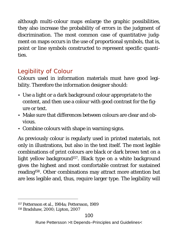although multi-colour maps enlarge the graphic possibilities, they also increase the probability of errors in the judgment of discrimination. The most common case of quantitative judgment on maps occurs in the use of proportional symbols, that is, point or line symbols constructed to represent specific quantities.

# *Legibility of Colour*

Colours used in information materials must have good legibility. Therefore the information designer should:

- Use a light or a dark background colour appropriate to the content, and then use a colour with good contrast for the figure or text.
- Make sure that differences between colours are clear and obvious.
- Combine colours with shape in warning signs.

As previously colour is regularly used in printed materials, not only in illustrations, but also in the text itself. The most legible combinations of print colours are black or dark brown text on a light yellow background<sup>157</sup>. Black type on a white background gives the highest and most comfortable contrast for sustained reading158. Other combinations may attract more attention but are less legible and, thus, require larger type. The legibility will

 <sup>157</sup> Pettersson et al., 1984a; Pettersson, 1989

<sup>158</sup> Bradshaw, 2000; Lipton, 2007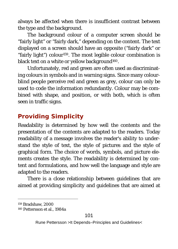always be affected when there is insufficient contrast between the type and the background.

The background colour of a computer screen should be "fairly light" or "fairly dark," depending on the content. The text displayed on a screen should have an opposite ("fairly dark" or "fairly light") colour159. The most legible colour combination is black text on a white or yellow background<sup>160</sup>.

Unfortunately, red and green are often used as discriminating colours in symbols and in warning signs. Since many colourblind people perceive red and green as grey, colour can only be used to code the information redundantly. Colour may be combined with shape, and position, or with both, which is often seen in traffic signs.

# **Providing Simplicity**

Readability is determined by how well the contents and the presentation of the contents are adapted to the readers. Today readability of a message involves the reader's ability to understand the style of text, the style of pictures and the style of graphical form. The choice of words, symbols, and picture elements creates the style. The readability is determined by content and formulations, and how well the language and style are adapted to the readers.

There is a close relationship between guidelines that are aimed at providing *simplicity* and guidelines that are aimed at

 <sup>159</sup> Bradshaw, 2000

<sup>160</sup> Pettersson et al., 1984a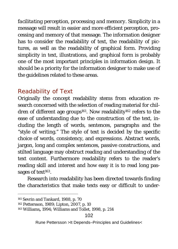*facilitating perception, processing and memory*. Simplicity in a message will result in easier and more efficient perception, processing and memory of that message. The information designer has to consider the readability of text, the readability of pictures, as well as the readability of graphical form. Providing simplicity in text, illustrations, and graphical form is probably one of the most important principles in information design. It should be a priority for the information designer to make use of the guidelines related to these areas.

### *Readability of Text*

Originally the concept readability stems from education research concerned with the selection of reading material for children of different age groups<sup>161</sup>. Now readability<sup>162</sup> refers to the ease of understanding due to the construction of the text, including the length of words, sentences, paragraphs and the "style of writing." The style of text is decided by the specific choice of words, consistency, and expressions. Abstract words, jargon, long and complex sentences, passive constructions, and stilted language may obstruct reading and understanding of the text content. Furthermore readability refers to the reader's reading skill and interest and how easy it is to read long passages of text<sup>163</sup>.

Research into readability has been directed towards finding the characteristics that make texts easy or difficult to under-

 <sup>161</sup> Sevrin and Tankard, 1988, p. 70

<sup>162</sup> Pettersson, 1989; Lipton, 2007, p. 10

<sup>163</sup> Williams**,** 1994; Williams and Tollet, 1998, p. 214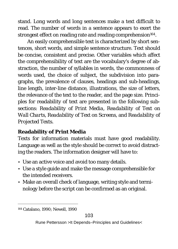stand. Long words and long sentences make a text difficult to read. The number of words in a sentence appears to exert the strongest effect on reading rate and reading comprehension<sup>164</sup>.

An easily comprehensible text is characterized by short sentences, short words, and simple sentence structure. Text should be concise, consistent and precise. Other variables which affect the comprehensibility of text are the vocabulary's degree of abstraction, the number of syllables in words, the commonness of words used, the choice of subject, the subdivision into paragraphs, the prevalence of clauses, headings and sub-headings, line length, inter-line distance, illustrations, the size of letters, the relevance of the text to the reader, and the page size. Principles for readability of text are presented in the following subsections: *Readability of Print Media, Readability of Text on Wall Charts, Readability of Text on Screens,* and *Readability of Projected Texts.* 

#### **Readability of Print Media**

Texts for information materials must have good readability. Language as well as the style should be correct to avoid distracting the readers. The information designer will have to:

- Use an active voice and avoid too many details.
- Use a style guide and make the message comprehensible for the intended receivers.
- Make an overall check of language, writing style and terminology before the script can be confirmed as an original.

 <sup>164</sup> Catalano, 1990; Newell, 1990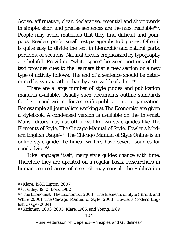Active, affirmative, clear, declarative, essential and short words in simple, short and precise sentences are the most readable165. People may avoid materials that they find difficult and pompous. Readers prefer small text paragraphs to big ones. Often it is quite easy to divide the text in hierarchic and natural parts, portions, or sections. Natural breaks emphasized by typography are helpful. Providing "white space" between portions of the text provides cues to the learners that a new section or a new type of activity follows. The end of a sentence should be determined by syntax rather than by a set width of a line<sup>166</sup>.

There are a large number of style guides and publication manuals available. Usually such documents outline standards for design and writing for a specific publication or organization. For example all *journalists* working at *The Economist* are given a stylebook. A condensed version is available on the Internet. Many *editors* may use other well-known style guides like *The Elements of Style*, *The Chicago Manual of Style*, *Fowler's Modern English Usage167*. *The Chicago Manual of Style Online* is an online style guide. *Technical writers* have several sources for good advice168.

Like language itself, many style guides change with time. Therefore they are updated on a regular basis. *Researchers* in human centred areas of research may consult the *Publication* 

 <sup>165</sup> Klare, 1985; Lipton, 2007

<sup>166</sup> Hartley, 1980; Bork, 1982

<sup>167</sup> *The Economist* (The Economist, 2003), *The Elements of Style* (Strunk and White 2000), *The Chicago Manual of Style* (2003), *Fowler's Modern English Usage* (2004)

<sup>168</sup> Kirkman; 2003, 2005; Klare, 1985; and Young, 1989

Rune Pettersson >It Depends–Principles and Guidelines<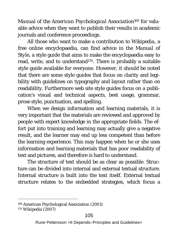*Manual of the American Psychological Association169* for valuable advice when they want to publish their results in academic journals and conference proceedings.

All those who want to make a contribution to *Wikipedia*, a free online encyclopaedia, can find advice in the *Manual of Style,* a style guide that aims to make the encyclopaedia easy to read, write, and to understand170. There is probably a suitable style guide available for everyone. However, it should be noted that there are some style guides that focus on clarity and legibility with guidelines on typography and layout rather than on readability. Furthermore web site style guides focus on a publication's visual and technical aspects, best usage, grammar, prose style, punctuation, and spelling.

When we design information and learning materials, it is very important that the materials are reviewed and approved by people with expert knowledge in the appropriate fields. The effort put into training and learning may actually give a negative result, and the learner may end up less competent than before the learning experience. This may happen when he or she uses information and learning materials that has poor readability of text and pictures, and therefore is hard to understand.

The structure of text should be as clear as possible. Structure can be divided into internal and external textual structure. Internal structure is built into the text itself. External textual structure relates to the embedded strategies, which focus a

 <sup>169</sup> American Psychological Association (2001)

<sup>170</sup> Wikipedia (2007)

Rune Pettersson >It Depends–Principles and Guidelines<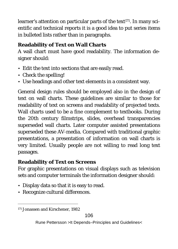learner's attention on particular parts of the text<sup>171</sup>. In many scientific and technical reports it is a good idea to put series items in bulleted lists rather than in paragraphs.

#### **Readability of Text on Wall Charts**

A wall chart must have good readability. The information designer should:

- Edit the text into sections that are easily read.
- Check the spelling!
- Use headings and other text elements in a consistent way.

General design rules should be employed also in the design of text on wall charts. These guidelines are similar to those for readability of text on screens and readability of projected texts. Wall charts used to be a fine complement to textbooks. During the 20th century filmstrips, slides, overhead transparencies superseded wall charts. Later computer assisted presentations superseded these AV-media. Compared with traditional graphic presentations, a presentation of information on wall charts is very limited. Usually people are not willing to read long text passages.

#### **Readability of Text on Screens**

For graphic presentations on visual displays such as television sets and computer terminals the information designer should:

- Display data so that it is easy to read.
- Recognize cultural differences.

 <sup>171</sup> Jonassen and Kirschener, 1982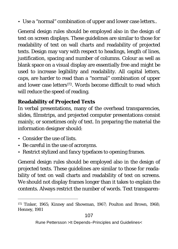• Use a "normal" combination of upper and lower case letters..

General design rules should be employed also in the design of text on screen displays. These guidelines are similar to those for readability of text on wall charts and readability of projected texts. Design may vary with respect to headings, length of lines, justification, spacing and number of columns. Colour as well as blank space on a visual display are essentially free and might be used to increase legibility and readability. All capital letters, *caps*, are harder to read than a "normal" combination of upper and lower case letters<sup>172</sup>. Words become difficult to read which will reduce the speed of reading.

#### **Readability of Projected Texts**

In verbal presentations, many of the overhead transparencies, slides, filmstrips, and projected computer presentations consist mainly, or sometimes only of text. In preparing the material the information designer should:

- Consider the use of lists.
- Be careful in the use of acronyms.
- Restrict stylized and fancy typefaces to opening frames.

General design rules should be employed also in the design of projected texts. These guidelines are similar to those for readability of text on wall charts and readability of text on screens. We should not display frames longer than it takes to explain the contents. Always restrict the number of words. Text transparen-

 <sup>172</sup> Tinker, 1965; Kinney and Showman, 1967; Poulton and Brown, 1968; Henney, 1981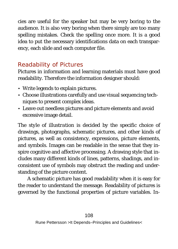cies are useful for the speaker but may be very boring to the audience. It is also very boring when there simply are too many spelling mistakes. Check the spelling once more. It is a good idea to put the necessary identifications data on each transparency, each slide and each computer file.

## *Readability of Pictures*

Pictures in information and learning materials must have good readability. Therefore the information designer should:

- Write legends to explain pictures.
- Choose illustrations carefully and use visual sequencing techniques to present complex ideas.
- Leave out needless pictures and picture elements and avoid excessive image detail.

The *style of illustration* is decided by the specific choice of drawings, photographs, schematic pictures, and other kinds of pictures, as well as consistency, expressions, picture elements, and symbols. Images can be readable in the sense that they inspire cognitive and affective processing. A drawing style that includes many different kinds of lines, patterns, shadings, and inconsistent use of symbols may obstruct the reading and understanding of the picture content.

A schematic picture has good readability when it is easy for the reader to understand the message. Readability of pictures is governed by the functional properties of picture variables. *In-*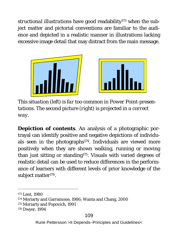*structional illustrations* have good readability173 when the subject matter and pictorial conventions are familiar to the audience and depicted in a realistic manner in illustrations lacking excessive image detail that may distract from the main message.





*This situation (left) is far too common in Power Point-presentations. The second picture (right) is projected in a correct way.*

*Depiction of contents*. An analysis of a photographic portrayal can identify positive and negative depictions of individuals seen in the photographs<sup>174</sup>. Individuals are viewed more positively when they are shown walking, running or moving than just sitting or standing175. Visuals with varied degrees of realistic detail can be used to reduce differences in the performance of learners with different levels of prior knowledge of the subject matter<sup>176</sup>.

 <sup>173</sup> Lent, 1980

<sup>174</sup> Moriarty and Garramone, 1986; Wanta and Chang, 2000

<sup>175</sup> Moriarty and Popovich, 1991

<sup>176</sup> Dwyer, 1994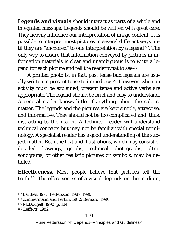*Legends and visuals* should interact as parts of a whole and integrated message. Legends should be written with great care. They heavily influence our interpretation of image content. It is possible to interpret most pictures in several different ways until they are "anchored" to one interpretation by a legend<sup>177</sup>. The only way to assure that information conveyed by pictures in information materials is clear and unambiguous is to write a legend for each picture and tell the reader what to see<sup>178</sup>.

A printed photo is, in fact, past tense bud legends are usually written in present tense to immediacy<sup>179</sup>. However, when an activity must be explained, present tense and active verbs are appropriate. The legend should be brief and easy to understand. A general reader knows little, if anything, about the subject matter. The legends and the pictures are kept simple, attractive, and informative. They should not be too complicated and, thus, distracting to the reader. A technical reader will understand technical concepts but may not be familiar with special terminology. A specialist reader has a good understanding of the subject matter. Both the text and illustrations, which may consist of detailed drawings, graphs, technical photographs, ultrasonograms, or other realistic pictures or symbols, may be detailed.

*Effectiveness*. Most people believe that pictures tell the truth<sup>180</sup>. The effectiveness of a visual depends on the medium,

#### 110

 <sup>177</sup> Barthes, 1977; Pettersson, 1987, 1990;

<sup>178</sup> Zimmermann and Perkin, 1982; Bernard, 1990

<sup>179</sup> McDougall, 1990, p. 134

<sup>180</sup> Lefferts, 1982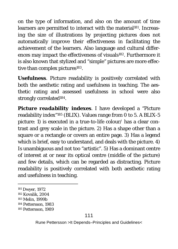on the type of information, and also on the amount of time learners are permitted to interact with the material<sup>181</sup>. Increasing the size of illustrations by projecting pictures does not automatically improve their effectiveness in facilitating the achievement of the learners. Also language and cultural differences may impact the effectiveness of visuals<sup>182</sup>. Furthermore it is also known that stylized and "simple" pictures are more effective than complex pictures<sup>183</sup>.

*Usefulness*. Picture readability is positively correlated with both the aesthetic rating and usefulness in teaching. The aesthetic rating and assessed usefulness in school were also strongly correlated<sup>184</sup>.

*Picture readability indexes*. I have developed a "Picture readability index"185 (BLIX). Values range from 0 to 5. A BLIX-5 picture: 1) is executed in a true-to-life colour/ has a clear contrast and grey scale in the picture. 2) Has a shape other than a square or a rectangle or covers an entire page. 3) Has a legend which is brief, easy to understand, and deals with the picture. 4) Is unambiguous and not too "artistic". 5) Has a dominant centre of interest at or near its optical centre (middle of the picture) and few details, which can be regarded as distracting. Picture readability is positively correlated with both aesthetic rating and usefulness in teaching.

 <sup>181</sup> Dwyer, 1972

<sup>182</sup> Kovalik, 2004

<sup>183</sup> Melin, 1999b

<sup>184</sup> Pettersson, 1983

<sup>185</sup> Pettersson, 1989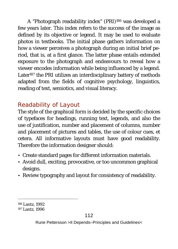A "Photograph readability index" (PRI)186 was developed a few years later. This index refers to the success of the image as defined by its objective or legend. It may be used to evaluate photos in textbooks. The initial phase gathers information on how a viewer perceives a photograph during an initial brief period, that is, at a first glance. The latter phase entails extended exposure to the photograph and endeavours to reveal how a viewer encodes information while being influenced by a legend. Later<sup>187</sup> the PRI utilizes an interdisciplinary battery of methods adapted from the fields of cognitive psychology, linguistics, reading of text, semiotics, and visual literacy.

# *Readability of Layout*

The style of the graphical form is decided by the specific choices of typefaces for headings, running text, legends, and also the use of justification, number and placement of columns, number and placement of pictures and tables, the use of colour cues, et cetera. All informative layouts must have good readability. Therefore the information designer should:

- Create standard pages for different information materials.
- Avoid dull, exciting, provocative, or too uncommon graphical designs.
- Review typography and layout for consistency of readability.

 <sup>186</sup> Lantz, 1992

<sup>187</sup> Lantz, 1996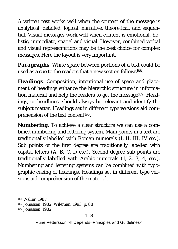A written text works well when the content of the message is analytical, detailed, logical, narrative, theoretical, and sequential. Visual messages work well when content is emotional, holistic, immediate, spatial and visual. However, combined verbal and visual representations may be the best choice for complex messages. Here the layout is very important.

*Paragraphs*. White space between portions of a text could be used as a cue to the readers that a new section follows<sup>188</sup>.

*Headings*. Composition, intentional use of space and placement of headings enhance the hierarchic structure in information material and help the readers to get the message<sup>189</sup>. Headings, or headlines, should always be relevant and identify the subject matter. Headings set in different type versions aid comprehension of the text content<sup>190</sup>.

*Numbering*. To achieve a clear structure we can use a combined numbering and lettering system. Main points in a text are traditionally labelled with Roman numerals (I, II, III, IV etc.). Sub points of the first degree are traditionally labelled with capital letters (A, B, C, D etc.). Second-degree sub points are traditionally labelled with Arabic numerals (1, 2, 3, 4, etc.). Numbering and lettering systems can be combined with typographic cueing of headings. Headings set in different type versions aid comprehension of the material.

 <sup>188</sup> Waller, 1987

<sup>189</sup> Jonassen, 1982; Wileman, 1993, p. 88

<sup>190</sup> Jonassen, 1982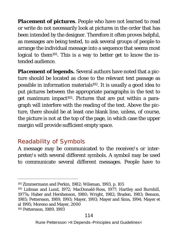*Placement of pictures*. People who have not learned to read or write do not necessarily look at pictures in the order that has been intended by the designer. Therefore it often proves helpful, as messages are being tested, to ask several groups of people to arrange the individual message into a sequence that seems most logical to them<sup>191</sup>. This is a way to better get to know the intended audience.

*Placement of legends.* Several authors have noted that a picture should be located as close to the relevant text passage as possible in information materials<sup>192</sup>. It is usually a good idea to put pictures between the appropriate paragraphs in the text to get maximum impact<sup>193</sup>. Pictures that are put within a paragraph will interfere with the reading of the text. Above the picture, there should be at least one blank line, unless, of course, the picture is not at the top of the page, in which case the upper margin will provide sufficient empty space.

### *Readability of Symbols*

A message may be communicated to the receiver/s or interpreter/s with several different symbols. A symbol may be used to communicate several different messages. People have to

<sup>193</sup> Pettersson, 1989, 1993

 <sup>191</sup> Zimmermann and Perkin, 1982; Wileman, 1993, p. 105

<sup>192</sup> Lidman and Lund, 1972; MacDonald-Ross, 1977; Hartley and Burnhill, 1977a; Haber and Hershenson, 1980; Wright, 1982; Braden, 1983; Benson, 1985; Pettersson, 1989, 1993; Mayer, 1993; Mayer and Sims, 1994; Mayer et al 1995; Moreno and Mayer, 2000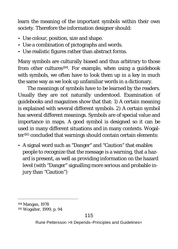learn the meaning of the important symbols within their own society. Therefore the information designer should:

- Use colour, position, size and shape.
- Use a combination of pictographs and words.
- Use realistic figures rather than abstract forms.

Many symbols are culturally biased and thus arbitrary to those from other cultures<sup>194</sup>. For example, when using a quidebook with symbols, we often have to look them up in a key in much the same way as we look up unfamiliar words in a dictionary.

The meanings of symbols have to be learned by the readers. Usually they are not naturally understood. Examination of guidebooks and magazines show that that: 1) A certain meaning is explained with several different symbols. 2) A certain symbol has several different meanings. Symbols are of special value and importance in maps. A good symbol is designed so it can be used in many different situations and in many contexts. Wogalter195 concluded that warnings should contain certain elements:

• A signal word such as "Danger" and "Caution" that enables people to recognize that the message is a warning, that a hazard is present, as well as providing information on the hazard level (with "Danger" signalling more serious and probable injury than "Caution")

 <sup>194</sup> Mangan, 1978

<sup>195</sup> Wogalter, 1999, p. 94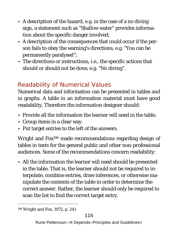- A description of the hazard, e.g. in the case of a no diving sign, a statement such as "Shallow water" provides information about the specific danger involved;
- A description of the consequences that could occur if the person fails to obey the warning's directions, e.g. "You can be permanently paralysed";
- The directions or instructions, i.e., the specific actions that should or should not be done, e.g. "No diving".

# *Readability of Numerical Values*

Numerical data and information can be presented in tables and in graphs*.* A table in an information material must have good readability. Therefore the information designer should:

- Provide all the information the learner will need in the table.
- Group items in a clear way.
- Put target entries to the left of the answers.

Wright and Fox196 made recommendations regarding design of tables in texts for the general public and other non-professional audiences. Some of the recommendations concern readability:

• All the information the learner will need should be presented in the table. That is, the learner should not be required to interpolate, combine entries, draw inferences, or otherwise manipulate the contents of the table in order to determine the correct answer. Rather, the learner should only be required to scan the list to find the correct target entry.

196 Wright and Fox, 1972, p. 241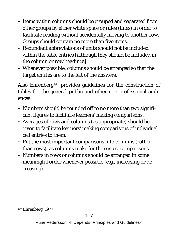- Items within columns should be grouped and separated from other groups by either white space or rules (lines) in order to facilitate reading without accidentally moving to another row. Groups should contain no more than five items.
- Redundant abbreviations of units should not be included within the table entries [although they should be included in the column or row headings].
- Whenever possible, columns should be arranged so that the target entries are to the left of the answers.

Also Ehrenberg<sup>197</sup> provides guidelines for the construction of tables for the general public and other non-professional audiences:

- Numbers should be rounded off to no more than two significant figures to facilitate learners' making comparisons.
- Averages of rows and columns (as appropriate) should be given to facilitate learners' making comparisons of individual cell entries to them.
- Put the most important comparisons into columns (rather than rows), as columns make for the easiest comparisons.
- Numbers in rows or columns should be arranged in some meaningful order whenever possible (e.g., increasing or decreasing).

 <sup>197</sup> Ehrenberg, 1977

Rune Pettersson >It Depends–Principles and Guidelines<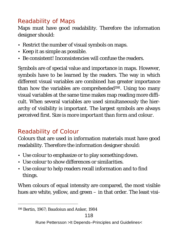### *Readability of Maps*

Maps must have good readability. Therefore the information designer should:

- Restrict the number of visual symbols on maps.
- Keep it as simple as possible.
- Be consistent! Inconsistencies will confuse the readers.

Symbols are of special value and importance in maps. However, symbols have to be learned by the readers. The way in which different visual variables are combined has greater importance than how the variables are comprehended<sup>198</sup>. Using too many visual variables at the same time makes map reading more difficult. When several variables are used simultaneously the hierarchy of visibility is important. The largest symbols are always perceived first. *Size is more important than form and colour*.

# *Readability of Colour*

Colours that are used in information materials must have good readability. Therefore the information designer should:

- Use colour to emphasize or to play something down.
- Use colour to show differences or similarities.
- Use colour to help readers recall information and to find things.

When colours of equal intensity are compared, the most visible hues are white, yellow, and green – in that order. The least visi-

 <sup>198</sup> Bertin, 1967; Baudoiun and Anker, 1984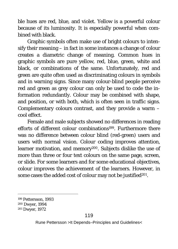ble hues are red, blue, and violet. Yellow is a powerful colour because of its luminosity. It is especially powerful when combined with black.

Graphic symbols often make use of bright colours to intensify their meaning – in fact in some instances a change of colour creates a diametric change of meaning. Common hues in graphic symbols are pure yellow, red, blue, green, white and black, or combinations of the same. Unfortunately, red and green are quite often used as discriminating colours in symbols and in warning signs. Since many colour-blind people perceive red and green as grey colour can only be used to code the information redundantly. Colour may be combined with shape, and position, or with both, which is often seen in traffic signs. Complementary colours contrast, and they provide a warm – cool effect.

Female and male subjects showed no differences in reading efforts of different colour combinations<sup>199</sup>. Furthermore there was no difference between colour blind (red-green) users and users with normal vision. Colour coding improves attention, learner motivation, and memory<sup>200</sup>. Subjects dislike the use of more than three or four text colours on the same page, screen, or slide. For some learners and for some educational objectives, colour improves the achievement of the learners. However, in some cases the added cost of colour may not be justified<sup>201</sup>.

 <sup>199</sup> Pettersson, 1993

<sup>200</sup> Dwyer, 1994

<sup>201</sup> Dwyer, 1972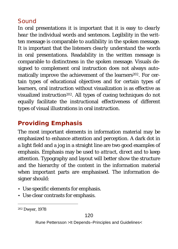### *Sound*

In oral presentations it is important that it is easy to *clearly hear* the individual words and sentences. Legibility in the written message is comparable to *audibility* in the spoken message. It is important that the listeners *clearly understand* the words in oral presentations. Readability in the written message is comparable to *distinctness* in the spoken message. Visuals designed to complement oral instruction does not always automatically improve the achievement of the learners<sup>202</sup>. For certain types of educational objectives and for certain types of learners, oral instruction without visualization is as effective as visualized instruction202. All types of cueing techniques do not equally facilitate the instructional effectiveness of different types of visual illustrations in oral instruction.

# **Providing Emphasis**

The most important elements in information material may be emphasized to enhance attention and perception. A dark dot in a light field and a jog in a straight line are two good examples of emphasis. Emphasis may be used to *attract*, *direct* and to *keep* attention. Typography and layout will better show the structure and the hierarchy of the content in the information material when important parts are emphasised. The information designer should:

- Use specific elements for emphasis.
- Use clear contrasts for emphasis.

 <sup>202</sup> Dwyer, 1978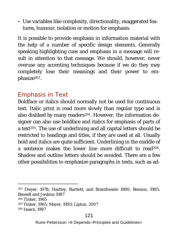• Use variables like complexity, directionality, exaggerated features, humour, isolation or motion for emphasis.

It is possible to provide emphasis in information material with the help of a number of specific design elements. Generally speaking highlighting cues and emphasis in a message will result in attention to that message. We should, however, never overuse any accenting techniques because if we do they may completely lose their meanings and their power to emphasize203.

### *Emphasis in Text*

Boldface or italics should normally not be used for continuous text. Italic print is read more slowly than regular type and is also disliked by many readers<sup>204</sup>. However, the information designer can also use boldface and italics for emphasis of parts of a text<sup>205</sup>. The use of underlining and all capital letters should be restricted to headings and titles, if they are used at all. Usually bold and italics are quite sufficient. Underlining in the middle of a sentence makes the lower line more difficult to read206. Shadow and outline letters should be avoided. There are a few other possibilities to emphasize paragraphs in texts, such as ad-

204 Tinker, 1965

205 Tinker, 1965; Mayer, 1993; Lipton, 2007

206 Isaacs, 1987

 <sup>203</sup> Dwyer, 1978; Hartley, Bartlett, and Branthwaite 1980; Benson, 1985; Bausell and Jenkins 1987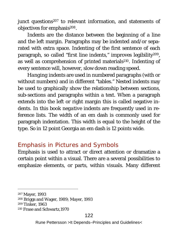iunct questions<sup>207</sup> to relevant information, and statements of objectives for emphasis<sup>208</sup>.

*Indents* are the distance between the beginning of a line and the left margin. Paragraphs may be indented and/or separated with extra space. Indenting of the first sentence of each paragraph, so called *"first line indents,"* improves legibility209, as well as comprehension of printed materials210. Indenting of every sentence will, however, slow down reading speed.

*Hanging indents* are used in numbered paragraphs (with or without numbers) and in different "tables." *Nested indents* may be used to graphically show the relationship between sections, sub-sections and paragraphs within a text. When a paragraph extends into the left or right margin this is called negative indents. In this book *negative indents* are frequently used in reference lists. The width of an em dash is commonly used for paragraph indentation. This width is equal to the height of the type. So in 12 point Georgia an em dash is 12 points wide.

### *Emphasis in Pictures and Symbols*

Emphasis is used to attract or direct attention or dramatize a certain point within a visual. There are a several possibilities to emphasize elements, or parts, within visuals. Many different

 <sup>207</sup> Mayer, 1993

<sup>208</sup> Briggs and Wager, 1989; Mayer, 1993

<sup>209</sup> Tinker, 1963

<sup>210</sup> Frase and Schwartz,1970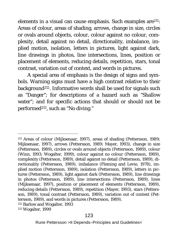elements in a visual can cause emphasis. Such examples are211: Areas of colour, areas of shading, arrows, change in size, circles or ovals around objects, colour, colour against no colour, complexity, detail against no detail, directionality, imbalance, implied motion, isolation, letters in pictures, light against dark, line drawings in photos, line intersections, lines, position or placement of elements, reducing details, repetition, stars, tonal contrast, variation out of context, and words in pictures.

A special area of emphasis is the design of signs and symbols. Warning signs must have a high contrast relative to their background212. Informative words shall be used for signals such as "Danger"; for descriptions of a hazard such as "Shallow water"; and for specific actions that should or should not be performed213, such as "No diving."

 211 Areas of colour (Mijksenaar, 1997), areas of shading (Pettersson, 1989; Mijksenaar, 1997), arrows (Pettersson, 1989; Mayer, 1993), change in size (Pettersson, 1989), circles or ovals around objects (Pettersson, 1989), colour (Winn, 1993; Wogalter, 1999), colour against no colour (Pettersson, 1989), complexity (Pettersson, 1989), detail against no detail (Pettersson, 1989), directionality (Pettersson, 1989), imbalance (Fleming and Levie, 1978), implied motion (Pettersson, 1989), isolation (Pettersson, 1989), letters in pictures (Pettersson, 1989), light against dark (Pettersson, 1989), line drawings in photos (Pettersson, 1989), line intersections (Pettersson, 1989), lines (Mijksenaar, 1997), position or placement of elements (Pettersson, 1989), reducing details (Pettersson, 1989), repetition (Mayer, 1993), stars (Pettersson, 1989), tonal contrast (Pettersson, 1989), variation out of context (Pettersson, 1989), and words in pictures (Pettersson, 1989). 212 Barlow and Wogalter, 1993

213 Wogalter, 1999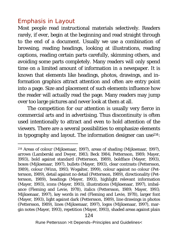### *Emphasis in Layout*

Most people read instructional materials selectively. Readers rarely, if ever, begin at the beginning and read straight through to the end of a document. Usually we use a combination of browsing, reading headings, looking at illustrations, reading captions, reading certain parts carefully, skimming others, and avoiding some parts completely. Many readers will only spend time on a limited amount of information in a newspaper. It is known that elements like headings, photos, drawings, and information graphics attract attention and often are entry point into a page. Size and placement of such elements influence how the reader will actually read the page. Many readers may jump over too large pictures and never look at them at all.

The competition for our attention is usually very fierce in commercial arts and in advertising. Thus *discontinuity* is often used intentionally to attract and even to hold attention of the viewers. There are a several possibilities to emphasize elements in typography and layout. The information designer can use<sup>214</sup>:

 <sup>214</sup> Areas of colour (Mijksenaar, 1997), areas of shading (Mijksenaar, 1997), arrows (Lamberski and Dwyer, 1983; Beck 1984; Pettersson, 1989; Mayer, 1993), bold against standard (Pettersson, 1989), boldface (Mayer, 1993), boxes (Mijksenaar, 1997), bullets (Mayer, 1993), clear contrasts (Pettersson, 1989), colour (Winn, 1993; Wogalter, 1999), colour against no colour (Pettersson, 1989), detail against no detail (Pettersson, 1989), directionality (Pettersson, 1989), headings (Mayer, 1993), highlight relevant information (Mayer, 1993), icons (Mayer, 1993), illustrations (Mijksenaar, 1997), imbalance (Fleming and Levie, 1978), italics (Pettersson, 1989; Mayer, 1993; Mijksenaar, 1997), key words in red (Fleming and Levie, 1978), larger font (Mayer, 1993), light against dark (Pettersson, 1989), line drawings in photos (Pettersson, 1989), lines (Mijksenaar, 1997), logos (Mijksenaar, 1997), margin notes (Mayer, 1993), repetition (Mayer, 1993), shaded areas against plain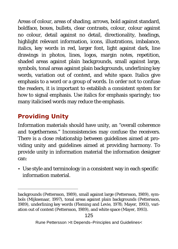Areas of colour, areas of shading, arrows, bold against standard, boldface, boxes, bullets, clear contrasts, colour, colour against no colour, detail against no detail, directionality, headings, highlight relevant information, icons, illustrations, imbalance, italics, key words in red, larger font, light against dark, line drawings in photos, lines, logos, margin notes, repetition, shaded areas against plain backgrounds, small against large, symbols, tonal areas against plain backgrounds, underlining key words, variation out of context, and white space. Italics give emphasis to a word or a group of words. In order not to confuse the readers, it is important to establish a consistent system for how to signal emphasis. Use italics for emphasis sparingly; too many italicised words may reduce the emphasis.

# **Providing Unity**

 $\overline{a}$ 

Information materials should have unity, an "overall coherence and togetherness." Inconsistencies may confuse the receivers. There is a close relationship between guidelines aimed at providing unity and guidelines aimed at providing harmony. To provide unity in information material the information designer can:

• Use style and terminology in a consistent way in each specific information material.

backgrounds (Pettersson, 1989), small against large (Pettersson, 1989), symbols (Mijksenaar, 1997), tonal areas against plain backgrounds (Pettersson, 1989), underlining key words (Fleming and Levie, 1978; Mayer, 1993), variation out of context (Pettersson, 1989), and white space (Mayer, 1993).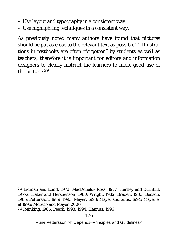- Use layout and typography in a consistent way.
- Use highlighting techniques in a consistent way.

As previously noted many authors have found that pictures should be put as close to the relevant text as possible215. Illustrations in textbooks are often "forgotten" by students as well as teachers; therefore it is important for editors and information designers to clearly instruct the learners to make good use of the pictures<sup>216</sup>.

216 Reinking, 1986; Peeck, 1993, 1994; Hannus, 1996

 <sup>215</sup> Lidman and Lund, 1972; MacDonald- Ross, 1977; Hartley and Burnhill, 1977a; Haber and Hershenson, 1980; Wright, 1982; Braden, 1983; Benson, 1985; Pettersson, 1989, 1993; Mayer, 1993; Mayer and Sims, 1994; Mayer et al 1995; Moreno and Mayer, 2000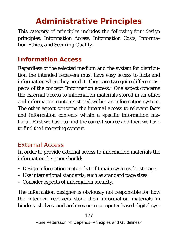# **Administrative Principles**

This category of principles includes the following four design principles: *Information Access, Information Costs, Information Ethics, and Securing Quality.* 

### **Information Access**

Regardless of the selected medium and the system for distribution the intended receivers must have easy access to facts and information when they need it. There are two quite different aspects of the concept "information access." One aspect concerns the *external access* to information materials stored in an office and information contents stored within an information system. The other aspect concerns the *internal access* to relevant facts and information contents within a specific information material. First we have to find the correct source and then we have to find the interesting content.

### *External Access*

In order to provide external access to information materials the information designer should:

- Design information materials to fit main systems for storage.
- Use international standards, such as standard page sizes.
- Consider aspects of information security.

The information designer is obviously not responsible for how the intended receivers store their information materials in binders, shelves, and archives or in computer based digital sys-

127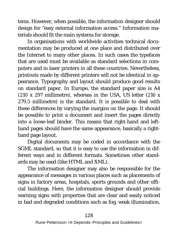tems. However, when possible, the information designer should design for "easy external information access." Information materials should fit the main systems for storage.

In organisations with worldwide activities technical documentation may be produced at one place and distributed over the Internet to many other places. In such cases the typefaces that are used must be available as standard selections in computers and in laser printers in all these countries. Nevertheless, printouts made by different printers will not be identical in appearance. Typography and layout should produce good results on standard paper. In Europe, the standard paper size is A4 (210 x 297 millimetre), whereas in the USA, US letter (216 x 279.5 millimetre) is the standard. It is possible to deal with these differences by varying the margins on the page. It should be possible to print a document and insert the pages directly into a loose-leaf binder. This means that right-hand and lefthand pages should have the same appearance, basically a righthand page layout.

Digital documents may be coded in accordance with the SGML standard, so that it is easy to use the information in different ways and in different formats. Sometimes other standards may be used (like HTML and XML).

The information designer may also be responsible for the appearance of messages in various places such as placements of signs in factory areas, hospitals, sports grounds and other official buildings. Here, the information designer should provide warning signs with properties that are clear and easily noticed in bad and degraded conditions such as fog, weak illumination,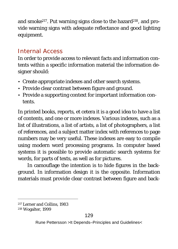and smoke<sup>217</sup>. Put warning signs close to the hazard<sup>218</sup>, and provide warning signs with adequate reflectance and good lighting equipment.

### *Internal Access*

In order to provide access to relevant facts and information contents within a specific information material the information designer should:

- Create appropriate indexes and other search systems.
- Provide clear contrast between figure and ground.
- Provide a supporting context for important information contents.

In printed books, reports, et cetera it is a good idea to have a list of contents, and one or more indexes. Various indexes, such as a list of illustrations, a list of artists, a list of photographers, a list of references, and a subject matter index with references to page numbers may be very useful. These indexes are easy to compile using modern word processing programs. In computer based systems it is possible to provide automatic search systems for words, for parts of texts, as well as for pictures.

In camouflage the intention is to hide figures in the background. In information design it is the opposite. Information materials must provide clear contrast between figure and back-

 <sup>217</sup> Lerner and Collins, 1983

<sup>218</sup> Wogalter, 1999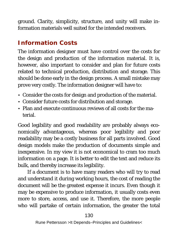ground. Clarity, simplicity, structure, and unity will make information materials well suited for the intended receivers.

# **Information Costs**

The information designer must have control over the costs for the design and production of the information material. It is, however, also important to consider and plan for future costs related to technical production, distribution and storage. This should be done early in the design process. A small mistake may prove very costly. The information designer will have to:

- Consider the costs for design and production of the material.
- Consider future costs for distribution and storage.
- Plan and execute continuous reviews of all costs for the material.

Good legibility and good readability are probably always economically advantageous, whereas poor legibility and poor readability may be a costly business for all parts involved. Good design models make the production of documents simple and inexpensive. In my view it is not economical to cram too much information on a page. It is better to edit the text and reduce its bulk, and thereby increase its legibility.

If a document is to have many readers who will try to read and understand it during working hours, the cost of reading the document will be the greatest expense it incurs. Even though it may be expensive to produce information, it usually costs even more to store, access, and use it. Therefore, the more people who will partake of certain information, the greater the total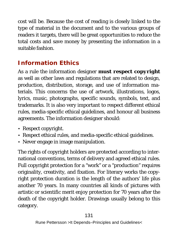cost will be. Because the cost of reading is closely linked to the type of material in the document and to the various groups of readers it targets, there will be great opportunities to reduce the total costs and save money by presenting the information in a suitable fashion.

# **Information Ethics**

As a rule the information designer *must respect copyright* as well as other laws and regulations that are related to design, production, distribution, storage, and use of information materials. This concerns the use of artwork, illustrations, logos, lyrics, music, photographs, specific sounds, symbols, text, and trademarks. It is also very important to respect different ethical rules, media-specific ethical guidelines, and honour all business agreements. The information designer should:

- Respect copyright.
- Respect ethical rules, and media-specific ethical guidelines.
- Never engage in image manipulation.

The rights of copyright holders are protected according to international conventions, terms of delivery and agreed ethical rules. Full copyright protection for a "work" or a "production" requires originality, creativity, and fixation. For literary works the copyright protection duration is the length of the authors' life plus another 70 years. In many countries all kinds of pictures with artistic or scientific merit enjoy protection for 70 years after the death of the copyright holder. Drawings usually belong to this category.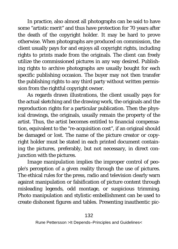In practice, also almost all photographs can be said to have some "artistic merit" and thus have protection for 70 years after the death of the copyright holder. It may be hard to prove otherwise. When photographs are produced on commission, the client usually pays for and enjoys all copyright rights, including rights to prints made from the originals. The client can freely utilize the commissioned pictures in any way desired. Publishing rights to archive photographs are usually bought for each specific publishing occasion. The buyer may not then transfer the publishing rights to any third party without written permission from the rightful copyright owner.

As regards drawn illustrations, the client usually pays for the actual sketching and the drawing work, the originals and the reproduction rights for a particular publication. Then the physical drawings, the originals, usually remain the property of the artist. Thus, the artist becomes entitled to financial compensation, equivalent to the "re-acquisition cost", if an original should be damaged or lost. The name of the picture creator or copyright holder must be stated in each printed document containing the pictures, preferably, but not necessary, in direct conjunction with the pictures.

*Image manipulation* implies the improper control of people's perception of a given reality through the use of pictures. The ethical rules for the press, radio and television clearly warn against manipulation or falsification of picture content through misleading legends, odd montage, or suspicious trimming. Photo manipulation and stylistic embellishment can be used to create dishonest figures and tables. Presenting inauthentic pic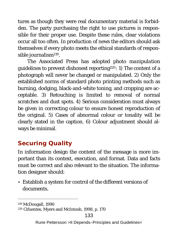tures as though they were real documentary material is forbidden. The party purchasing the right to use pictures is responsible for their proper use. Despite these rules, clear violations occur all too often. In production of news the editors should ask themselves if every photo meets the ethical standards of responsible journalism219.

The Associated Press has adopted *photo manipulation guidelines* to prevent dishonest reporting220: 1) The content of a photograph will never be changed or manipulated. 2) Only the established norms of standard photo printing methods such as burning, dodging, black-and-white toning, and cropping are acceptable. 3) Retouching is limited to removal of normal scratches and dust spots. 4) Serious consideration must always be given in correcting colour to ensure honest reproduction of the original. 5) Cases of abnormal colour or tonality will be clearly stated in the caption. 6) Colour adjustment should always be minimal.

## **Securing Quality**

In information design the content of the message is more important than its context, execution, and format. Data and facts must be correct and also relevant to the situation. The information designer should:

• Establish a system for control of the different versions of documents.

 <sup>219</sup> McDougall, 1990

<sup>220</sup> Cifuentes, Myers and McIntosh, 1998, p. 170

Rune Pettersson >It Depends–Principles and Guidelines<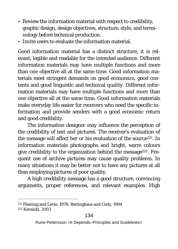- Review the information material with respect to credibility, graphic design, design objectives, structure, style, and terminology before technical production.
- Invite users to evaluate the information material.

Good information material has a distinct structure, it is relevant, legible and readable for the intended audience. Different information materials may have multiple functions and more than one objective all at the same time. Good information materials meet stringent demands on good economics, good contents and good linguistic and technical quality. Different information materials may have multiple functions and more than one objective all at the same time. Good information materials make everyday life easier for receivers who need the specific information and provide senders with a good economic return and good credibility.

The information designer may influence the perception of the credibility of text and pictures. The receiver's evaluation of the message will affect her or his evaluation of the source<sup>221</sup>. In information materials photographs and bright, warm colours give credibility to the organization behind the message222. Frequent use of archive pictures may cause quality problems. In many situations it may be better not to have any pictures at all than employing pictures of poor quality.

A high credibility message has a good structure, convincing arguments, proper references, and relevant examples. High

 <sup>221</sup> Fleming and Levie, 1978; Bettinghaus and Cody, 1994 222 Kensicki, 2003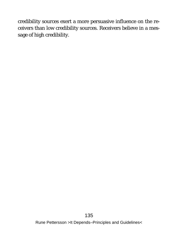credibility sources exert a more persuasive influence on the receivers than low credibility sources. Receivers believe in a message of high credibility.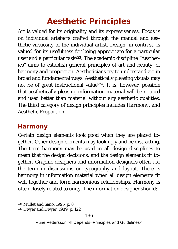# **Aesthetic Principles**

Art is valued for its originality and its expressiveness. Focus is on individual artefacts crafted through the manual and aesthetic virtuosity of the individual artist. Design, in contrast, is valued for its usefulness for being appropriate for a particular user and a particular task223. The academic discipline "Aesthetics" aims to establish general principles of art and beauty, of harmony and proportion. Aestheticians try to understand art in broad and fundamental ways. Aesthetically pleasing visuals may not be of great instructional value<sup>224</sup>. It is, however, possible that aesthetically pleasing information material will be noticed and used better than material without any aesthetic qualities. The third category of design principles includes *Harmony*, and *Aesthetic Proportion*.

### **Harmony**

Certain design elements look good when they are placed together. Other design elements may look ugly and be distracting. The term harmony may be used in all design disciplines to mean that the design decisions, and the design elements fit together. Graphic designers and information designers often use the term in discussions on typography and layout. There is harmony in information material when all design elements fit well together and form harmonious relationships. Harmony is often closely related to unity. The information designer should:

 <sup>223</sup> Mullet and Sano, 1995, p. 8

<sup>224</sup> Dwyer and Dwyer, 1989, p. 122

Rune Pettersson >It Depends–Principles and Guidelines<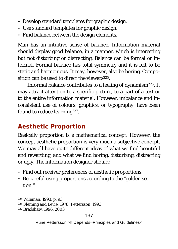- Develop standard templates for graphic design.
- Use standard templates for graphic design.
- Find balance between the design elements.

Man has an intuitive sense of balance. Information material should display good balance, in a manner, which is interesting but not disturbing or distracting. Balance can be formal or informal. Formal balance has total symmetry and it is felt to be static and harmonious. It may, however, also be boring. Composition can be used to direct the viewers225.

Informal balance contributes to a feeling of dynamism226. It may attract attention to a specific picture, to a part of a text or to the entire information material. However, imbalance and inconsistent use of colours, graphics, or typography, have been found to reduce learning<sup>227</sup>.

### **Aesthetic Proportion**

Basically proportion is a mathematical concept. However, the concept aesthetic proportion is very much a subjective concept. We may all have quite different ideas of what we find beautiful and rewarding, and what we find boring, disturbing, distracting or ugly. The information designer should:

- Find out receiver preferences of aesthetic proportions.
- Be careful using proportions according to the "golden section."

 <sup>225</sup> Wileman, 1993, p. 93

<sup>226</sup> Fleming and Levie, 1978; Pettersson, 1993

<sup>227</sup> Bradshaw, 1996, 2003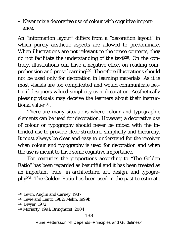• Never mix a decorative use of colour with cognitive importance.

An "information layout" differs from a "decoration layout" in which purely aesthetic aspects are allowed to predominate. When illustrations are not relevant to the prose contents, they do not facilitate the understanding of the text<sup>228</sup>. On the contrary, illustrations can have a negative effect on reading comprehension and prose learning229. Therefore illustrations should not be used only for decoration in learning materials. As it is most visuals are too complicated and would communicate better if designers valued simplicity over decoration. Aesthetically pleasing visuals may deceive the learners about their instructional value<sup>230</sup>.

There are many situations where colour and typographic elements can be used for decoration. However, a decorative use of colour or typography should never be mixed with the intended use to provide clear structure, simplicity and hierarchy. It must always be clear and easy to understand for the receiver when colour and typography is used for decoration and when the use is meant to have some cognitive importance.

For centuries the proportions according to "The Golden Ratio" has been regarded as beautiful and it has been treated as an important "rule" in architecture, art, design, and typography231. The Golden Ratio has been used in the past to estimate

 <sup>228</sup> Levin, Anglin and Carney, 1987

<sup>229</sup> Levie and Lentz, 1982; Melin, 1999b

<sup>230</sup> Dwyer, 1972

<sup>231</sup> Moriarty, 1991; Bringhurst, 2004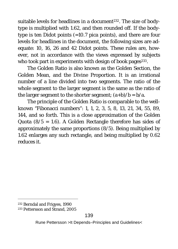suitable levels for headlines in a document<sup>232</sup>. The size of bodytype is multiplied with 1.62, and then rounded off. If the bodytype is ten Didot points (=10.7 pica points), and there are four levels for headlines in the document, the following sizes are adequate: 10, 16, 26 and 42 Didot points. These rules are, however, not in accordance with the views expressed by subjects who took part in experiments with design of book pages<sup>233</sup>.

The Golden Ratio is also known as the Golden Section, the Golden Mean, and the Divine Proportion. It is an irrational number of a line divided into two segments. The ratio of the whole segment to the larger segment is the same as the ratio of the larger segment to the shorter segment;  $(a+b)/b = b/a$ .

The principle of the Golden Ratio is comparable to the wellknown "Fibonacci numbers": 1, 1, 2, 3, 5, 8, 13, 21, 34, 55, 89, 144, and so forth. This is a close approximation of the Golden Quota  $(8/5 = 1.6)$ . A Golden Rectangle therefore has sides of approximately the same proportions (8/5). Being multiplied by 1.62 enlarges any such rectangle, and being multiplied by 0.62 reduces it.

 <sup>232</sup> Berndal and Frigyes, 1990

<sup>233</sup> Pettersson and Strand, 2005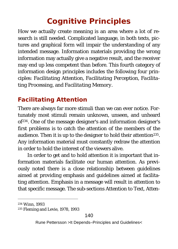# **Cognitive Principles**

How we actually create meaning is an area where a lot of research is still needed. Complicated language, in both texts, pictures and graphical form will impair the understanding of any intended message. Information materials providing the wrong information may actually give a negative result, and the receiver may end up less competent than before. This fourth category of information design principles includes the following four principles: *Facilitating Attention, Facilitating Perception, Facilitating Processing,* and *Facilitating Memory.*

# **Facilitating Attention**

There are always far more stimuli than we can ever notice. Fortunately most stimuli remain unknown, unseen, and unheard of234. One of the message designer's and information designer's first problems is to catch the attention of the members of the audience. Then it is up to the designer to hold their attention<sup>235</sup>. Any information material must constantly redraw the attention in order to hold the interest of the viewers alive.

In order to get and to hold attention it is important that information materials facilitate our human attention. As previously noted there is a close relationship between guidelines aimed at providing emphasis and guidelines aimed at facilitating attention. Emphasis in a message will result in attention to that specific message. The sub-sections *Attention to Text, Atten-*

 <sup>234</sup> Winn, 1993

<sup>235</sup> Fleming and Levie, 1978, 1993

Rune Pettersson >It Depends–Principles and Guidelines<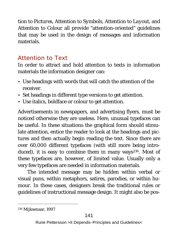*tion to Pictures, Attention to Symbols, Attention to Layout,* and *Attention to Colour* all provide "attention-oriented" guidelines that may be used in the design of messages and information materials.

### *Attention to Text*

In order to attract and hold attention to texts in information materials the information designer can:

- Use headings with words that will catch the attention of the receiver.
- Set headings in different type versions to get attention.
- Use italics, boldface or colour to get attention.

Advertisements in newspapers, and advertising flyers, must be noticed otherwise they are useless. Here, unusual typefaces can be useful. In these situations the graphical form should stimulate attention, entice the reader to look at the headings and pictures and then actually begin reading the text. Since there are over 60,000 different typefaces (with still more being introduced), it is easy to combine them in many ways<sup>236</sup>. Most of these typefaces are, however, of limited value. Usually only a very few typefaces are needed in information materials.

The intended message may be hidden within verbal or visual puns, within metaphors, satires, parodies, or within humour. In these cases, designers break the traditional rules or guidelines of instructional message design. It might also be pos-

 <sup>236</sup> Mijksenaar, 1997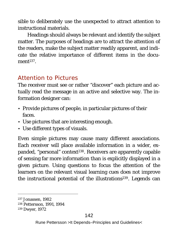sible to deliberately use the unexpected to attract attention to instructional materials.

Headings should always be relevant and identify the subject matter. The purposes of headings are to attract the attention of the readers, make the subject matter readily apparent, and indicate the relative importance of different items in the document<sup>237</sup>.

### *Attention to Pictures*

The receiver must see or rather "discover" each picture and actually read the message in an active and selective way. The information designer can:

- Provide pictures of people, in particular pictures of their faces.
- Use pictures that are interesting enough.
- Use different types of visuals.

Even simple pictures may cause many different associations. Each receiver will place available information in a wider, expanded, "personal" context<sup>238</sup>. Receivers are apparently capable of sensing far more information than is explicitly displayed in a given picture. Using questions to focus the attention of the learners on the relevant visual learning cues does not improve the instructional potential of the illustrations<sup>239</sup>. Legends can

 <sup>237</sup> Jonassen, 1982

<sup>238</sup> Pettersson, 1991, 1994

<sup>239</sup> Dwyer, 1972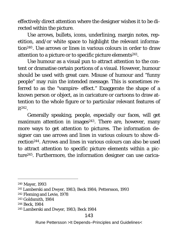effectively direct attention where the designer wishes it to be directed within the picture.

Use arrows, bullets, icons, underlining, margin notes, repetition, and/or white space to highlight the relevant information240. Use arrows or lines in various colours in order to draw attention to a picture or to specific picture elements241.

Use humour as a visual pun to attract attention to the content or dramatise certain portions of a visual. However, humour should be used with great care. Misuse of humour and "funny people" may ruin the intended message. This is sometimes referred to as the "vampire- effect." Exaggerate the shape of a known person or object, as in caricature or cartoons to draw attention to the whole figure or to particular relevant features of  $it^{242}$ .

Generally speaking, people, especially our faces, will get maximum attention in images<sup>243</sup>. There are, however, many more ways to get attention to pictures. The information designer can use arrows and lines in various colours to show direction244. Arrows and lines in various colours can also be used to attract attention to specific picture elements within a picture245. Furthermore, the information designer can use carica-

 <sup>240</sup> Mayer, 1993

<sup>241</sup> Lamberski and Dwyer, 1983; Beck 1984; Pettersson, 1993

<sup>242</sup> Fleming and Levie, 1978

<sup>243</sup> Goldsmith, 1984

<sup>244</sup> Beck, 1984

<sup>245</sup> Lamberski and Dwyer, 1983; Beck 1984

Rune Pettersson >It Depends–Principles and Guidelines<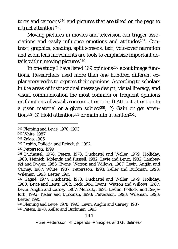tures and cartoons246 and pictures that are tilted on the page to attract attention247.

Moving pictures in movies and television can trigger associations and easily influence emotions and attitudes<sup>248</sup>. Contrast, graphics, shading, split screens, text, voiceover narration and zoom lens movements are tools to emphasize important details within moving pictures<sup>249</sup>.

In one study I have listed 169 opinions250 about image functions. Researchers used more than one hundred different explanatory verbs to express their opinions. According to scholars in the areas of instructional message design, visual literacy, and visual communication the most common or frequent opinions on functions of visuals concern *attention*: 1) *Attract attention* to a given material or a given subject251; 2) *Gain or get attention252*; 3) *Hold attention253* or *maintain attention254*.

248 Zakia, 1985

#### 144

 <sup>246</sup> Fleming and Levie, 1978, 1993

<sup>247</sup> White, 1987

<sup>249</sup> Leshin, Pollock, and Reigeluth, 1992

<sup>250</sup> Pettersson, 1999

<sup>251</sup> Duchastel, 1978; Peters, 1978; Duchastel and Waller, 1979; Holliday, 1980; Heinich, Molenda and Russell, 1982; Levie and Lentz, 1982; Lamberski and Dwyer, 1983; Evans, Watson and Willows, 1987; Levin, Anglin and Carney, 1987; White, 1987; Pettersson, 1993; Keller and Burkman, 1993; Wileman, 1993; Lester, 1995

<sup>252</sup> Gagné, 1977; Duchastel, 1978; Duchastel and Waller, 1979; Holliday, 1980; Levie and Lentz, 1982; Beck 1984; Evans, Watson and Willows, 1987; Levin, Anglin and Carney, 1987; Moriarty, 1991; Leshin, Pollock, and Reigeluth, 1992; Keller and Burkman, 1993; Pettersson, 1993; Wileman, 1993; Lester, 1995

<sup>253</sup> Fleming and Levie, 1978, 1993, Levin, Anglin and Carney, 1987 <sup>254</sup> Peters, 1978; Keller and Burkman, 1993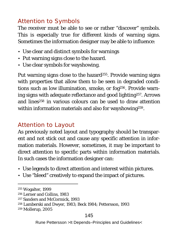# *Attention to Symbols*

The receiver must be able to see or rather "discover" symbols. This is especially true for different kinds of warning signs. Sometimes the information designer may be able to influence:

- Use clear and distinct symbols for warnings
- Put warning signs close to the hazard.
- Use clear symbols for wayshowing.

Put warning signs close to the hazard<sup>255</sup>. Provide warning signs with properties that allow them to be seen in degraded conditions such as low illumination, smoke, or fog<sup>256</sup>. Provide warning signs with adequate reflectance and good lighting257. Arrows and lines<sup>258</sup> in various colours can be used to draw attention within information materials and also for wayshowing<sup>259</sup>.

## *Attention to Layout*

As previously noted layout and typography should be transparent and not stick out and cause any specific attention in information materials. However, sometimes, it may be important to direct attention to specific parts within information materials. In such cases the information designer can:

- Use legends to direct attention and interest within pictures.
- Use "bleed" creatively to expand the impact of pictures.

### 145

 <sup>255</sup> Wogalter, 1999

<sup>256</sup> Lerner and Collins, 1983

<sup>257</sup> Sanders and McCormick, 1993

<sup>258</sup> Lamberski and Dwyer, 1983; Beck 1984; Pettersson, 1993

<sup>259</sup> Mollerup, 2005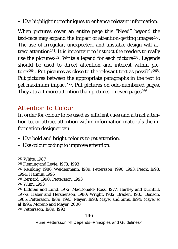• Use highlighting techniques to enhance relevant information.

When pictures cover an entire page this "bleed" beyond the text-face may expand the impact of attention-getting images<sup>260</sup>. The use of irregular, unexpected, and unstable design will attract attention261. It is important to instruct the readers to really use the pictures<sup>262</sup>. Write a legend for each picture<sup>263</sup>. Legends should be used to direct attention and interest within pictures264. Put pictures as close to the relevant text as possible265. Put pictures between the appropriate paragraphs in the text to get maximum impact266. Put pictures on odd-numbered pages. They attract more attention than pictures on even pages<sup>266</sup>.

### *Attention to Colour*

In order for colour to be used as efficient cues and attract attention to, or attract attention within information materials the information designer can:

- Use bold and bright colours to get attention.
- Use colour coding to improve attention.

 <sup>260</sup> White, 1987 261 Fleming and Levie, 1978, 1993 <sup>262</sup> Reinking, 1986; Weidenmann, 1989; Pettersson, 1990, 1993; Peeck, 1993, 1994; Hannus, 1996 <sup>263</sup> Bernard, 1990; Pettersson, 1993 264 Winn, 1993 <sup>265</sup> Lidman and Lund, 1972; MacDonald- Ross, 1977; Hartley and Burnhill, 1977a; Haber and Hershenson, 1980; Wright, 1982; Braden, 1983; Benson, 1985; Pettersson, 1989, 1993; Mayer, 1993; Mayer and Sims, 1994; Mayer et al 1995; Moreno and Mayer, 2000 <sup>266</sup> Pettersson, 1989, 1993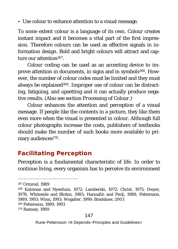• Use colour to enhance attention to a visual message.

To some extent colour is a language of its own. Colour creates instant impact and it becomes a vital part of the first impression. Therefore colours can be used as effective signals in information design. Bold and bright colours will attract and capture our attention267.

Colour coding can be used as an accenting device to improve attention in documents, in signs and in symbols<sup>268</sup>. However, the number of colour codes must be limited and they must always be explained<sup>269</sup>. Improper use of colour can be distracting, fatiguing, and upsetting and it can actually produce negative results. (Also see section *Processing of Colour*.)

Colour enhances the attention and perception of a visual message. If people like the contents in a picture, they like them even more when the visual is presented in colour. Although full colour photographs increase the costs, publishers of textbooks should make the number of such books more available to primary audiences<sup>270</sup>.

# **Facilitating Perception**

Perception is a fundamental characteristic of life. In order to continue living, every organism has to perceive its environment

270 Ramsey, 1989

 <sup>267</sup> Ormrod, 1989

<sup>268</sup> Katzman and Nyenhuis, 1972; Lamberski, 1972; Christ, 1975; Dwyer, 1978; Whiteside and Blohm, 1985; Hannafin and Peck, 1988; Pettersson, 1989, 1993; Winn, 1993; Wogalter, 1999; Bradshaw, 2003 <sup>269</sup> Pettersson, 1989, 1993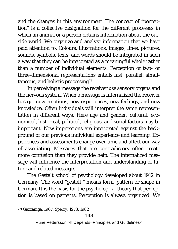and the changes in this environment. The concept of "perception" is a collective designation for the different processes in which an animal or a person obtains information about the outside world. We organize and analyze information that we have paid attention to. Colours, illustrations, images, lines, pictures, sounds, symbols, texts, and words should be integrated in such a way that they can be interpreted as a meaningful whole rather than a number of individual elements. Perception of two- or three-dimensional representations entails fast, parallel, simultaneous, and holistic processing271.

In perceiving a message the receiver use sensory organs and the nervous system. When a message is internalized the receiver has got new emotions, new experiences, new feelings, and new knowledge. Often individuals will interpret the same representation in different ways. Here age and gender, cultural, economical, historical, political, religious, and social factors may be important. New impressions are interpreted against the background of our previous individual experience and learning. Experiences and assessments change over time and affect our way of associating. Messages that are contradictory often create more confusion than they provide help. The internalized message will influence the interpretation and understanding of future and related messages.

The Gestalt school of psychology developed about 1912 in Germany. The word "gestalt," means form, pattern or shape in German. It is the basis for the psychological theory that perception is based on patterns. Perception is always organized. We

 <sup>271</sup> Gazzaniga, 1967; Sperry, 1973, 1982

Rune Pettersson >It Depends–Principles and Guidelines<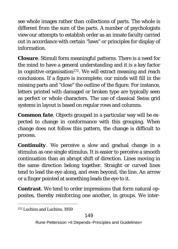see whole images rather than collections of parts. The whole is different from the sum of the parts. A number of psychologists view our attempts to establish order as an innate faculty carried out in accordance with certain "laws" or principles for display of information.

*Closure*. Stimuli form meaningful patterns. There is a need for the mind to have a general understanding and it is a key factor in cognitive organisation<sup>272</sup>. We will extract meaning and reach conclusions. If a figure is incomplete, our minds will fill in the missing parts and "close" the outline of the figure. For instance, letters printed with damaged or broken type are typically seen as perfect or whole characters. The use of classical Swiss grid systems in layout is based on regular rows and columns.

*Common fate*. Objects grouped in a particular way will be expected to change in conformance with this grouping. When change does not follow this pattern, the change is difficult to process.

*Continuity*. We perceive a slow and gradual change in a stimulus as one single stimulus. It is easier to perceive a smooth continuation than an abrupt shift of direction. Lines moving in the same direction belong together. Straight or curved lines tend to lead the eye along, and even beyond, the line. An arrow or a finger pointed at something leads the eye to it.

*Contrast*. We tend to order impressions that form natural opposites, thereby reinforcing one another, in groups. We inter-

 <sup>272</sup> Luchins and Luchins, 1959

Rune Pettersson >It Depends–Principles and Guidelines<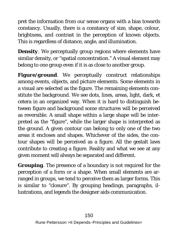pret the information from our sense organs with a bias towards constancy. Usually, there is a constancy of size, shape, colour, brightness, and contrast in the perception of known objects. This is regardless of distance, angle, and illumination.

*Density*. We perceptually group regions where elements have similar density, or "spatial concentration." A visual element may belong to one group even if it is as close to another group.

*Figure/ground*. We perceptually construct relationships among events, objects, and picture elements. Some elements in a visual are selected as the figure. The remaining elements constitute the background. We see dots, lines, areas, light, dark, et cetera in an organized way. When it is hard to distinguish between figure and background some structures will be perceived as reversible. A small shape within a large shape will be interpreted as the "figure", while the larger shape is interpreted as the ground. A given contour can belong to only one of the two areas it encloses and shapes. Whichever of the sides, the contour shapes will be perceived as a figure. All the gestalt laws contribute to creating a figure. Reality and what we see at any given moment will always be separated and different.

*Grouping*. The presence of a boundary is not required for the perception of a form or a shape. When small elements are arranged in groups, we tend to perceive them as larger forms. This is similar to "closure". By grouping headings, paragraphs, illustrations, and legends the designer aids communication.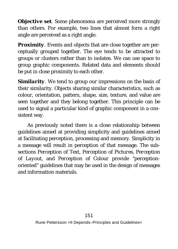*Objective set*. Some phenomena are perceived more strongly than others. For example, two lines that almost form a right angle are perceived as a right angle.

*Proximity*. Events and objects that are close together are perceptually grouped together. The eye tends to be attracted to groups or clusters rather than to isolates. We can use space to group graphic components. Related data and elements should be put in close proximity to each other.

*Similarity*. We tend to group our impressions on the basis of their similarity. Objects sharing similar characteristics, such as colour, orientation, pattern, shape, size, texture, and value are seen together and they belong together. This principle can be used to signal a particular kind of graphic component in a consistent way.

As previously noted there is a close relationship between guidelines aimed at providing simplicity and guidelines aimed at facilitating perception, processing and memory. Simplicity in a message will result in perception of that message. The subsections *Perception of Text, Perception of Pictures, Perception of Layout,* and *Perception of Colour* provide "perceptionoriented" guidelines that may be used in the design of messages and information materials.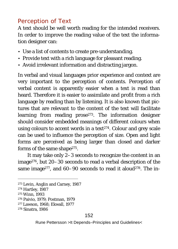### *Perception of Text*

A text should be well worth reading for the intended receivers. In order to improve the reading value of the text the information designer can:

- Use a list of contents to create pre-understanding.
- Provide text with a rich language for pleasant reading.
- Avoid irrelevant information and distracting jargon.

In verbal and visual languages prior experience and context are very important to the perception of contents. Perception of verbal content is apparently easier when a text is read than heard. Therefore it is easier to assimilate and profit from a rich language by reading than by listening. It is also known that pictures that are relevant to the content of the text will facilitate learning from reading prose273. The information designer should consider embedded meanings of different colours when using colours to accent words in a text274. Colour and grey scale can be used to influence the perception of size. Open and light forms are perceived as being larger than closed and darker forms of the same shape<sup>275</sup>.

It may take only 2–3 seconds to recognize the content in an image276, but 20–30 seconds to read a verbal description of the same image<sup>277</sup>, and  $60-90$  seconds to read it aloud<sup>278</sup>. The in-

<sup>275</sup> Winn, 1993

 <sup>273</sup> Levin, Anglin and Carney, 1987

<sup>274</sup> Hartley, 1987

<sup>276</sup> Paivio, 1979; Postman, 1979

<sup>277</sup> Lawson, 1968; Ekwall, 1977

<sup>278</sup> Sinatra, 1986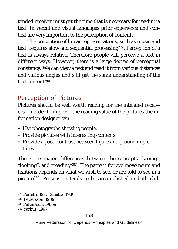tended receiver must get the time that is necessary for reading a text. In verbal and visual languages prior experience and context are very important to the perception of contents.

The perception of linear representations, such as music and text, requires slow and sequential processing<sup>279</sup>. Perception of a text is always relative. Therefore people will perceive a text in different ways. However, there is a large degree of perceptual constancy. We can view a text and read it from various distances and various angles and still get the same understanding of the text content280.

### *Perception of Pictures*

Pictures should be well worth reading for the intended receivers. In order to improve the reading value of the pictures the information designer can:

- Use photographs showing people.
- Provide pictures with interesting contents.
- Provide a good contrast between figure and ground in pictures.

There are major differences between the concepts "seeing", "looking", and "reading"281. The pattern for eye movements and fixations depends on what we wish to see, or are told to see in a picture282. Persuasion tends to be accomplished in both chil-

 <sup>279</sup> Perfetti, 1977; Sinatra, 1986

<sup>280</sup> Pettersson, 1989

<sup>281</sup> Pettersson, 1986a

<sup>282</sup> Yarbus, 1967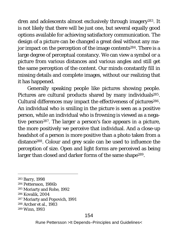dren and adolescents almost exclusively through imagery283. It is not likely that there will be just one, but several equally good options available for achieving satisfactory communication. The design of a picture can be changed a great deal without any major impact on the perception of the image contents<sup>284</sup>. There is a large degree of perceptual constancy. We can view a symbol or a picture from various distances and various angles and still get the same perception of the content. Our minds constantly fill in missing details and complete images, without our realizing that it has happened.

Generally speaking people like pictures showing people. Pictures are cultural products shared by many individuals<sup>285</sup>. Cultural differences may impact the effectiveness of pictures<sup>286</sup>. An individual who is smiling in the picture is seen as a positive person, while an individual who is frowning is viewed as a negative person<sup>287</sup>. The larger a person's face appears in a picture, the more positively we perceive that individual. And a close-up headshot of a person is more positive than a photo taken from a distance288. Colour and grey scale can be used to influence the perception of size. Open and light forms are perceived as being larger than closed and darker forms of the same shape<sup>289</sup>.

- <sup>284</sup> Pettersson, 1986b
- 285 Moriarty and Rohe, 1992
- 286 Kovalik, 2004
- 287 Moriarty and Popovich, 1991
- 288 Archer et al., 1983
- <sup>289</sup> Winn, 1993

 <sup>283</sup> Barry, 1998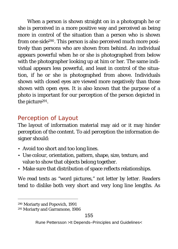When a person is shown straight on in a photograph he or she is perceived in a more positive way and perceived as being more in control of the situation than a person who is shown from one side290. This person is also perceived much more positively than persons who are shown from behind. An individual appears powerful when he or she is photographed from below with the photographer looking up at him or her. The same individual appears less powerful, and least in control of the situation, if he or she is photographed from above. Individuals shown with closed eyes are viewed more negatively than those shown with open eyes. It is also known that the purpose of a photo is important for our perception of the person depicted in the picture291.

# *Perception of Layout*

The layout of information material may aid or it may hinder perception of the content. To aid perception the information designer should:

- Avoid too short and too long lines.
- Use colour, orientation, pattern, shape, size, texture, and value to show that objects belong together.
- Make sure that distribution of space reflects relationships.

We read texts as "word pictures," not letter by letter. Readers tend to dislike both very short and very long line lengths. As

 <sup>290</sup> Moriarty and Popovich, 1991

<sup>291</sup> Moriarty and Garramone, 1986

Rune Pettersson >It Depends–Principles and Guidelines<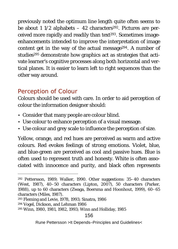previously noted the optimum line length quite often seems to be about 1 1/2 alphabets  $-$  42 characters<sup>292</sup>. Pictures are perceived more rapidly and readily than text<sup>293</sup>. Sometimes imageenhancements intended to improve the interpretation of image content get in the way of the actual message294. A number of studies<sup>295</sup> demonstrate how graphics act as strategies that activate learner's cognitive processes along both horizontal and vertical planes. It is easier to learn left to right sequences than the other way around.

## *Perception of Colour*

Colours should be used with care. In order to aid perception of colour the information designer should:

- Consider that many people are colour blind.
- Use colour to enhance perception of a visual message.
- Use colour and grey scale to influence the perception of size.

Yellow, orange, and red hues are perceived as warm and active colours. Red evokes feelings of strong emotions. Violet, blue, and blue-green are perceived as cool and passive hues. Blue is often used to represent truth and honesty. White is often associated with innocence and purity, and black often represents

 <sup>292</sup> Pettersson, 1989; Walker, 1990. Other suggestions: 35–40 characters (West, 1987), 40–50 characters (Lipton, 2007), 50 characters (Parker, 1988), up to 60 characters (Zwaga, Boersma and Hoonhout, 1999), 60–65 characters (Miles, 1987).

<sup>293</sup> Fleming and Levie, 1978, 1993; Sinatra, 1986

<sup>294</sup> Vogel, Dickson, and Lehman 1986

<sup>295</sup> Winn, 1980, 1981, 1982, 1993; Winn and Holliday, 1985

Rune Pettersson >It Depends–Principles and Guidelines<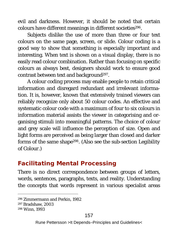evil and darkness. However, it should be noted that certain colours have different meanings in different societies<sup>296</sup>.

Subjects dislike the use of more than three or four text colours on the same page, screen, or slide. Colour coding is a good way to show that something is especially important and interesting. When text is shown on a visual display, there is no easily read colour combination. Rather than focusing on specific colours as always best, designers should work to ensure good contrast between text and background<sup>297</sup>.

A colour coding process may enable people to retain critical information and disregard redundant and irrelevant information. It is, however, known that extensively trained viewers can reliably recognize only about 50 colour codes. An effective and systematic colour code with a maximum of four to six colours in information material assists the viewer in categorising and organising stimuli into meaningful patterns. The choice of colour and grey scale will influence the perception of size. Open and light forms are perceived as being larger than closed and darker forms of the same shape298. (Also see the sub-section *Legibility of Colour*.)

# **Facilitating Mental Processing**

There is no direct correspondence between groups of letters, words, sentences, paragraphs, texts, and reality. Understanding the concepts that words represent in various specialist areas

 <sup>296</sup> Zimmermann and Perkin, 1982

<sup>297</sup> Bradshaw, 2003

<sup>298</sup> Winn, 1993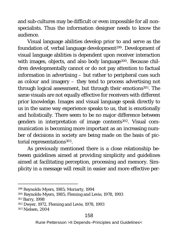and sub-cultures may be difficult or even impossible for all nonspecialists. Thus the information designer needs to know the audience.

Visual language abilities develop prior to and serve as the foundation of, verbal language development<sup>299</sup>. Development of visual language abilities is dependent upon receiver interaction with images, objects, and also body language<sup>300</sup>. Because children developmentally cannot or do not pay attention to factual information in advertising – but rather to peripheral cues such as colour and imagery – they tend to process advertising not through logical assessment, but through their emotions<sup>301</sup>. The same visuals are not equally effective for receivers with different prior knowledge. Images and visual language speak directly to us in the same way experience speaks to us, that is emotionally and holistically. There seem to be no major difference between genders in interpretation of image contents302. Visual communication is becoming more important as an increasing number of decisions in society are being made on the basis of pictorial representations<sup>303</sup>.

As previously mentioned there is a close relationship between guidelines aimed at providing simplicity and guidelines aimed at facilitating perception, processing and memory. Simplicity in a message will result in easier and more effective per-

### 158

 <sup>299</sup> Reynolds-Myers, 1985; Moriarty, 1994

<sup>300</sup> Reynolds-Myers, 1985; Fleming and Levie, 1978, 1993

<sup>301</sup> Barry, 1998

<sup>302</sup> Dwyer, 1972, Fleming and Levie, 1978, 1993

<sup>303</sup> Nielsen, 2004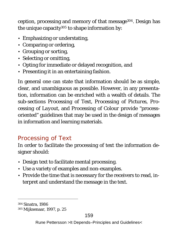ception, processing and memory of that message304. Design has the unique capacity $305$  to shape information by:

- Emphasizing or understating,
- Comparing or ordering,
- Grouping or sorting,
- Selecting or omitting,
- Opting for immediate or delayed recognition, and
- Presenting it in an entertaining fashion.

In general one can state that information should be as simple, clear, and unambiguous as possible. However, in any presentation, information can be enriched with a wealth of details. The sub-sections *Processing of Text, Processing of Pictures, Processing of Layout,* and *Processing of Colour* provide "processoriented" guidelines that may be used in the design of messages in information and learning materials.

# *Processing of Text*

In order to facilitate the processing of text the information designer should:

- Design text to facilitate mental processing.
- Use a variety of examples and non-examples.
- Provide the time that is necessary for the receivers to read, interpret and understand the message in the text.

 <sup>304</sup> Sinatra, 1986

<sup>305</sup> Mijksenaar, 1997, p. 25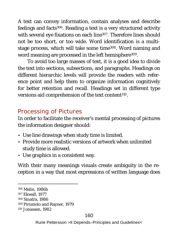A text can convey information, contain analyses and describe feelings and facts<sup>306</sup>. Reading a text is a very structured activity with several eye fixations on each line<sup>307</sup>. Therefore lines should not be too short, or too wide. Word identification is a multistage process, which will take some time<sup>308</sup>. Word naming and word meaning are processed in the left hemisphere<sup>309</sup>.

To avoid too large masses of text, it is a good idea to divide the text into sections, subsections, and paragraphs. Headings on different hierarchic levels will provide the readers with reference point and help them to organize information cognitively for better retention and recall. Headings set in different type versions aid comprehension of the text content310.

# *Processing of Pictures*

In order to facilitate the receiver's mental processing of pictures the information designer should:

- Use line drawings when study time is limited.
- Provide more realistic versions of artwork when unlimited study time is allowed.
- Use graphics in a consistent way.

With their many meanings visuals create ambiguity in the reception in a way that most expressions of written language does

 <sup>306</sup> Melin, 1986b 307 Ekwall, 1977 308 Sinatra, 1986 309 Pirozzolo and Rayner, 1979 310 Jonassen, 1982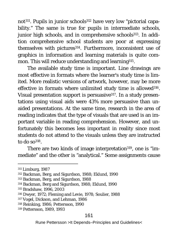not<sup>311</sup>. Pupils in junior schools<sup>312</sup> have very low "pictorial capability." The same is true for pupils in intermediate schools, junior high schools, and in comprehensive schools<sup>313</sup>. In addition comprehensive school students are poor at expressing themselves with pictures<sup>314</sup>. Furthermore, inconsistent use of graphics in information and learning materials is quite common. This will reduce understanding and learning<sup>315</sup>.

The available study time is important. Line drawings are most effective in formats where the learner's study time is limited. More realistic versions of artwork, however, may be more effective in formats where unlimited study time is allowed<sup>316</sup>. Visual presentation support is persuasive317. In a study presentations using visual aids were 43% more persuasive than unaided presentations. At the same time, research in the area of reading indicates that the type of visuals that are used is an important variable in reading comprehension. However, and unfortunately this becomes less important in reality since most students do not attend to the visuals unless they are instructed to do so $318$ .

There are two kinds of image interpretation<sup>319</sup>, one is "immediate" and the other is "analytical." Some assignments cause

#### 161

 <sup>311</sup> Limburg, 1987

<sup>312</sup> Backman, Berg, and Sigurdson, 1988; Eklund, 1990

<sup>313</sup> Backman, Berg, and Sigurdson, 1988

<sup>314</sup> Backman, Berg and Sigurdson, 1988; Eklund, 1990

<sup>315</sup> Bradshaw, 1996, 2003

<sup>316</sup> Dwyer, 1972; Fleming and Levie, 1978; Soulier, 1988

<sup>317</sup> Vogel, Dickson, and Lehman, 1986

<sup>318</sup> Reinking, 1986; Pettersson, 1990

<sup>319</sup> Pettersson, 1989, 1993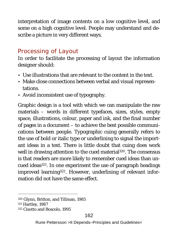interpretation of image contents on a low cognitive level, and some on a high cognitive level. People may understand and describe a picture in very different ways.

## *Processing of Layout*

In order to facilitate the processing of layout the information designer should:

- Use illustrations that are relevant to the content in the text.
- Make close connections between verbal and visual representations.
- Avoid inconsistent use of typography.

Graphic design is a tool with which we can manipulate the raw materials – words in different typefaces, sizes, styles, empty space, illustrations, colour, paper and ink, and the final number of pages in a document – to achieve the best possible communications between people. Typographic cuing generally refers to the use of bold or italic type or underlining to signal the important ideas in a text. There is little doubt that cuing does work well in drawing attention to the cued material<sup>320</sup>. The consensus is that readers are more likely to remember cued ideas than uncued ideas321. In one experiment the use of paragraph headings improved learning<sup>322</sup>. However, underlining of relevant information did not have the same effect.

 <sup>320</sup> Glynn, Britton, and Tillman, 1985

<sup>321</sup> Hartley, 1987

<sup>322</sup> Cisotto and Boscolo, 1995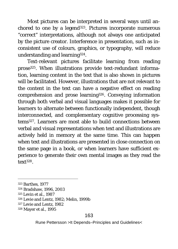Most pictures can be interpreted in several ways until anchored to one by a legend<sup>323</sup>. Pictures incorporate numerous "correct" interpretations, although not always one anticipated by the picture creator. Interference in presentation, such as inconsistent use of colours, graphics, or typography, will reduce understanding and learning324.

Text-relevant pictures facilitate learning from reading prose325. When illustrations provide text-redundant information, learning content in the text that is also shown in pictures will be facilitated. However, illustrations that are not relevant to the content in the text can have a negative effect on reading comprehension and prose learning326. Conveying information through both verbal and visual languages makes it possible for learners to alternate between functionally independent, though interconnected, and complementary cognitive processing systems327. Learners are most able to build connections between verbal and visual representations when text and illustrations are actively held in memory at the same time. This can happen when text and illustrations are presented in close connection on the same page in a book, or when learners have sufficient experience to generate their own mental images as they read the text328.

### 163

 <sup>323</sup> Barthes, 1977

<sup>324</sup> Bradshaw, 1996, 2003

<sup>325</sup> Levin et al., 1987

<sup>326</sup> Levie and Lentz, 1982; Melin, 1999b

<sup>327</sup> Levie and Lentz, 1982

<sup>328</sup> Mayer et al., 1995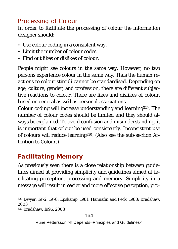## *Processing of Colour*

In order to facilitate the processing of colour the information designer should:

- Use colour coding in a consistent way.
- Limit the number of colour codes.
- Find out likes or dislikes of colour.

People might see colours in the same way. However, no two persons experience colour in the same way. Thus the human reactions to colour stimuli cannot be standardised. Depending on age, culture, gender, and profession, there are different subjective reactions to colour. There are likes and dislikes of colour, based on general as well as personal associations.

Colour coding will increase understanding and learning329. The number of colour codes should be limited and they should always be explained. To avoid confusion and misunderstanding, it is important that colour be used consistently. Inconsistent use of colours will reduce learning330. (Also see the sub-section *Attention to Colour*.)

# **Facilitating Memory**

As previously seen there is a close relationship between guidelines aimed at providing simplicity and guidelines aimed at facilitating perception, processing and memory. Simplicity in a message will result in easier and more effective perception, pro-

 <sup>329</sup> Dwyer, 1972, 1978; Epskamp, 1981; Hannafin and Peck, 1988; Bradshaw, 2003

<sup>330</sup> Bradshaw, 1996, 2003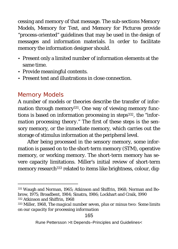cessing and memory of that message. The sub-sections *Memory Models, Memory for Text,* and *Memory for Pictures* provide "process-oriented" guidelines that may be used in the design of messages and information materials. In order to facilitate memory the information designer should.

- Present only a limited number of information elements at the same time.
- Provide meaningful contents.
- Present text and illustrations in close connection.

# *Memory Models*

A number of models or theories describe the transfer of information through memory<sup>331</sup>. One way of viewing memory functions is based on information processing in steps332, the "*information processing theory.*" The first of these steps is the sensory memory, or the immediate memory, which carries out the storage of stimulus information at the peripheral level.

After being processed in the sensory memory, some information is passed on to the short-term memory (STM), operative memory, or working memory. The short-term memory has severe capacity limitations. Miller's initial review of short-term memory research<sup>333</sup> related to items like brightness, colour, dig-

 <sup>331</sup> Waugh and Norman, 1965; Atkinson and Shiffrin, 1968; Norman and Bobrow, 1975; Broadbent, 1984; Sinatra, 1986; Lockhart and Craik, 1990 <sup>332</sup> Atkinson and Shiffrin, 1968

<sup>333</sup> Miller, 1968, *The magical number seven, plus or minus two: Some limits on our capacity for processing information*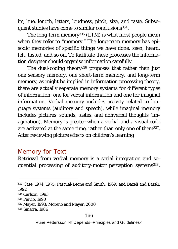its, hue, length, letters, loudness, pitch, size, and taste. Subsequent studies have come to similar conclusions<sup>334</sup>.

The long-term memory335 (LTM) is what most people mean when they refer to "memory." The long-term memory has episodic memories of specific things we have done, seen, heard, felt, tasted, and so on. To facilitate these processes the information designer should organise information carefully.

The dual-coding theory<sup>336</sup> proposes that rather than just one sensory memory, one short-term memory, and long-term memory, as might be implied in information processing theory, there are actually separate memory systems for different types of information: one for verbal information and one for imaginal information. Verbal memory includes activity related to language systems (auditory and speech), while imaginal memory includes pictures, sounds, tastes, and nonverbal thoughts (imagination). Memory is greater when a verbal and a visual code are activated at the same time, rather than only one of them<sup>337</sup>. After reviewing picture effects on children's learning

### *Memory for Text*

Retrieval from verbal memory is a serial integration and sequential processing of auditory-motor perception systems<sup>338</sup>.

336 Paivio, 1990

337 Mayer, 1993; Moreno and Mayer, 2000

338 Sinatra, 1986

### 166

 <sup>334</sup> Case, 1974, 1975; Pascual-Leone and Smith, 1969; and Bazeli and Bazeli, 1992

<sup>335</sup> Carlson, 1993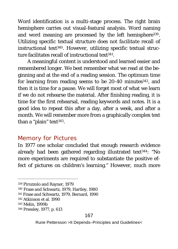Word identification is a multi-stage process. The right brain hemisphere carries out visual-featural analysis. Word naming and word meaning are processed by the left hemisphere<sup>339</sup>. Utilizing specific textual structure *does not facilitate* recall of instructional text<sup>340</sup>. However, utilizing specific textual structure facilitates recall of instructional text<sup>341</sup>.

A meaningful content is understood and learned easier and remembered longer. We best remember what we read at the beginning and at the end of a reading session. The optimum time for learning from reading seems to be 20-40 minutes<sup>342</sup>, and then it is time for a pause. We will forget most of what we learn if we do not rehearse the material. After finishing reading, it is time for the first rehearsal, reading keywords and notes. It is a good idea to repeat this after a day, after a week, and after a month. We will remember more from a graphically complex text than a "plain" text<sup>343</sup>.

## *Memory for Pictures*

In 1977 one scholar concluded that enough research evidence already had been gathered regarding illustrated text<sup>344</sup>: "No more experiments are required to substantiate the positive effect of pictures on children's learning." However, much more

 <sup>339</sup> Pirozzolo and Rayner, 1979

<sup>340</sup> Frase and Schwartz, 1979, Hartley, 1980

<sup>341</sup> Frase and Schwartz, 1979, Bernard, 1990

<sup>342</sup> Atkinson et al. 1990

<sup>343</sup> Melin, 1999b

<sup>344</sup> Pressley, 1977, p. 613

Rune Pettersson >It Depends–Principles and Guidelines<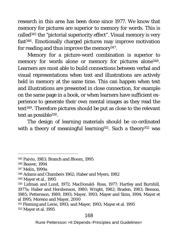research in this area has been done since 1977. We know that memory for pictures are superior to memory for words. This is called345 the "pictorial superiority effect". Visual memory is very fast346. Emotionally charged pictures may improve motivation for reading and thus improve the memory<sup>347</sup>.

Memory for a picture-word combination is superior to memory for words alone or memory for pictures alone<sup>348</sup>. Learners are most able to build connections between verbal and visual representations when text and illustrations are actively held in memory at the same time. This can happen when text and illustrations are presented in close connection, for example on the same page in a book, or when learners have sufficient experience to generate their own mental images as they read the text349. Therefore pictures should be put as close to the relevant text as possible350.

The design of learning materials should be co-ordinated with a theory of meaningful learning<sup>351</sup>. Such a theory<sup>352</sup> was

349 Mayer et al., 1995

#### 168

 <sup>345</sup> Paivio, 1983; Branch and Bloom, 1995

<sup>346</sup> Beaver, 1994

<sup>347</sup> Melin, 1999a

<sup>348</sup> Adams and Chambers 1962; Haber and Myers, 1982

<sup>350</sup> Lidman and Lund, 1972; MacDonald- Ross, 1977; Hartley and Burnhill, 1977a; Haber and Hershenson, 1980; Wright, 1982; Braden, 1983; Benson, 1985; Pettersson, 1989, 1993; Mayer, 1993; Mayer and Sims, 1994; Mayer et al 1995; Moreno and Mayer, 2000

<sup>351</sup> Fleming and Levie, 1993; and Mayer, 1993; Mayer et al. 1995 352 Mayer et al. 1995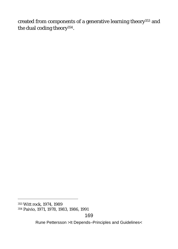created from components of a generative learning theory<sup>353</sup> and the dual coding theory354.

169

 <sup>353</sup> Witt rock, 1974, 1989

<sup>354</sup> Paivio, 1971, 1978, 1983, 1986, 1991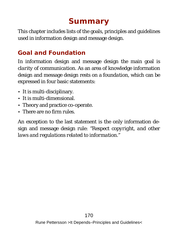# **Summary**

This chapter includes lists of the goals, principles and guidelines used in information design and message design.

## **Goal and Foundation**

In information design and message design the main goal is *clarity of communication*. As an area of knowledge information design and message design rests on a *foundation*, which can be expressed in four basic statements:

- It is multi-disciplinary.
- It is multi-dimensional.
- Theory and practice co-operate.
- There are no firm rules.

An exception to the last statement is the only information design and message design rule: *"Respect copyright, and other laws and regulations related to information."*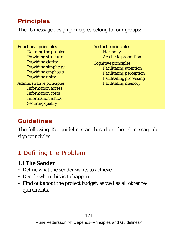# **Principles**

The 16 message design principles belong to four groups:

Functional principles Defining the problem Providing structure Providing clarity Providing simplicity Providing emphasis Providing unity Administrative principles Information access Information costs Information ethics Securing quality

Aesthetic principles **Harmony** Aesthetic proportion Cognitive principles Facilitating attention Facilitating perception Facilitating processing Facilitating memory

# **Guidelines**

The following 150 guidelines are based on the 16 message design principles.

## *1 Defining the Problem*

- **1.1 The Sender**
- Define what the sender wants to achieve.
- Decide when this is to happen.
- Find out about the project budget, as well as all other requirements.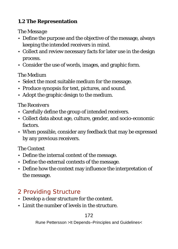### **1.2 The Representation**

### *The Message*

- Define the purpose and the objective of the message, always keeping the intended receivers in mind.
- Collect and review necessary facts for later use in the design process.
- Consider the use of words, images, and graphic form.

### *The Medium*

- Select the most suitable medium for the message.
- Produce synopsis for text, pictures, and sound.
- Adopt the graphic design to the medium.

### *The Receivers*

- Carefully define the group of intended receivers.
- Collect data about age, culture, gender, and socio-economic factors.
- When possible, consider any feedback that may be expressed by any previous receivers.

### *The Context*

- Define the internal context of the message.
- Define the external contexts of the message.
- Define how the context may influence the interpretation of the message.

# *2 Providing Structure*

- Develop a clear structure for the content.
- Limit the number of levels in the structure.

### 172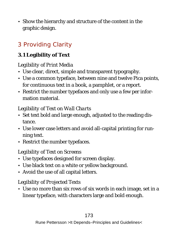• Show the hierarchy and structure of the content in the graphic design.

# *3 Providing Clarity*

## **3.1 Legibility of Text**

### *Legibility of Print Media*

- Use clear, direct, simple and transparent typography.
- Use a common typeface, between nine and twelve Pica points, for continuous text in a book, a pamphlet, or a report.
- Restrict the number typefaces and only use a few per information material.

### *Legibility of Text on Wall Charts*

- Set text bold and large enough, adjusted to the reading distance.
- Use lower case letters and avoid all-capital printing for running text.
- Restrict the number typefaces.

### *Legibility of Text on Screens*

- Use typefaces designed for screen display.
- Use black text on a white or yellow background.
- Avoid the use of all capital letters.

### *Legibility of Projected Texts*

• Use no more than six rows of six words in each image, set in a linear typeface, with characters large and bold enough.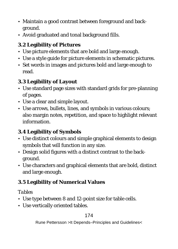- Maintain a good contrast between foreground and background.
- Avoid graduated and tonal background fills.
- **3.2 Legibility of Pictures**
- Use picture elements that are bold and large enough.
- Use a style guide for picture elements in schematic pictures.
- Set words in images and pictures bold and large enough to read.

### **3.3 Legibility of Layout**

- Use standard page sizes with standard grids for pre-planning of pages.
- Use a clear and simple layout.
- Use arrows, bullets, lines, and symbols in various colours; also margin notes, repetition, and space to highlight relevant information.
- **3.4 Legibility of Symbols**
- Use distinct colours and simple graphical elements to design symbols that will function in any size.
- Design solid figures with a distinct contrast to the background.
- Use characters and graphical elements that are bold, distinct and large enough.

### **3.5 Legibility of Numerical Values**

### *Tables*

- Use type between 8 and 12-point size for table cells.
- Use vertically oriented tables.

### 174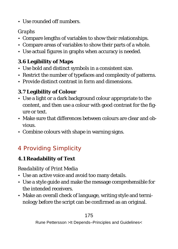• Use rounded off numbers.

### *Graphs*

- Compare lengths of variables to show their relationships.
- Compare areas of variables to show their parts of a whole.
- Use actual figures in graphs when accuracy is needed.

### **3.6 Legibility of Maps**

- Use bold and distinct symbols in a consistent size.
- Restrict the number of typefaces and complexity of patterns.
- Provide distinct contrast in form and dimensions.

## **3.7 Legibility of Colour**

- Use a light or a dark background colour appropriate to the content, and then use a colour with good contrast for the figure or text.
- Make sure that differences between colours are clear and obvious.
- Combine colours with shape in warning signs.

# *4 Providing Simplicity*

### **4.1 Readability of Text**

### *Readability of Print Media*

- Use an active voice and avoid too many details.
- Use a style guide and make the message comprehensible for the intended receivers.
- Make an overall check of language, writing style and terminology before the script can be confirmed as an original.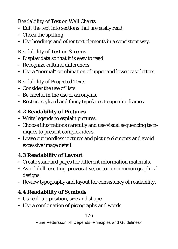### *Readability of Text on Wall Charts*

- Edit the text into sections that are easily read.
- Check the spelling!
- Use headings and other text elements in a consistent way.

### *Readability of Text on Screens*

- Display data so that it is easy to read.
- Recognize cultural differences.
- Use a "normal" combination of upper and lower case letters.

### *Readability of Projected Texts*

- Consider the use of lists.
- Be careful in the use of acronyms.
- Restrict stylized and fancy typefaces to opening frames.

### **4.2 Readability of Pictures**

- Write legends to explain pictures.
- Choose illustrations carefully and use visual sequencing techniques to present complex ideas.
- Leave out needless pictures and picture elements and avoid excessive image detail.

### **4.3 Readability of Layout**

- Create standard pages for different information materials.
- Avoid dull, exciting, provocative, or too uncommon graphical designs.
- Review typography and layout for consistency of readability.
- **4.4 Readability of Symbols**
- Use colour, position, size and shape.
- Use a combination of pictographs and words.

176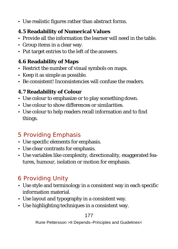- Use realistic figures rather than abstract forms.
- **4.5 Readability of Numerical Values**
- Provide all the information the learner will need in the table.
- Group items in a clear way.
- Put target entries to the left of the answers.

### **4.6 Readability of Maps**

- Restrict the number of visual symbols on maps.
- Keep it as simple as possible.
- Be consistent! Inconsistencies will confuse the readers.

### **4.7 Readability of Colour**

- Use colour to emphasize or to play something down.
- Use colour to show differences or similarities.
- Use colour to help readers recall information and to find things.

# *5 Providing Emphasis*

- Use specific elements for emphasis.
- Use clear contrasts for emphasis.
- Use variables like complexity, directionality, exaggerated features, humour, isolation or motion for emphasis.

# *6 Providing Unity*

- Use style and terminology in a consistent way in each specific information material.
- Use layout and typography in a consistent way.
- Use highlighting techniques in a consistent way.

### 177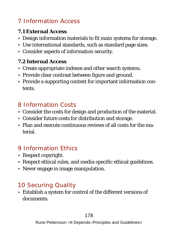# *7 Information Access*

- **7.1 External Access**
- Design information materials to fit main systems for storage.
- Use international standards, such as standard page sizes.
- Consider aspects of information security.

### **7.2 Internal Access**

- Create appropriate indexes and other search systems.
- Provide clear contrast between figure and ground.
- Provide a supporting context for important information contents.

# *8 Information Costs*

- Consider the costs for design and production of the material.
- Consider future costs for distribution and storage.
- Plan and execute continuous reviews of all costs for the material.

# *9 Information Ethics*

- Respect copyright.
- Respect ethical rules, and media-specific ethical guidelines.
- Never engage in image manipulation.

# *10 Securing Quality*

• Establish a system for control of the different versions of documents.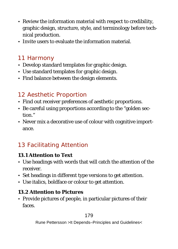- Review the information material with respect to credibility, graphic design, structure, style, and terminology before technical production.
- Invite users to evaluate the information material.

# *11 Harmony*

- Develop standard templates for graphic design.
- Use standard templates for graphic design.
- Find balance between the design elements.

# *12 Aesthetic Proportion*

- Find out receiver preferences of aesthetic proportions.
- Be careful using proportions according to the "golden section."
- Never mix a decorative use of colour with cognitive importance.

# *13 Facilitating Attention*

**13.1 Attention to Text**

- Use headings with words that will catch the attention of the receiver.
- Set headings in different type versions to get attention.
- Use italics, boldface or colour to get attention.

#### **13.2 Attention to Pictures**

• Provide pictures of people, in particular pictures of their faces.

#### 179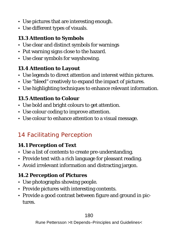- Use pictures that are interesting enough.
- Use different types of visuals.

### **13.3 Attention to Symbols**

- Use clear and distinct symbols for warnings
- Put warning signs close to the hazard.
- Use clear symbols for wayshowing.

#### **13.4 Attention to Layout**

- Use legends to direct attention and interest within pictures.
- Use "bleed" creatively to expand the impact of pictures.
- Use highlighting techniques to enhance relevant information.

### **13.5 Attention to Colour**

- Use bold and bright colours to get attention.
- Use colour coding to improve attention.
- Use colour to enhance attention to a visual message.

# *14 Facilitating Perception*

#### **14.1 Perception of Text**

- Use a list of contents to create pre-understanding.
- Provide text with a rich language for pleasant reading.
- Avoid irrelevant information and distracting jargon.

### **14.2 Perception of Pictures**

- Use photographs showing people.
- Provide pictures with interesting contents.
- Provide a good contrast between figure and ground in pictures.

#### 180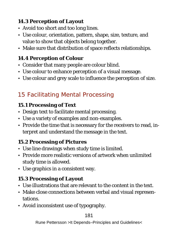**14.3 Perception of Layout** 

- Avoid too short and too long lines.
- Use colour, orientation, pattern, shape, size, texture, and value to show that objects belong together.
- Make sure that distribution of space reflects relationships.

#### **14.4 Perception of Colour**

- Consider that many people are colour blind.
- Use colour to enhance perception of a visual message.
- Use colour and grey scale to influence the perception of size.

# *15 Facilitating Mental Processing*

#### **15.1 Processing of Text**

- Design text to facilitate mental processing.
- Use a variety of examples and non-examples.
- Provide the time that is necessary for the receivers to read, interpret and understand the message in the text.

#### **15.2 Processing of Pictures**

- Use line drawings when study time is limited.
- Provide more realistic versions of artwork when unlimited study time is allowed.
- Use graphics in a consistent way.

#### **15.3 Processing of Layout**

- Use illustrations that are relevant to the content in the text.
- Make close connections between verbal and visual representations.
- Avoid inconsistent use of typography.

181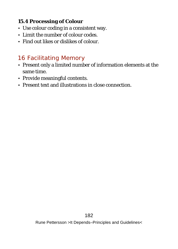**15.4 Processing of Colour**

- Use colour coding in a consistent way.
- Limit the number of colour codes.
- Find out likes or dislikes of colour.

### *16 Facilitating Memory*

- Present only a limited number of information elements at the same time.
- Provide meaningful contents.
- Present text and illustrations in close connection.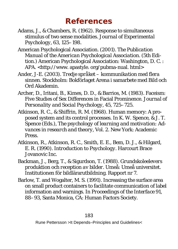# **References**

- Adams, J., & Chambers, R. (1962). Response to simultaneous stimulus of two sense modalities. *Journal of Experimental Psychology, 63,* 125–198.
- American Psychological Association. (2001). *The Publication Manual of the American Psychological Association.* (5th Edition.) American Psychological Association: Washington, D. C. : APA. <http://www. apastyle. org/pubma-nual. html>
- Ander, J-E. (2003). *Tredje språket kommunikation med flera sinnen.* Stockholm: Bokförlaget Arena i samarbete med Bild och Ord Akademin.
- Archer, D., Iritani, B., Kimes, D. D., & Barrios, M. (1983). Faceism: Five Studies of Sex Differences in Facial Prominence. *Journal of Personality and Social Psychology, 45,* 725–725.
- Atkinson, R. C., & Shiffrin, R. M. (1968). Human memory: A proposed system and its control processes. In K. W. Spence, & J. T. Spence (Eds.), *The psychology of learning and motivation: Advances in research and theory, Vol. 2*. New York: Academic **Press**.
- Atkinson, R., Atkinson, R. C., Smith, E. E., Bem, D. J., & Hilgard, E. R. (1990). *Introduction to Psychology.* Harcourt Brace Jovanovic Inc.
- Backman, J., Berg, T., & Sigurdson, T. (1988). *Grundskoleelevers produktion och reception av bilder.* Umeå: Umeå universitet. Institutionen för bildlärarutbildning. Rapport nr 7.
- Barlow, T. and Wogalter, M. S. (1991). Increasing the surface area on small product containers to facilitate communication of label information and warnings. In *Proceedings of the Interface 91,*  88–93, Santa Monica, CA: Human Factors Society.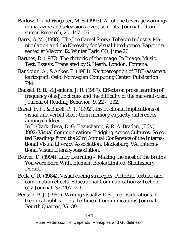- Barlow, T. and Wogalter, M. S. (1993). Alcoholic beverage warnings in magazine and television advertisements. *Journal of Consumer Research, 20,* 147-156.
- Barry, A-M. (1998). *The Joe Camel Story: Tobacco Industry Manipulation and the Necessity for Visual Intelligence.* Paper presented at Viscom 12, Winter Park, CO, June 26.
- Barthes, R. (1977). *The rhetoric of the image.* In *Image, Music, Text, Essays.* Translated by S. Heath. London: Fontana.
- Baudoiun, A., & Anker, P. (1984). *Kartperception of EDB-assistert kartografi.* Oslo: Norwegian Computing Center. Publication 744.
- Bausell, R. B., & Jenkins, J. R. (1987). Effects on prose learning of frequency of adjunct cues and the difficulty of the material cued. *Journal of Reading Behavior, 9,* 227–232.
- Bazeli, F. P., & Bazeli, P. T. (1992). *Instructional implications of visual and verbal short-term memory capacity differences among children.*

In J. Clark–Baca, D. G. Beauchamp, & R. A. Braden, (Eds.) 1992: *Visual Communication: Bridging Across Cultures. Selected Readings from the 23rd Annual Conference of the International Visual Literacy Association.* Blacksburg, VA: International Visual Literacy Association.

- Beaver, D. (1994). *Lazy Learning Making the most of the Brains You were Born With.* Element Books Limited, Shaftesbury, Dorset.
- Beck, C. R. (1984). Visual cueing strategies: Pictorial, textual, and combination effects. *Educational Communication & Technology Journal, 32,* 207–216.
- Benson, P. J. (1985). Writing visually: Design considerations in technical publications. *Technical Communications Journal. Fourth Quarter,* 35–39.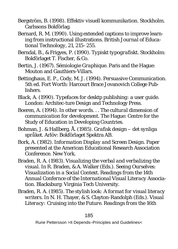- Bergström, B. (1998). *Effektiv visuell kommunikation.* Stockholm. Carlssons Bokförlag.
- Bernard, R. M. (1990). Using extended captions to improve learning from instructional illustrations. *British Journal of Educational Technology, 21,* 215–255.
- Berndal, B., & Frigyes, P. (1990). *Typiskt typografiskt.* Stockholm: Bokförlaget T. Fischer, & Co.
- Bertin, J. (1967). *Sémiologie Graphique.* Paris and the Hague: Mouton and Gauthiers-Villars.
- Bettinghaus, E. P., Cody, M. J. (1994). *Persuasive Communication.*  5th ed. Fort Worth: Harcourt Brace Jovanovich College Publishers.
- Black, A. (1990). *Typefaces for desktp publishing: a user guide.*  London: Architec-ture Design and Technology Press.
- Boeren, A. (1994). *In other words. . . The cultural dimension of communication for development.* The Hague: Centre for the Study of Education in Developing Countries.
- Bohman, J. & Hallberg, Å. (1985). *Grafisk design det synliga språket.* Arlöv: Bokförlaget Spektra AB.
- Bork, A. (1982). *Information Display and Screen Design.* Paper presented at the American Educational Research Association Conference. New York.
- Braden, R. A. (1983). *Visualizing the verbal and verbalizing the visual.* In R. Braden, & A. Walker (Eds.). *Seeing Ourselves: Visualization in a Social Context. Readings from the 14th Annual Confernce of the International Visual Literacy Association.* Blacksburg: Virginia Tech University.
- Braden, R. A. (1985). *The stylish look: A format for visual literacy writers.* In N. H. Thayer, & S. Clayton-Randolph (Eds.). *Visual Literacy: Cruising into the Future. Readings from the 16th*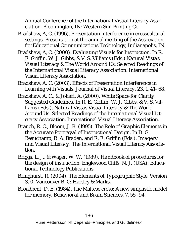*Annual Conference of the International Visual Literacy Association.* Bloomington, IN: Western Sun Printing Co.

- Bradshaw, A, C. (1996). *Presentation interference in crosscultural settings.* Presentation at the annual meeting of the Association for Educational Communications Technology, Indianapolis, IN.
- Bradshaw, A, C. (2000). *Evaluating Visuals for Instruction. In* R. E. Griffin, W. J. Gibbs, & V. S. Villiams (Eds.) *Natural Vistas Visual Literacy & The World Around Us. Selected Readings of the International Visual Literacy Association.* International Visual Literacy Association.
- Bradshaw, A, C. (2003). Effects of Presentation Interference in Learning with Visuals. *Journal of Visual Literacy, 23,* 1, 41–68.
- Bradshaw, A, C., & Johari, A. (2000). *White Space for Clarity: Suggested Guidelines.* In R. E. Griffin, W. J. Gibbs, & V. S. Villiams (Eds.). *Natural Vistas Visual Literacy & The World Around Us. Selected Readings of the International Visual Literacy Association.* International Visual Literacy Association.
- Branch, R. C., Bloom, J. R. (1995). *The Role of Graphic Elements in the Accurate Portrayal of Instructional Design.* In D. G. Beauchamp, R. A. Braden, and R. E. Griffin (Eds.). *Imagery and Visual Literacy.* The International Visual Literacy Association.
- Briggs, L. J., & Wager, W. W. (1989). *Handbook of procedures for the design of instruction.* Englewood Cliffs. N. J. (USA): Educational Technology Publications.
- Bringhurst, R. (2004). *The Elements of Typographic Style.* Version 3. 0. Vancouver B. C: Hartley & Marks.
- Broadbent, D. E. (1984). The Maltese cross: A new simplistic model for memory. *Behavioral and Brain Sciences, 7,* 55–94.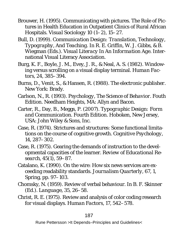- Brouwer, H. (1995). Communicating with pictures. The Role of Pictures in Health Education in Outpatient Clinics of Rural African Hospitals. *Visual Sociology 10 (1–2),* 15–27.
- Bull, D. (1999). *Communication Design: Translation, Technology, Typography, And Teaching*. In R. E. Griffin, W. J. Gibbs, & B. Wiegman (Eds.). *Visual Literacy In An Information Age.* International Visual Literacy Association.
- Burg, K. F., Boyle, J. M., Evey, J. R., & Neal, A. S. (1982). Windowing versus scrolling on a visual display terminal. *Human Factors, 24,* 385–394.
- Burns, D., Venit, S., & Hansen, R. (1988). *The electronic publisher.*  New York: Brady.
- Carlson, N., R. (1993). *Psychology, The Science of Behavior. Fouth Edition.* Needham Heights, MA: Allyn and Bacon.
- Carter, R., Day, B., Meggs, P. (2007). *Typographic Design: Form and Communication.* Fourth Edition. Hoboken, New Jersey, USA: John Wiley & Sons, Inc.
- Case, R. (1974). Strictures and structures: Some functional limitations on the course of cognitive growth. *Cognitive Psychology, 14,* 287–302.
- Case, R. (1975). Gearing the demands of instruction to the developmental capacities of the learner. *Review of Educational Research, 45*(*1*)*,* 59–87.
- Catalano, K. (1990). On the wire: How six news services are exceeding readability standards. *Journalism Quarterly, 67, 1,* Spring, pp. 97–103.
- Chomsky, N. (1959). Review of verbal behaviour. In B. F. Skinner (Ed.). *Language*, *35*, 26–58.
- Christ, R. E. (1975). Review and analysis of color coding research for visual displays. *Human Factors, 17,* 542–578.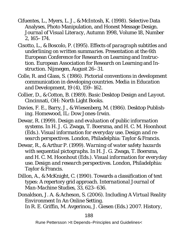- Cifuentes, L., Myers, L. J., & McIntosh, K. (1998). Selective Data Analyses, Photo Manipulation, and Honest Message Design. *Journal of Visual Literacy, Autumn 1998, Volume 18,* Number 2, 165–174.
- Cisotto, L., & Boscolo, P. (1995). *Effects of paragraph subtitles and underlining on written summaries.* Presentation at the 6th European Conference for Research on Learning and Instruction. European Association for Research on Learning and Instruction. Nijmegen, August 26–31.
- Colle, R. and Glass, S. (1986). Pictorial conventions in development communication in developing countries. *Media in Education and Development, 19 (4)*, 159–162.
- Collier, D., & Cotton, B. (1989). *Basic Desktop Design and Layout.*  Cincinnati, OH: North Light Books.
- Davies, F. E., Barry, J., & Wiesenberg, M. (1986). *Desktop Publishing*. Homewood, IL: Dow Jones-Irwin.
- Dewar, R. (1999). *Design and evaluation of public information systems.* In H. J. G. Zwaga, T. Boersma, and H. C. M. Hoonhout (Eds.). *Visual information for everyday use. Design and research perspectives.* London, Philadelphia: Taylor & Francis.
- Dewar, R., & Arthur P. (1999). *Warning of water safety hazards with sequential pictographs.* In H. J. G. Zwaga, T. Boersma, and H. C. M. Hoonhout (Eds.). *Visual information for everyday use. Design and research perspectives.* London, Philadelphia: Taylor & Francis.
- Dillon, A., & McKnight, C. (1990). Towards a classification of text types: A repertory grid approach. *International Journal of Man-Machine Studies, 33,* 623–636.
- Donaldson, J. A. & Acheson, S. (2006). *Including A Virtual Reality Environment In An Online Setting*.

In R. E. Griffin, M. Avgerinou, J. Giesen (Eds.) 2007. *History,* 

188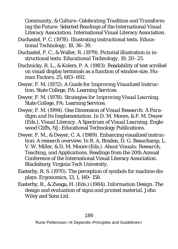*Community, & Culture–Celebrating Tradition and Transforming the Future: Selected Readings of the International Visual Literacy Association.* International Visual Literacy Association.

Duchastel, P. C. (1978). Illustrating instructional texts. *Educational Technology, 18,* 36–39.

Duchastel, P. C., & Waller, R. (1979). Pictorial illustration in instructional texts. *Educational Technology, 19,* 20–25.

Duchnicky, R. L., & Kolers, P. A. (1983). Readability of text scrolled on visual display terminals as a function of window size. *Human Factors, 25,* 683–692.

Dwyer, F. M. (1972). *A Guide for Improving Visualized Instruction.* State College, PA: Learning Services.

Dwyer, F. M. (1978). *Strategies for Improving Visual Learning.*  State College, PA: Learning Services.

Dwyer, F. M. (1994). *One Dimension of Visual Research: A Paradigm and Its Implementatio*n*.* In D. M. Moore, & F. M. Dwyer (Eds.), *Visual Literacy. A Spectrum of Visual Learning.* Englewood Cliffs, NJ: Educational Technology Publications.

Dwyer, F. M., & Dwyer, C. A. (1989). Enhancing visualized instruction: A research overview. In R. A. Braden, D. G. Beauchamp, L. V. W. Miller, & D. M. Moore (Eds.). *About Visuals: Research, Teaching, and Applications.* Readings from the 20th Annual Conference of the International Visual Literacy Association. Blacksburg: Virginia Tech University.

Easterby, R. S. (1970). The perception of symbols for machine displays. *Ergonomics, 13,* 1, 149–158.

Easterby, R., & Zwaga, H. (Eds.) (1984). *Information Design. The design and evaluation of signs and printed material.* John Wiley and Sons Ltd.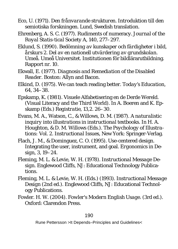- Eco, U. (1971). *Den frånvarande strukturen. Introduktion till den semiotiska forskningen.* Lund, Swedish translation.
- Ehrenberg, A. S. C. (1977). Rudiments of numeracy. *Journal of the Royal Statis-tical Society A, 140,* 277–297.
- Eklund, S. (1990). *Bedömning av kunskaper och färdigheter i bild, årskurs 2. Del av en nationell utvärdering av grundskolan.*  Umeå. Umeå Universitet. Institutionen för bildlärarutbildning. Rapport nr. 10.
- Ekwall, E. (1977). *Diagnosis and Remediation of the Disabled Reader.* Boston: Allyn and Bacon.
- Elkind, D. (1975). We can teach reading better. *Today's Education*, *64,* 34–38.
- Epskamp, K. (1981). Visuele Alfabetisering en de Derde Wereld. (Visual Literacy and the Third World). In A. Boeren and K. Epskamp (Eds.) *Registratie, 13,2.* 26–30.
- Evans, M. A., Watson, C., & Willows, D. M. (1987). *A naturalistic inquiry into illustrations in instructional textbooks.* In H. A. Houghton, & D. M. Willows (Eds.). *The Psychology of Illustrations: Vol. 2. Instructional Issues,* New York: Springer-Verlag.
- Flach, J. M., & Dominguez, C. O. (1995). Use-centered design. Integrating the user, instrument, and goal. *Ergonomics in Design, 3,* 19–24.
- Fleming, M. L. & Levie, W. H. (1978). *Instructional Message Design.* Englewood Cliffs, NJ: Educational Technology Publications.
- Fleming, M. L. & Levie, W. H. (Eds.) (1993). *Instructional Message Design* (2nd ed.). Englewood Cliffs, NJ: Educational Technology Publications.
- Fowler. H. W. (2004). *Fowler's Modern English Usage*. (3rd ed.). Oxford: Clarendon Press.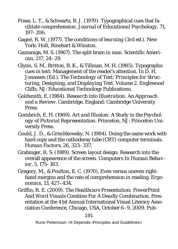- Frase, L. T., & Schwartz, B. J. (1970). Typographical cues that facilitate comprehension. *Journal of Educational Psychology, 71,* 197–206.
- Gagné, R. W. (1977). *The conditions of learning (3rd ed.).* New York: Holt, Rinehart & Winston.
- Gazzaniga, M. S. (1967). The split brain in man. *Scientific American, 217,* 24–29.
- Glynn, S. M., Britton, B. K., & Tillman, M. H. (1985). Typographic cues in text: Management of the reader's attention. In D. H. Jonassen (Ed.). *The Technology of Text: Principles for Structuring, Designing, and Displaying Text. Volume 2.* Englewood Cliffs, NJ: Educational Technology Publications.
- Goldsmith, E. (1984). *Research into Illustration: An Approach and a Review.* Cambridge, England: Cambridge University Press.
- Gombrich, E. H. (1969). *Art and Illusion: A Study in the Psychology of Pictorial Representation.* Princeton, NJ: Princeton University Press.
- Gould, J. D., & Grischkowsky, N. (1984). Doing the same work with hard copy and the cathoderay tube (CRT) computer terminals. *Human Factors, 26,* 323–337.
- Grabinger, R. S. (1989). Screen layout design: Research into the overall appearence of the screen. *Computers In Human Behavior, 5,* 175–183.
- Gregory, M., & Poulton, E. C. (1970). Even versus uneven righthand margins and the rate of comprehension in reading. *Ergonomics, 13,* 427–434.
- Griffin, R. E. (2009). *The Healthcare Presentation: PowerPoint And Word Visuals Combine For A Deadly Combination.* Presentation at the 41st Annual International Visual Literacy Association Conference, Chicago, USA, October 6–9, 2009. Pub-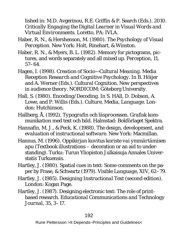lished in: M.D. Avgerinou, R.E. Griffin & P. Search (Eds.). 2010. *Critically Engaging the Digital Learner in Visual Words and Virtual Environments.* Loretto, PA: IVLA.

- Haber, R. N., & Hershenson, M. (1980). *The Psychology of Visual Perception.* New York: Holt, Rinehart, & Winston.
- Haber, R. N., & Myers, B. L. (1982). Memory for pictograms, pictures, and words separately and all mixed up. *Perception, 11,*  57–64.
- Hagen, I. (1998). *Creation of Socio—Cultural Meaning. Media Reception Research and Cognitive Psychology.* In B. Höijer and A. Werner (Eds.). *Cultural Cognition. New perspectives in audience theory.* NORDICOM: Göteborg University.
- Hall, S. (1980). *Encoding/Decoding*. In S. HAll, D. Dobson, A. Lowe, and P. Willis (Eds.). *Culture, Media, Language*. London: Hutchinson.
- Hallberg, Å. (1992). *Typografin och läsprocessen. Grafisk kommunikation med text och bild.* Halmstad: Bokförlaget Spektra.
- Hannafin, M. J., & Peck, K. (1988). *The design, development, and evaluation of instructional software.* New York: Macmillan.
- Hannus, M. (1996). *Oppikirjan kuvitus koriste vai ymmärtämisen apu* (Textbook illustrations – decoration or an aid to understanding). Turku: Turun Yliopiston Julkaisuja Annales Universtatis Turkuensis.
- Hartley, J. (1980). Spatial cues in text: Some comments on the paper by Frase, & Schwartz (1979). *Visible Language, XIV,* 62–79.
- Hartley, J. (1985). *Designing Instructional Text* (second edition). London: Kogan Page.
- Hartley, J. (1987). Designing electronic text: The role of printbased research. *Educational Communications and Technology Journal, 35,* 3–17.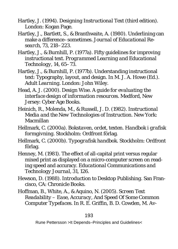- Hartley, J. (1994). *Designing Instructional Text* (third edition). London: Kogan Page.
- Hartley, J., Bartlett, S., & Branthwaite, A. (1980). Underlining can make a difference–sometimes. *Journal of Educational Research, 73,* 218–223.
- Hartley, J., & Burnhill, P. (1977a). Fifty guidelines for improving instructional text. *Programmed Learning and Educational Technology, 14,* 65–73.

Hartley, J., & Burnhill, P. (1977b). Understanding instructional text: Typography, layout, and design. In M. J. A. Howe (Ed.). *Adult Learning*. London: John Wiley.

- Head, A. J. (2000). *Design Wise. A guide for evaluating the interface design of information resources.* Medford, New Jersey: Cyber Age Books.
- Heinich, R., Molenda, M., & Russell, J. D. (1982). *Instructional Media and the New Technologies of Instruction.* New York: Macmillan
- Hellmark, C. (2000a). *Bokstaven, ordet, texten. Handbok i grafisk formgivning*. Stockholm: Ordfront förlag.
- Hellmark, C. (2000b). *Typografisk handbok*. Stockholm: Ordfront förlag.
- Henney, M. (1981). The effect of all-capital print versus regular mixed print as displayed on a micro-computer screen on reading speed and accuracy. *Educational Communications and Technology Journal, 31,* 126.
- Hewson, D. (1988). *Introduction to Desktop Publishing.* San Francisco, CA: Chronicle Books.
- Hoffman, B., White, A., & Aquino, N. (2005). *Screen Text Readability – Ease, Accuracy, And Speed Of Some Common Computer Typefaces.* In R. E. Griffin, B. D. Cowden, M. Av-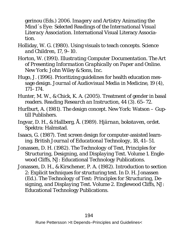gerinou (Eds.) 2006. *Imagery and Artistry Animating the Mind´s Eye: Selected Readings of the International Visual Literacy Association.* International Visual Literacy Association.

- Holliday, W. G. (1980). Using visuals to teach concepts. *Science and Children, 17,* 9–10.
- Horton, W. (1991). *Illustrating Computer Documentation. The Art of Presenting Information Graphically on Paper and Online.*  New York: John Wiley & Sons, Inc.
- Hugo, J. (1996). Prioritizing guidelines for health education message design. *Journal of Audiovisual Media in Medicine, 19 (4)*, 171–174.
- Hunter, M. W., & Chick, K. A. (2005). Treatment of gender in basal readers. *Reading Research an Instruction, 44 (3).* 65–72.
- Hurlburt, A. (1981). *The design concept.* New York: Watson Guptill Publishers.
- Ingvar, D. H., & Hallberg, Å. (1989). *Hjärnan, bokstaven, ordet*. Spektra: Halmstad.
- Isaacs, G. (1987). Text screen design for computer-assisted learning. *British Journal of Educational Technology, 18,* 41–51.
- Jonassen, D. H. (1982). *The Technology of Text, Principles for Structuring, Designing, and Displaying Text. Volume 1.* Englewood Cliffs, NJ: Educational Technology Publications.
- Jonassen, D. H., & Kirschener, P. A. (1982). Introduction to section 2: Explicit techniques for structuring text. In D. H. Jonassen (Ed.). *The Technology of Text: Principles for Structuring, Designing, and Displaying Text. Volume 2.* Englewood Cliffs, NJ: Educational Technology Publications.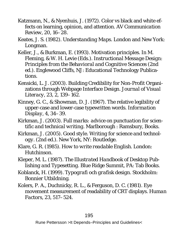- Katzmann, N., & Nyenhuis, J. (1972). Color vs black and white effects on learning, opinion, and attention. *AV Communication Review, 20,* 16–28.
- Keates, J. S. (1982). *Understanding Maps.* London and New York: Longman.
- Keller, J., & Burkman, E. (1993). Motivation principles. In M. Fleming, & W. H. Levie (Eds.). *Instructional Message Design: Principles from the Behavioral and Cognitive Sciences* (2nd ed.). Englewood Cliffs, NJ: Educational Technology Publications.
- Kensicki, L. J. (2003). Building Credibility for Non-Profit Organizations through Webpage Interface Design. *Journal of Visual Literacy, 23,* 2, 139–162.
- Kinney, G. C., & Showman, D. J. (1967). The relative legibility of upper-case and lower-case typewritten words. *Information Display, 4,* 34–39.
- Kirkman, J. (2003). *Full marks: advice on punctuation for scientific and technical writing.* Marlborough : Ramsbury, Books.
- Kirkman, J. (2005). *Good style. Writing for science and technology.* (2nd ed.). New York, NY: Routledge.
- Klare, G. R. (1985). *How to write readable English.* London: **Hutchinson**
- Kleper, M. L. (1987). *The Illustrated Handbook of Desktop Publishing and Typesetting.* Blue Ridge Summit, PA: Tab Books.
- Koblanck, H. (1999). *Typografi och grafisk design.* Stockholm: Bonnier Utbildning.
- Kolers, P. A., Duchnicky, R. L., & Ferguson, D. C. (1981). Eye movement measurement of readability of CRT displays. *Human Factors, 23,* 517–524.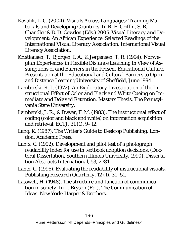- Kovalik, L. C. (2004). *Visuals Across Languages: Training Materials and Developing Countries.* In R. E. Griffin, S. B. Chandler & B. D. Cowden (Eds.) 2005. *Visual Literacy and Development: An African Experience. Selected Readings of the International Visual Literacy Association.* International Visual Literacy Association.
- Kristiansen, T., Bjørgen, I, A., & Jørgensen, T, R. (1994). *Norwegian Experiences in Flexible Distance Learning in View of Assumptions of and Barriers in the Present Educational Culture.*  Presentation at the Educational and Cultural Barriers to Open and Distance Learning University of Sheffield, June 1994.
- Lamberski, R. J. (1972). *An Exploratory Investigation of the Instructional Effect of Color and Black and White Cueing on Immediate and Delayed Retention.* Masters Thesis, The Pennsylvania State University.
- Lamberski, J. R., & Dwyer, F. M. (1983). The instructional effect of coding (color and black and white) on information acquisition and retrieval. *ECTJ*, *31* (1), 9–12.
- Lang, K. (1987). *The Writer's Guide to Desktop Publishing.* London: Academic Press.
- Lantz, C. (1992). Development and pilot test of a photograph readability index for use in textbook adoption decisions. (Doctoral Dissertation, Southern Illinois University, 1990). *Dissertation Abstracts International, 53,* 2781.
- Lantz, C. (1996). Evaluating the readability of instructional visuals. *Publishing Research Quarterly, 12 (1)*, 31–51.
- Lasswell, H. (1948). *The structure and function of communication in society.* In L. Bryson (Ed.). *The Communication of Ideas.* New York: Harper & Brothers.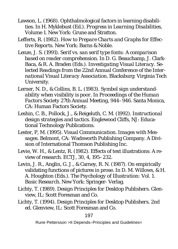- Lawson, L. (1968). Ophthalmological factors in learning disabilities. In H. Myklebust (Ed.). *Progress in Learning Disabilities, Volume 1*. New York: Grune and Stratton.
- Lefferts, R. (1982). *How to Prepare Charts and Graphs for Effective Reports.* New York: Barns & Noble.
- Lenze, J. S. (1991). *Serif vs. san serif type fonts: A comparison based on reader comprehension.* In D. G. Beauchamp, J. Clark-Baca, & R. A. Braden (Eds.). *Investigating Visual Literacy. Selected Readings from the 22nd Annual Conference of the International Visual Literacy Association.* Blacksburg: Virginia Tech University.
- Lerner, N. D., & Collins, B. L. (1983). *Symbol sign understandability when visibility is poor.* In *Proceedings of the Human Factors Society 27th Annual Meeting*, 944–946. Santa Monica, CA: Human Factors Society.
- Leshin, C. B., Pollock, J., & Reigeluth, C. M. (1992). *Instructional design strategies and tactics.* Englewood Cliffs, NJ: Educational Technology Publications.
- Lester, P, M. (1995). *Visual Communication. Images with Messages.* Belmont*, CA:* Wadsworth Publishing Company. A Division of International Thomson Publishing Inc.
- Levie, W. H., & Lentz, R. (1982). Effects of text illustrations: A review of research. *ECTJ, 30*, 4, 195–232.
- Levin, J. R., Anglin, G. J., & Carney, R. N. (1987). On empirically validating functions of pictures in prose. In D. M. Willows, & H. A. Houghton (Eds.). *The Psychology of Illustration: Vol. 1. Basic Research.* New York: Springer- Verlag.
- Lichty, T. (1989). *Design Principles for Desktop Publishers.* Glenview, IL: Scott Foresman and Co.
- Lichty, T. (1994). *Design Principles for Desktop Publishers. 2nd ed.* Glenview, IL: Scott Foresman and Co.

#### 197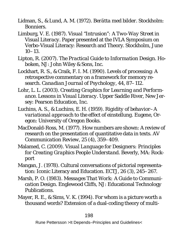- Lidman, S., & Lund, A. M. (1972). *Berätta med bilder.* Stockholm: Bonniers.
- Limburg, V. E. (1987). *Visual "Intrusion": A Two-Way Street in Visual Literacy.* Paper presented at the IVLA Symposium on Verbo-Visual Literacy: Research and Theory. Stockholm, June  $10-13$ .
- Lipton, R. (2007). *The Practical Guide to Information Design.* Hoboken, NJ: John Wiley & Sons, Inc.
- Lockhart, R. S., & Craik, F. I. M. (1990). Levels of processing: A retrospective commentary on a framework for memory research. *Canadian Journal of Psychology, 44,* 87–112.
- Lohr, L. L. (2003). *Creating Graphics for Learning and Performance. Lessons in Visual Literacy.* Upper Saddle River, New Jersey: Pearson Education, Inc.
- Luchins, A. S., & Luchins, E. H. (1959). *Rigidity of behavior–A variational approach to the effect of einstellung.* Eugene, Oregon: University of Oregon Books.
- MacDonald-Ross, M. (1977). How numbers are shown: A review of research on the presentation of quantitative data in texts. *AV Communication Review, 25 (4),* 359–409.
- Malamed, C. (2009). *Visual Language for Designers: Principles for Creating Graphics People Understand.* Beverly, MA: Rockport
- Mangan, J. (1978). Cultural conversations of pictorial representation: Iconic Literacy and Education. *ECTJ, 26 (3),* 245–267.
- Marsh, P. O. (1983). *Messages That Work: A Guide to Communication Design*. Englewood Cliffs, NJ: Educational Technology Publications.
- Mayer, R. E., & Sims, V. K. (1994). For whom is a picture worth a thousand words? Extension of a dual-coding theory of multi-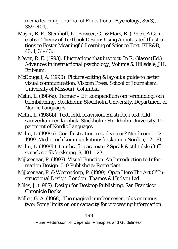media learning. *Journal of Educational Psychology, 86(3),*  389–401).

- Mayer, R. E., Steinhoff, K., Boweer, G., & Mars, R. (1995). A Generative Theory of Textbook Design: Using Annotatated Illustrations to Foster Meaningful Learning of Science Text. *ETR&D, 43, 1*, 31–43.
- Mayer, R. E. (1993). *Illustrations that instruct*. In R. Glaser (Ed.). *Advances in instructional psychology,* Volume 5. Hillsdale, JH: Erlbaum.
- McDougall, A. (1990). *Picture editing & layout a guide to better visual communication.* Viscom Press. School of Journalism. University of Missouri. Columbia.
- Melin, L. (1986a). *Termer Ett kompendium om terminologi och termbildning.* Stockholm: Stockholm University, Department of Nordic Languages.
- Melin, L. (1986b). *Text, bild, lexivision. En studie i text-bildsamverkan i en lärobok.* Stockholm: Stockholm University, Department of Nordic Languages.
- Melin, L. (1999a). *Gör illustrationen vad vi tror?* Nordicom 1–2: 1999. Medie- och kommunikationsforskning i Norden, 52–60.
- Melin, L. (1999b). Hur bra är paratexter? *Språk & stil tidskrift för svensk språkforskning. 9,* 101–123.
- Mijksenaar, P. (1997). *Visual Function. An Introduction to Information Design.* 010 Publishers: Rotterdam.
- Mijksenaar, P. & Westendorp, P. (1999). *Open Here The Art Of Instructional Design.* London: Thames & Hudson Ltd.
- Miles, J. (1987). *Design for Desktop Publishing.* San Francisco: Chronicle Books.
- Miller, G. A. (1968). *The magical number seven, plus or minus two: Some limits on our capacity for processing information.*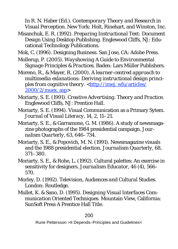In R. N. Haber (Ed.). *Contemporary Theory and Research in Visual Perception.* New York: Holt, Rinehart, and Winston, Inc.

Misanchuk, E. R. (1992). *Preparing Instructional Text: Document Design Using Desktop Publishing.* Englewood Cliffs, NJ: Educational Technology Publications.

Mok, C. (1996). Designing Business. San Jose, CA: Adobe Press.

- Mollerup, P. (2005). *Wayshowing A Guide to Environmental Signage Principles & Practices.* Baden: Lars Müller Publishers.
- Moreno, R., & Mayer, R. (2000). *A learner-centred approach to multimedia exlanations: Deriving instructional design princi*ples from cognitive theory. <http://imej. wfu/articles/ 2000/2/muex. asp>
- Moriarty, S. E. (1991). *Creative Advertising. Theory and Practice.* Englewood Cliffs, NJ: Prentice Hall.
- Moriarty, S. E. (1994). Visual Communication as a Primary Sytem. *Journal of Visual Literacy, 14*, 2, 11–21.
- Moriarty, S. E., & Garramone, G. M. (1986). A study of newsmagazine photographs of the 1984 presidential campaign. *Journalism Quarterly, 63,* 646–734.
- Moriarty, S. E., & Popovich, M. N. (1991). Newsmagazine visuals and the 1988 presidential election. *Journalism Quarterly, 68,* 371–380.
- Moriarty, S. E., & Rohe, L. (1992). Cultural palettes: An exercise in sensitivity for designers. *Journalism Educator, 46* (4), 566– 570.
- Morley, D. (1992). *Television, Audiences and Cultural Studies.* London: Routledge.
- Mullet, K. & Sano, D. (1995). *Designing Visual Interfaces Communication Oriented Techniques.* Mountain View, California: SunSoft Press A Prentice Hall Title.

#### 200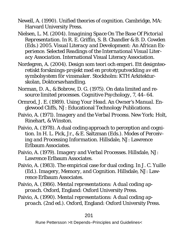Newell, A. (1990). *Unified theories of cognition.* Cambridge, MA: Harvard University Press.

Nielsen, L. M. (2004). *Imagining Space On The Base Of Pictorial Representation.* In R. E. Griffin, S. B. Chandler & B. D. Cowden (Eds.) 2005. *Visual Literacy and Development: An African Experience. Selected Readings of the International Visual Literacy Association.* International Visual Literacy Association.

Nordegren, A. (2004). *Design som teori och emperi. Ett designteoretiskt forsknings-projekt med en prototyputveckling av ett symbolsystem för vinsmaker.* Stockholm: KTH Arkitekturskolan, Doktorsavhandling.

Norman, D. A., & Bobrow, D. G. (1975). On data limited and resource limited processes. *Cognitive Psychology, 7,* 44–64.

- Ormrod, J. E. (1989). *Using Your Head. An Owner's Manual.* Englewood Cliffs, NJ: Educational Technology Publications.
- Paivio, A. (1971). *Imagery and the Verbal Process.* New York: Holt, Rinehart, & Winston.
- Paivio, A. (1978). A dual coding approach to perception and cognition. In H. L. Pick, Jr., & E. Saltzman (Eds.). *Modes of Perceiving and Processing Information*. Hillsdale, NJ: Lawrence Erlbaum Associates.

Paivio, A. (1979). *Imagery and Verbal Processes.* Hillsdale, NJ: Lawrence Erlbaum Associates.

Paivio, A. (1983). The empirical case for dual coding. In J. C. Yuille (Ed.). *Imagery, Memory, and Cognition.* Hillsdale, NJ: Lawrence Erlbaum Associates.

Paivio, A. (1986). *Mental representations: A dual coding approach.* Oxford, England: Oxford University Press.

Paivio, A. (1990). *Mental representations: A dual coding approach.* (2nd ed.). Oxford, England: Oxford University Press.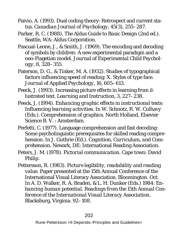- Paivio, A. (1991). Dual coding theory: Retrospect and current status. *Canadian Journal of Psychology, 45*(3), 255–287.
- Parker, R. C. (1988). *The Aldus Guide to Basic Design* (2nd ed.). Seattle, WA: Aldus Corporation.
- Pascual-Leone, J., & Smith, J. (1969). The encoding and decoding of symbols by children: A new experimental paradigm and a neo-Piagetian model. *Journal of Experimental Child Psychology, 8,* 328–355.

Paterson, D. G., & Tinker, M. A. (1932). Studies of typographical factors influencing speed of reading: X. Styles of type face. *Journal of Applied Psychology, 16,* 605–613.

Peeck, J. (1993). Increasing picture effects in learning from illustrated text. *Learning and Instruction, 3,* 227–238.

- Peeck, J. (1994). *Enhancing graphic effects in instructional texts: Influencing learning activities.* In W. Schnotz, R. W. Culhavy (Eds.). *Comprehension of graphics.* North Holland, Elsevier Science B. V. : Amsterdam.
- Perfetti, C. (1977). Language comprehension and fast decoding: Some psycholinguistic prerequisites for skilled reading comprehension. In J. Guthrie (Ed.). *Cognition, Curriculum, and Comprehension.* Newark, DE: International Reading Association.
- Peters, J. M. (1978). *Pictorial communication.* Cape town: David Philip.
- Pettersson, R. (1983). *Picture legibility, readability and reading value.* Paper presented at the 15th Annual Conference of the International Visual Literacy Association. Bloomington. Oct. In A. D. Walker, R. A. Braden, & L. H. Dunker (Eds.) 1984: *Enhancing human potential. Readings from the 15th Annual Conference of the International Visual Literacy Association.*  Blacksburg, Virginia. 92–108.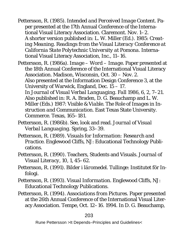Pettersson, R. (1985). *Intended and Perceived Image Content.* Paper presented at the 17th Annual Conference of the International Visual Literacy Association. Claremont. Nov. 1–2. A shorter version published in: L. W. Miller (Ed.). 1985: *Creating Meaning. Readings from the Visual Literacy Conference at California State Polytechnic University at Pomona.* International Visual Literacy Association, Inc., 11–16.

Pettersson, R. (1986a). *Image – Word – Image.* Paper presented at the 18th Annual Conference of the International Visual Literacy Association. Madison, Wisconsin, Oct. 30 – Nov. 2. Also presented at the Information Design Conference 3, at the University of Warwick, England, Dec. 15 – 17. In *Journal of Visual Verbal Languaging. Fall 1986, 6, 2*, 7–21. Also published in: R. A. Braden, D. G. Beauchamp and L. W. Miller (Eds.) 1987: *Visible & Viable. The Role of Images in Instruction and Communication.* East Texas State University. Commerce. Texas, 165–181.

- Pettersson, R. (1986b). See, look and read. *Journal of Visual Verbal Languaging.* Spring*,* 33–39.
- Pettersson, R. (1989). *Visuals for Information: Research and Practice.* Englewood Cliffs, NJ: Educational Technology Publications.
- Pettersson, R. (1990). Teachers, Students and Visuals. *Journal of Visual Literacy, 10,* 1, 45–62.
- Pettersson, R. (1991). *Bilder i läromedel.* Tullinge: Institutet för Infologi.
- Pettersson, R. (1993). *Visual Information.* Englewood Cliffs, NJ: Educational Technology Publications.

Pettersson, R. (1994). *Associations from Pictures.* Paper presented at the 26th Annual Conference of the International Visual Literacy Association. Tempe, Oct. 12–16. 1994. In D. G. Beauchamp,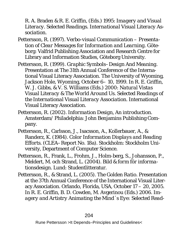R. A. Braden & R. E. Griffin, (Eds.) 1995: *Imagery and Visual Literacy. Selected Readings. International Visual Literacy Association.* 

- Pettersson, R. (1997). *Verbo-visual Communication Presentation of Clear Messages for Information and Learning.* Göteborg: Valfrid Publishing Association and Research Centre for Library and Information Studies, Göteborg University.
- Pettersson, R. (1999). *Graphic Symbols–Design And Meaning.*  Presentation at The 31th Annual Conference of the International Visual Literacy Association. The University of Wyoming, Jackson Hole, Wyoming, October 6– 10, 1999. In R. E. Griffin, W. J. Gibbs, & V. S. Williams (Eds.) 2000: *Natural Vistas Visual Literacy & The World Around Us. Selected Readings of the International Visual Literacy Association.* International Visual Literacy Association.
- Pettersson, R. (2002). *Information Design, An introduction.*  Amsterdam/ Philadelphia: John Benjamins Publishing Company.
- Pettersson, R., Carlsson, J., Isacsson, A., Kollerbauer, A., & Randerz, K. (1984). *Color Information Displays and Reading Efforts.* (CLEA–Report No. 18a). Stockholm: Stockholm University, Department of Computer Science.
- Pettersson, R., Frank, L., Frohm, J., Holm-berg, S., Johansson, P., Meldert, M. och Strand, L. (2004). *Bild & form för informationsdesign.* Lund: Studentlitteratur.
- Pettersson, R., & Strand, L. (2005). *The Golden Ratio.* Presentation at the 37th Annual Conference of the International Visual Literacy Association. Orlando, Florida, USA, October 17 – 20, 2005. In R. E. Griffin, B. D. Cowden, M. Avgerinou (Eds.) 2006. *Imagery and Artistry Animating the Mind´s Eye: Selected Read-*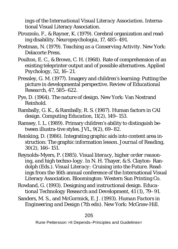*ings of the International Visual Literacy Association.* International Visual Literacy Association.

- Pirozzolo, F., & Rayner, K. (1979). Cerebral organization and reading disability. *Neuropsychologia, 17*, 485–491.
- Postman, N. (1979). *Teaching as a Conserving Activity.* New York: Delacorte Press.
- Poulton, E. C., & Brown, C. H. (1968). Rate of comprehension of an existing teleprinter output and of possible alternatives. *Applied Psychology, 52,* 16–21.
- Pressley, G. M. (1977). Imagery and children's learning: Putting the picture in developmental perspective. *Review of Educational Research, 47,* 585–622.
- Pye, D. (1964). *The nature of design*. New York: Van Nostrand Reinhold.
- Rambally, G. K., & Rambally, R. S. (1987). Human factors in CAI design. *Computing Education, 11(2),* 149–153.
- Ramsey, I. L. (1989). Primary children's ability to distinguish between illustra-tive styles. *JVL, 9*(*2*)*,* 69–82.
- Reinking, D. (1986). Integrating graphic aids into content area instruction: The graphic information lesson. *Journal of Reading, 30*(2), 146–151.
- Reynolds-Myers, P. (1985). *Visual literacy, higher order reasoning, and high techno-logy.* In N. H. Thayer, & S. Clayton- Randolph (Eds.). *Visual Literacy: Cruising into the Future.* Readings from the 16th annual conference of the International Visual Literacy Association. Bloomington: Western Sun Printing Co.
- Rowland, G. (1993). Designing and instructional design. *Educational Technology Research and Development, 41* (1), 79–91.
- Sanders, M. S., and McGormick, E. J. (1993). *Human Factors in Engineering and Design* (7th edn). New York: McGraw-Hill.

#### 205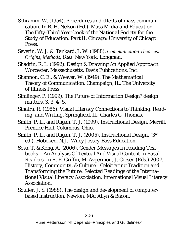- Schramm, W. (1954). *Procedures and effects of mass communication.* In B. H. Nelson (Ed.). *Mass Media and Education. The Fifty-Third Year-book of the National Society for the Study of Education. Part II.* Chicago: University of Chicago Press.
- Severin, W. J. &. Tankard, J. W. (1988). *Communication Theories: Origins, Methods, Uses*. New York: Longman.
- Shadrin, R. L. (1992). *Design & Drawing An Applied Approach.*  Worcester, Massachusetts: Davis Publications, Inc.
- Shannon, C. E., & Weaver, W. (1949). *The Mathematical Theory of Communication.* Champaign, IL: The University of Illinois Press.
- Simlinger, P. (1999). The Future of Information Design? *design matters, 3,* 3, 4–5.
- Sinatra, R. (1986). *Visual Literacy Connections to Thinking, Reading, and Writing.* Springfield, IL: Charles C. Thomas.
- Smith, P. L., and Ragan, T. J. (1999). *Instructional Design.* Merrill, Prentice Hall. Columbus, Ohio.
- Smith, P. L., and Ragan, T. J. (2005). *Instructional Design.* (3rd ed.). Hoboken, N.J.: Wiley Jossey-Bass Education.
- Sosa, T. & Kong, A. (2006). *Gender Messages In Reading Textbooks – An Analysis Of Textual And Visual Content In Basal Readers.* In R. E. Griffin, M. Avgerinou, J. Giesen (Eds.) 2007. *History, Community, & Culture– Celebrating Tradition and Transforming the Future: Selected Readings of the International Visual Literacy Association.* International Visual Literacy **Association**
- Soulier, J. S. (1988). *The design and development of computerbased instruction.* Newton, MA: Allyn & Bacon.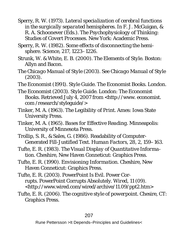Sperry, R. W. (1973). *Lateral specialization of cerebral functions in the surgically separated hemispheres.* In F. J. McGuigan, & R. A. Schoonever (Eds.). *The Psychophysiology of Thinking: Studies of Covert Processes.* New York: Academic Press.

Sperry, R. W. (1982). Some effects of disconnecting the hemisphere. Science, 217, 1223–1226.

- Strunk, W. & White, E. B. (2000). *The Elements of Style.* Boston: Allyn and Bacon.
- *The Chicago Manual of Style* (2003). See *Chicago Manual of Style* (2003).
- The Economist (1991). *Style Guide.* The Economist Books. London.

The Economist (2003). *Style Guide*. London: The Economist Books. Retrieved July 4, 2007 from <http://www. economist. com /research/styleguide/>

- Tinker, M. A. (1963). *The Legibility of Print.* Ames: Iowa State University Press.
- Tinker, M. A. (1965). *Bases for Effective Reading.* Minneapolis: University of Minnesota Press.

Trollip, S. R., & Sales, G. (1986). Readability of Computer-Generated Fill-Justified Text. *Human Factors, 28, 2,* 159–163.

Tufte, E. R. (1983). *The Visual Display of Quantitative Information.* Cheshire, New Haven Conneticut: Graphics Press.

- Tufte, E. R. (1990). *Envisioning Information.* Cheshire, New Haven Conneticut: Graphics Press.
- Tufte, E. R. (2003). PowerPoint Is Evil. Power Corrupts. PowerPoint Corrupts Absolutely. *Wired, 11* (09). <http://www.wired.com/wired/archive/11.09/ppt2.htm>
- Tufte, E. R. (2006). *The cognitive style of powerpoint.* Chesire, CT: Graphics Press.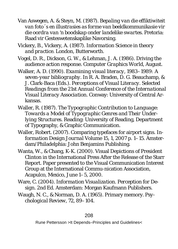Van Aswegen, A. & Steyn, M. (1987). *Bepaling van die effiktiwiteit van foto´s en illustrasies as forme van beeldkommunikasie vir die oordra van 'n boodskap onder landelike swartes.* Pretoria: Raad vir Gesteswetenskaplike Navorsing.

Vickery, B., Vickery, A. (1987). *Information Science in theory and practice.* London, Butterworth.

Vogel, D. R., Dickson, G. W., & Lehman, J. A. (1986). Driving the audience action response. *Computer Graphics World,* August.

Walker, A. D. (1990). *Examining visual literacy, 1983–1989: A seven-year bibliography.* In R. A. Braden, D. G. Beauchamp, & J. Clark-Baca (Eds.). *Perceptions of Visual Literacy. Selected Readings from the 21st Annual Conference of the International Visual Literacy Association.* Conway: University of Central Arkansas.

- Waller, R. (1987). *The Typographic Contribution to Language: Towards a Model of Typographic Genres and Their Underlying Structures.* Reading: University of Reading, Department of Typography, & Graphic Communication.
- Waller, Robert. (2007). Comparing typefaces for airport signs. *Information Design Journal Volume 15*, *1,* 2007 p. 1–15. Amsterdam/Philadelphia: John Benjamins Publishing.
- Wanta, W., & Chang, K-K. (2000). Visual Depictions of President Clinton in the International Press After the Release of the Starr Report. Paper presented to the Visual Communication Interest Group at the International Commu-nication Association, Acapulco, Mexico, June 1–5, 2000.
- Ware, C. (2004). *Information Visualization. Perception for Design.* 2nd Ed. Amsterdam: Morgan Kaufmann Publishers.
- Waugh, N. C., & Norman, D. A. (1965). Primary memory. *Psychological Review, 72,* 89–104.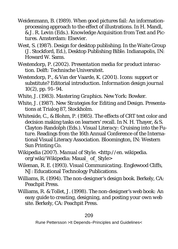- Weidenmann, B. (1989). When good pictures fail: An informationprocessing approach to the effect of illustrations. In H. Mandl, & J. R. Levin (Eds.). *Knowledge Acquisition from Text and Pictures.* Amsterdam: Elsevier.
- West, S. (1987). Design for desktop publishing. In the Waite Group (J. Stockford, Ed.), *Desktop Publishing Bible.* Indianapolis, IN: Howard W. Sams.
- Westendorp, P. (2002). *Presentation media for product interaction.* Delft: Technische Universiteit.
- Westendorp, P., & Van der Vaarde, K. (2001). Icons: support or substitute? Editorial introduction. *Information design journal 10(2),* pp. 91–94.
- White, J. (1983). *Mastering Graphics.* New York: Bowker.
- White, J. (1987). *New Strategies for Editing and Design.* Presentations at Trialog 87, Stockholm.
- Whiteside, C., & Blohm, P. (1985). The effects of CRT text color and decision making tasks on learners' recall. In N. H. Thayer, & S. Clayton-Randolph (Eds.). *Visual Literacy: Cruising into the Future.* Readings from the 16th Annual Conference of the International Visual Literacy Association. Bloomington, IN: Western Sun Printing Co.
- Wikipedia (2007). *Manual of Style.* <http://en. wikipedia. org/wiki/Wikipedia: Maual\_ of\_Style>
- Wileman, R. E. (1993). *Visual Communicating.* Englewood Cliffs, NJ: Educational Technology Publications.
- Williams, R. (1994). *The non-designer's design book*. Berkely, CA: Peachpit Press.
- Williams, R. & Tollet, J. (1998). *The non-designer's web book: An easy guide to creating, designing, and posting your own web site.* Berkely, CA: Peachpit Press.

#### 209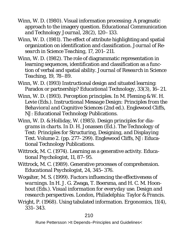- Winn, W. D. (1980). Visual information processing: A pragmatic approach to the imagery question. *Educational Communication and Technology Journal, 28(2),* 120–133*.*
- Winn, W. D. (1981). The effect of attribute highlighting and spatial organization on identification and classification. *Journal of Research in Science Teaching, 17,* 201–211.
- Winn, W. D. (1982). The role of diagrammatic representation in learning sequences, identification and classification as a function of verbal and spatial ability. *Journal of Research in Science Teaching, 19,* 78–89.
- Winn, W. D. (1993) Instructional design and situated learning: Paradox or partnership? *Educational Technology, 33*(3), 16–21.
- Winn, W. D. (1993). *Perception principles*. In M. Fleming & W. H. Levie (Eds.). *Instructional Message Design: Principles from the Behavioral and Cognitive Sciences* (2nd ed.). Englewood Cliffs, NJ: Educational Technology Publications.
- Winn, W. D. & Holliday, W. (1985). *Design principles for diagrams in charts.* In D. H. Jonassen (Ed.). *The Technology of Text: Principles for Structuring, Designing, and Displaying Text. Volume 2.* (pp. 277–299). Englewood Cliffs, NJ: Educational Technology Publications.
- Wittrock, M. C. (1974). Learning as a generative activity. *Educational Psychologist, 11,* 87–95.
- Wittrock, M. C. (1989). Generative processes of comprehension. *Educational Psychologist, 24,* 345–376.
- Wogalter, M. S. (1999). *Factors influencing the effectiveness of warnings.* In H. J. G. Zwaga, T. Boersma, and H. C. M. Hoonhout (Eds.). *Visual information for everyday use. Design and research perspectives.* London, Philadelphia: Taylor & Francis.
- Wright, P. (1968). Using tabulated information. *Ergonomics, 11(4*), 331–343.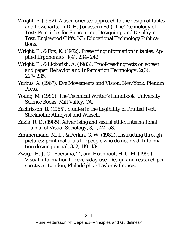- Wright, P. (1982). A user-oriented approach to the design of tables and flowcharts. In D. H. Jonassen (Ed.). *The Technology of Text: Principles for Structuring, Designing, and Displaying Text.* Englewood Cliffs, NJ: Educational Technology Publications.
- Wright, P., & Fox, K. (1972). Presenting information in tables. *Applied Ergonomics, 1*(4), 234–242.
- Wright, P., & Lickorish, A. (1983). Proof-reading texts on screen and paper. *Behavior and Information Technology, 2(3),* 227–235.
- Yarbus, A. (1967). *Eye Movements and Vision*. New York: Plenum **Press**
- Young, M. (1989). *The Technical Writer's Handbook.* University Science Books. Mill Valley, CA.
- Zachrisson, B. (1965). *Studies in the Legibility of Printed Text.*  Stockholm: Almqvist and Wiksell.
- Zakia, R. D. (1985). Advertising and sexual ethic. *International Journal of Visual Sociology, 3,* 1, 42–58.
- Zimmermann, M. L., & Perkin, G. W. (1982). Instructing through pictures: print materials for people who do not read. *Information design journal, 3/2,* 119–134.
- Zwaga, H. J. G., Boersma, T., and Hoonhout, H. C. M. (1999). *Visual information for everyday use. Design and research perspectives.* London, Philadelphia: Taylor & Francis.